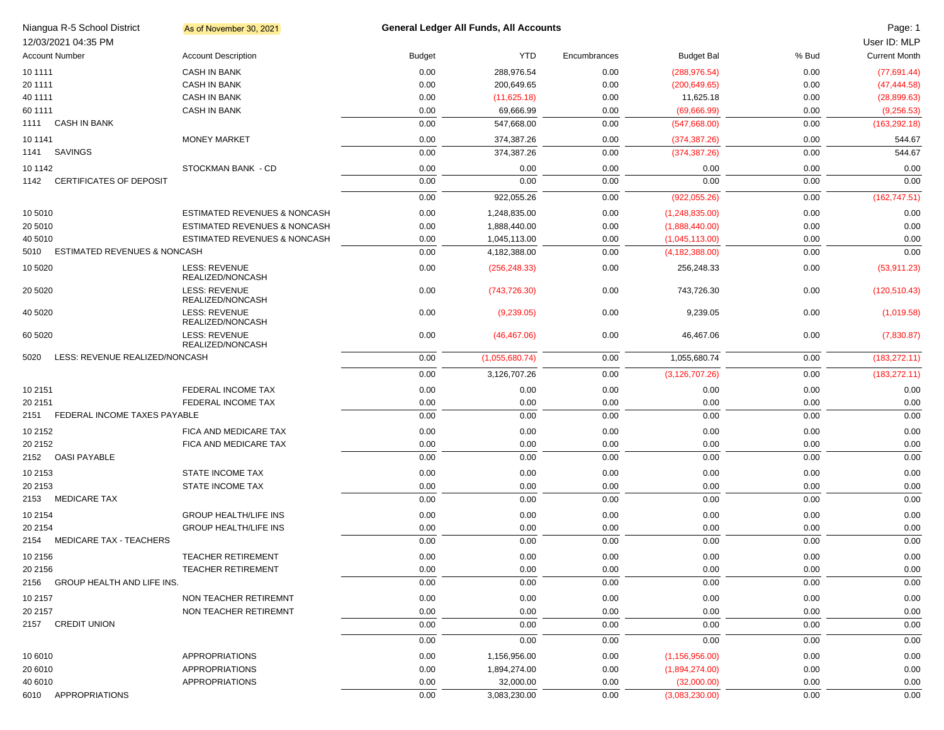| 12/03/2021 04:35 PM   | Niangua R-5 School District     | As of November 30, 2021                  |               | <b>General Ledger All Funds, All Accounts</b> |              |                   |       | Page: 1<br>User ID: MLP |
|-----------------------|---------------------------------|------------------------------------------|---------------|-----------------------------------------------|--------------|-------------------|-------|-------------------------|
| <b>Account Number</b> |                                 | <b>Account Description</b>               | <b>Budget</b> | <b>YTD</b>                                    | Encumbrances | <b>Budget Bal</b> | % Bud | <b>Current Month</b>    |
| 10 11 11              |                                 | <b>CASH IN BANK</b>                      | 0.00          | 288,976.54                                    | 0.00         | (288, 976.54)     | 0.00  | (77,691.44)             |
| 20 11 11              |                                 | <b>CASH IN BANK</b>                      | 0.00          | 200,649.65                                    | 0.00         | (200, 649.65)     | 0.00  | (47, 444.58)            |
| 40 1111               |                                 | <b>CASH IN BANK</b>                      | 0.00          | (11,625.18)                                   | 0.00         | 11,625.18         | 0.00  | (28, 899.63)            |
| 60 1111               |                                 | <b>CASH IN BANK</b>                      | 0.00          | 69,666.99                                     | 0.00         | (69,666.99)       | 0.00  | (9,256.53)              |
| 1111 CASH IN BANK     |                                 |                                          | 0.00          | 547,668.00                                    | 0.00         | (547,668.00)      | 0.00  | (163, 292.18)           |
| 10 11 41              |                                 | <b>MONEY MARKET</b>                      | 0.00          | 374,387.26                                    | 0.00         | (374, 387.26)     | 0.00  | 544.67                  |
| SAVINGS<br>1141       |                                 |                                          | 0.00          | 374,387.26                                    | 0.00         | (374, 387.26)     | 0.00  | 544.67                  |
| 10 1142               |                                 | STOCKMAN BANK - CD                       | 0.00          | 0.00                                          | 0.00         | 0.00              | 0.00  | 0.00                    |
| 1142                  | <b>CERTIFICATES OF DEPOSIT</b>  |                                          | 0.00          | 0.00                                          | 0.00         | 0.00              | 0.00  | 0.00                    |
|                       |                                 |                                          | 0.00          | 922,055.26                                    | 0.00         | (922,055.26)      | 0.00  | (162, 747.51)           |
| 10 5010               |                                 | ESTIMATED REVENUES & NONCASH             | 0.00          | 1,248,835.00                                  | 0.00         | (1,248,835.00)    | 0.00  | 0.00                    |
| 20 5010               |                                 | ESTIMATED REVENUES & NONCASH             | 0.00          | 1,888,440.00                                  | 0.00         | (1,888,440.00)    | 0.00  | 0.00                    |
| 40 5010               |                                 | <b>ESTIMATED REVENUES &amp; NONCASH</b>  | 0.00          | 1,045,113.00                                  | 0.00         | (1,045,113.00)    | 0.00  | 0.00                    |
| 5010                  | ESTIMATED REVENUES & NONCASH    |                                          | 0.00          | 4.182.388.00                                  | 0.00         | (4, 182, 388.00)  | 0.00  | 0.00                    |
| 10 5020               |                                 | LESS: REVENUE<br>REALIZED/NONCASH        | 0.00          | (256, 248.33)                                 | 0.00         | 256,248.33        | 0.00  | (53, 911.23)            |
| 20 50 20              |                                 | <b>LESS: REVENUE</b><br>REALIZED/NONCASH | 0.00          | (743, 726.30)                                 | 0.00         | 743,726.30        | 0.00  | (120, 510.43)           |
| 40 50 20              |                                 | <b>LESS: REVENUE</b><br>REALIZED/NONCASH | 0.00          | (9,239.05)                                    | 0.00         | 9,239.05          | 0.00  | (1,019.58)              |
| 60 50 20              |                                 | <b>LESS: REVENUE</b><br>REALIZED/NONCASH | 0.00          | (46, 467.06)                                  | 0.00         | 46,467.06         | 0.00  | (7,830.87)              |
| 5020                  | LESS: REVENUE REALIZED/NONCASH  |                                          | 0.00          | (1,055,680.74)                                | 0.00         | 1,055,680.74      | 0.00  | (183, 272.11)           |
|                       |                                 |                                          | 0.00          | 3,126,707.26                                  | 0.00         | (3, 126, 707.26)  | 0.00  | (183, 272.11)           |
| 10 2151               |                                 | FEDERAL INCOME TAX                       | 0.00          | 0.00                                          | 0.00         | 0.00              | 0.00  | 0.00                    |
| 20 21 51              |                                 | FEDERAL INCOME TAX                       | 0.00          | 0.00                                          | 0.00         | 0.00              | 0.00  | 0.00                    |
| 2151                  | FEDERAL INCOME TAXES PAYABLE    |                                          | 0.00          | 0.00                                          | 0.00         | 0.00              | 0.00  | 0.00                    |
| 10 2152               |                                 | FICA AND MEDICARE TAX                    | 0.00          | 0.00                                          | 0.00         | 0.00              | 0.00  | 0.00                    |
| 20 2152               |                                 | FICA AND MEDICARE TAX                    | 0.00          | 0.00                                          | 0.00         | 0.00              | 0.00  | 0.00                    |
| 2152 OASI PAYABLE     |                                 |                                          | 0.00          | 0.00                                          | 0.00         | 0.00              | 0.00  | 0.00                    |
| 10 2153               |                                 | <b>STATE INCOME TAX</b>                  | 0.00          | 0.00                                          | 0.00         | 0.00              | 0.00  | 0.00                    |
| 20 2153               |                                 | <b>STATE INCOME TAX</b>                  | 0.00          | 0.00                                          | 0.00         | 0.00              | 0.00  | 0.00                    |
| 2153 MEDICARE TAX     |                                 |                                          | 0.00          | 0.00                                          | 0.00         | 0.00              | 0.00  | 0.00                    |
| 10 2154               |                                 | <b>GROUP HEALTH/LIFE INS</b>             | 0.00          | 0.00                                          | 0.00         | 0.00              | 0.00  | 0.00                    |
| 20 2154               |                                 | <b>GROUP HEALTH/LIFE INS</b>             | 0.00          | 0.00                                          | 0.00         | 0.00              | 0.00  | 0.00                    |
|                       | 2154 MEDICARE TAX - TEACHERS    |                                          | 0.00          | 0.00                                          | 0.00         | 0.00              | 0.00  | 0.00                    |
| 10 2156               |                                 | <b>TEACHER RETIREMENT</b>                | 0.00          | 0.00                                          | 0.00         | 0.00              | 0.00  | 0.00                    |
| 20 2156               |                                 | TEACHER RETIREMENT                       | 0.00          | 0.00                                          | 0.00         | 0.00              | 0.00  | 0.00                    |
|                       | 2156 GROUP HEALTH AND LIFE INS. |                                          | 0.00          | 0.00                                          | 0.00         | 0.00              | 0.00  | 0.00                    |
| 10 2157               |                                 | NON TEACHER RETIREMNT                    | 0.00          | 0.00                                          | 0.00         | 0.00              | 0.00  | 0.00                    |
| 20 2157               |                                 | NON TEACHER RETIREMNT                    | 0.00          | 0.00                                          | 0.00         | 0.00              | 0.00  | 0.00                    |
| 2157 CREDIT UNION     |                                 |                                          | 0.00          | 0.00                                          | 0.00         | 0.00              | 0.00  | 0.00                    |
|                       |                                 |                                          | 0.00          | 0.00                                          | 0.00         | 0.00              | 0.00  | 0.00                    |
| 10 6010               |                                 | APPROPRIATIONS                           | 0.00          | 1,156,956.00                                  | 0.00         | (1, 156, 956.00)  | 0.00  | 0.00                    |
| 20 6010               |                                 | APPROPRIATIONS                           | 0.00          | 1,894,274.00                                  | 0.00         | (1,894,274.00)    | 0.00  | 0.00                    |
| 40 6010               |                                 | APPROPRIATIONS                           | 0.00          | 32,000.00                                     | 0.00         | (32,000.00)       | 0.00  | 0.00                    |
|                       | 6010 APPROPRIATIONS             |                                          | 0.00          | 3,083,230.00                                  | 0.00         | (3,083,230.00)    | 0.00  | 0.00                    |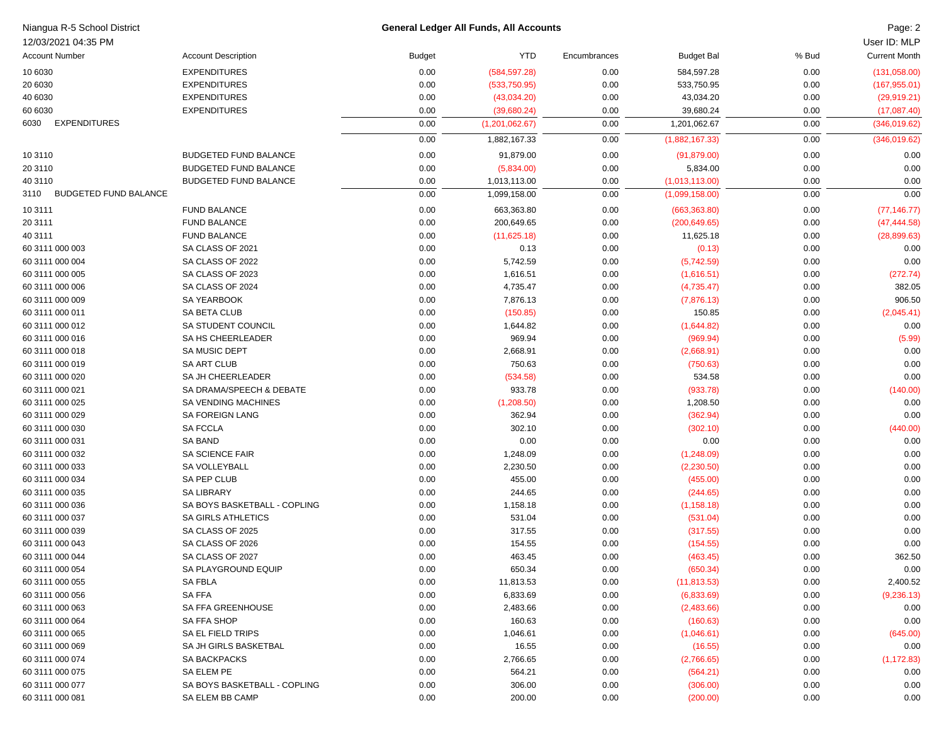| Niangua R-5 School District          |                              |               | <b>General Ledger All Funds, All Accounts</b> |              |                   |       | Page: 2              |
|--------------------------------------|------------------------------|---------------|-----------------------------------------------|--------------|-------------------|-------|----------------------|
| 12/03/2021 04:35 PM                  |                              |               |                                               |              |                   |       | User ID: MLP         |
| <b>Account Number</b>                | <b>Account Description</b>   | <b>Budget</b> | <b>YTD</b>                                    | Encumbrances | <b>Budget Bal</b> | % Bud | <b>Current Month</b> |
| 10 6030                              | <b>EXPENDITURES</b>          | 0.00          | (584, 597.28)                                 | 0.00         | 584,597.28        | 0.00  | (131,058.00)         |
| 20 6030                              | <b>EXPENDITURES</b>          | 0.00          | (533,750.95)                                  | 0.00         | 533,750.95        | 0.00  | (167, 955.01)        |
| 40 6030                              | <b>EXPENDITURES</b>          | 0.00          | (43,034.20)                                   | 0.00         | 43,034.20         | 0.00  | (29, 919.21)         |
| 60 6030                              | <b>EXPENDITURES</b>          | 0.00          | (39,680.24)                                   | 0.00         | 39,680.24         | 0.00  | (17,087.40)          |
| <b>EXPENDITURES</b><br>6030          |                              | 0.00          | (1,201,062.67)                                | 0.00         | 1,201,062.67      | 0.00  | (346,019.62)         |
|                                      |                              | 0.00          | 1,882,167.33                                  | 0.00         | (1,882,167.33)    | 0.00  | (346,019.62)         |
| 10 31 10                             | <b>BUDGETED FUND BALANCE</b> | 0.00          | 91,879.00                                     | 0.00         | (91, 879.00)      | 0.00  | 0.00                 |
|                                      | <b>BUDGETED FUND BALANCE</b> |               |                                               |              |                   |       |                      |
| 20 3110                              |                              | 0.00          | (5,834.00)                                    | 0.00         | 5,834.00          | 0.00  | 0.00                 |
| 40 3110                              | <b>BUDGETED FUND BALANCE</b> | 0.00          | 1,013,113.00                                  | 0.00         | (1,013,113.00)    | 0.00  | 0.00                 |
| 3110<br><b>BUDGETED FUND BALANCE</b> |                              | 0.00          | 1,099,158.00                                  | 0.00         | (1,099,158.00)    | 0.00  | 0.00                 |
| 10 3111                              | <b>FUND BALANCE</b>          | 0.00          | 663,363.80                                    | 0.00         | (663,363.80)      | 0.00  | (77, 146.77)         |
| 20 3111                              | <b>FUND BALANCE</b>          | 0.00          | 200,649.65                                    | 0.00         | (200, 649.65)     | 0.00  | (47, 444.58)         |
| 40 3111                              | <b>FUND BALANCE</b>          | 0.00          | (11,625.18)                                   | 0.00         | 11,625.18         | 0.00  | (28, 899.63)         |
| 60 3111 000 003                      | SA CLASS OF 2021             | 0.00          | 0.13                                          | 0.00         | (0.13)            | 0.00  | 0.00                 |
| 60 3111 000 004                      | SA CLASS OF 2022             | 0.00          | 5,742.59                                      | 0.00         | (5,742.59)        | 0.00  | 0.00                 |
| 60 3111 000 005                      | SA CLASS OF 2023             | 0.00          | 1,616.51                                      | 0.00         | (1,616.51)        | 0.00  | (272.74)             |
| 60 3111 000 006                      | SA CLASS OF 2024             | 0.00          | 4,735.47                                      | 0.00         | (4,735.47)        | 0.00  | 382.05               |
| 60 3111 000 009                      | SA YEARBOOK                  | 0.00          | 7,876.13                                      | 0.00         | (7,876.13)        | 0.00  | 906.50               |
| 60 3111 000 011                      | SA BETA CLUB                 | 0.00          | (150.85)                                      | 0.00         | 150.85            | 0.00  | (2,045.41)           |
| 60 3111 000 012                      | <b>SA STUDENT COUNCIL</b>    | 0.00          | 1,644.82                                      | 0.00         | (1,644.82)        | 0.00  | 0.00                 |
| 60 3111 000 016                      | <b>SA HS CHEERLEADER</b>     | 0.00          | 969.94                                        | 0.00         | (969.94)          | 0.00  | (5.99)               |
| 60 3111 000 018                      | SA MUSIC DEPT                | 0.00          | 2,668.91                                      | 0.00         | (2,668.91)        | 0.00  | 0.00                 |
| 60 3111 000 019                      | <b>SA ART CLUB</b>           | 0.00          | 750.63                                        | 0.00         | (750.63)          | 0.00  | 0.00                 |
| 60 3111 000 020                      | SA JH CHEERLEADER            | 0.00          | (534.58)                                      | 0.00         | 534.58            | 0.00  | 0.00                 |
| 60 3111 000 021                      | SA DRAMA/SPEECH & DEBATE     | 0.00          | 933.78                                        | 0.00         | (933.78)          | 0.00  | (140.00)             |
| 60 3111 000 025                      | SA VENDING MACHINES          | 0.00          | (1,208.50)                                    | 0.00         | 1,208.50          | 0.00  | 0.00                 |
| 60 3111 000 029                      | <b>SA FOREIGN LANG</b>       | 0.00          | 362.94                                        | 0.00         | (362.94)          | 0.00  | 0.00                 |
| 60 3111 000 030                      | <b>SA FCCLA</b>              | 0.00          | 302.10                                        | 0.00         | (302.10)          | 0.00  | (440.00)             |
| 60 3111 000 031                      | <b>SA BAND</b>               | 0.00          | 0.00                                          | 0.00         | 0.00              | 0.00  | 0.00                 |
| 60 3111 000 032                      | SA SCIENCE FAIR              | 0.00          | 1,248.09                                      | 0.00         | (1,248.09)        | 0.00  | 0.00                 |
| 60 3111 000 033                      | SA VOLLEYBALL                | 0.00          | 2,230.50                                      | 0.00         | (2,230.50)        | 0.00  | 0.00                 |
| 60 3111 000 034                      | SA PEP CLUB                  | 0.00          | 455.00                                        | 0.00         | (455.00)          | 0.00  | 0.00                 |
| 60 3111 000 035                      | <b>SA LIBRARY</b>            | 0.00          | 244.65                                        | 0.00         | (244.65)          | 0.00  | 0.00                 |
| 60 3111 000 036                      | SA BOYS BASKETBALL - COPLING | 0.00          | 1,158.18                                      | 0.00         | (1, 158.18)       | 0.00  | 0.00                 |
| 60 3111 000 037                      | <b>SA GIRLS ATHLETICS</b>    | 0.00          | 531.04                                        | 0.00         | (531.04)          | 0.00  | 0.00                 |
| 60 3111 000 039                      | SA CLASS OF 2025             | 0.00          | 317.55                                        | 0.00         | (317.55)          | 0.00  | 0.00                 |
| 60 3111 000 043                      | SA CLASS OF 2026             | 0.00          | 154.55                                        | 0.00         | (154.55)          | 0.00  | 0.00                 |
| 60 3111 000 044                      | SA CLASS OF 2027             | 0.00          | 463.45                                        | 0.00         | (463.45)          | 0.00  | 362.50               |
| 60 3111 000 054                      | SA PLAYGROUND EQUIP          | 0.00          | 650.34                                        | 0.00         | (650.34)          | 0.00  | 0.00                 |
| 60 3111 000 055                      | <b>SA FBLA</b>               | 0.00          | 11,813.53                                     | 0.00         | (11, 813.53)      | 0.00  | 2,400.52             |
| 60 3111 000 056                      | SA FFA                       | 0.00          | 6,833.69                                      | 0.00         | (6,833.69)        | 0.00  | (9, 236.13)          |
|                                      | SA FFA GREENHOUSE            |               |                                               |              |                   |       |                      |
| 60 3111 000 063<br>60 3111 000 064   |                              | 0.00          | 2,483.66                                      | 0.00         | (2,483.66)        | 0.00  | 0.00                 |
|                                      | SA FFA SHOP                  | 0.00          | 160.63                                        | 0.00         | (160.63)          | 0.00  | 0.00                 |
| 60 3111 000 065                      | SA EL FIELD TRIPS            | 0.00          | 1,046.61                                      | 0.00         | (1,046.61)        | 0.00  | (645.00)             |
| 60 3111 000 069                      | SA JH GIRLS BASKETBAL        | 0.00          | 16.55                                         | 0.00         | (16.55)           | 0.00  | 0.00                 |
| 60 3111 000 074                      | SA BACKPACKS                 | 0.00          | 2,766.65                                      | 0.00         | (2,766.65)        | 0.00  | (1, 172.83)          |
| 60 3111 000 075                      | SA ELEM PE                   | 0.00          | 564.21                                        | 0.00         | (564.21)          | 0.00  | 0.00                 |
| 60 3111 000 077                      | SA BOYS BASKETBALL - COPLING | 0.00          | 306.00                                        | 0.00         | (306.00)          | 0.00  | 0.00                 |
| 60 3111 000 081                      | SA ELEM BB CAMP              | 0.00          | 200.00                                        | 0.00         | (200.00)          | 0.00  | 0.00                 |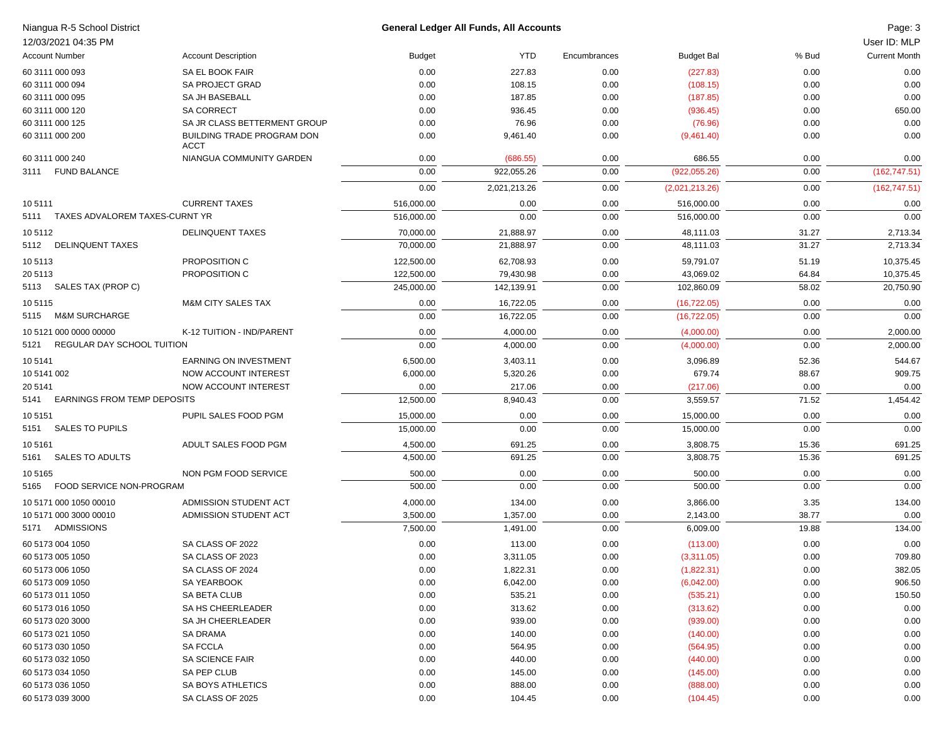|                 | Niangua R-5 School District         |                                           |                   | General Ledger All Funds, All Accounts |              |                      |               | Page: 3              |
|-----------------|-------------------------------------|-------------------------------------------|-------------------|----------------------------------------|--------------|----------------------|---------------|----------------------|
|                 | 12/03/2021 04:35 PM                 |                                           |                   |                                        |              |                      |               | User ID: MLP         |
|                 | <b>Account Number</b>               | <b>Account Description</b>                | <b>Budget</b>     | <b>YTD</b>                             | Encumbrances | <b>Budget Bal</b>    | % Bud         | <b>Current Month</b> |
|                 | 60 3111 000 093                     | SA EL BOOK FAIR                           | 0.00              | 227.83                                 | 0.00         | (227.83)             | 0.00          | 0.00                 |
|                 | 60 3111 000 094                     | <b>SA PROJECT GRAD</b>                    | 0.00              | 108.15                                 | 0.00         | (108.15)             | 0.00          | 0.00                 |
|                 | 60 3111 000 095                     | SA JH BASEBALL                            | 0.00              | 187.85                                 | 0.00         | (187.85)             | 0.00          | 0.00                 |
|                 | 60 3111 000 120                     | <b>SA CORRECT</b>                         | 0.00              | 936.45                                 | 0.00         | (936.45)             | 0.00          | 650.00               |
|                 | 60 3111 000 125                     | SA JR CLASS BETTERMENT GROUP              | 0.00              | 76.96                                  | 0.00         | (76.96)              | 0.00          | 0.00                 |
|                 | 60 3111 000 200                     | BUILDING TRADE PROGRAM DON<br><b>ACCT</b> | 0.00              | 9,461.40                               | 0.00         | (9,461.40)           | 0.00          | 0.00                 |
|                 | 60 3111 000 240                     | NIANGUA COMMUNITY GARDEN                  | 0.00              | (686.55)                               | 0.00         | 686.55               | 0.00          | 0.00                 |
| 3111            | <b>FUND BALANCE</b>                 |                                           | 0.00              | 922,055.26                             | 0.00         | (922,055.26)         | 0.00          | (162, 747.51)        |
|                 |                                     |                                           | 0.00              | 2,021,213.26                           | 0.00         | (2,021,213.26)       | 0.00          | (162, 747.51)        |
| 105111          |                                     | <b>CURRENT TAXES</b>                      | 516,000.00        | 0.00                                   | 0.00         | 516,000.00           | 0.00          | 0.00                 |
|                 | 5111 TAXES ADVALOREM TAXES-CURNT YR |                                           | 516,000.00        | 0.00                                   | 0.00         | 516,000.00           | 0.00          | 0.00                 |
| 105112          |                                     | <b>DELINQUENT TAXES</b>                   | 70,000.00         | 21,888.97                              | 0.00         | 48,111.03            | 31.27         | 2,713.34             |
|                 | 5112 DELINQUENT TAXES               |                                           | 70,000.00         | 21,888.97                              | 0.00         | 48,111.03            | 31.27         | 2,713.34             |
| 105113          |                                     | PROPOSITION C                             | 122,500.00        | 62,708.93                              | 0.00         | 59,791.07            | 51.19         | 10,375.45            |
| 20 5113         |                                     | PROPOSITION C                             | 122,500.00        | 79,430.98                              | 0.00         | 43,069.02            | 64.84         | 10,375.45            |
|                 | 5113 SALES TAX (PROP C)             |                                           | 245,000.00        | 142,139.91                             | 0.00         | 102,860.09           | 58.02         | 20,750.90            |
| 105115          |                                     | <b>M&amp;M CITY SALES TAX</b>             | 0.00              | 16,722.05                              | 0.00         | (16, 722.05)         | 0.00          | 0.00                 |
| 5115            | <b>M&amp;M SURCHARGE</b>            |                                           | 0.00              | 16,722.05                              | 0.00         | (16, 722.05)         | 0.00          | 0.00                 |
|                 | 10 5121 000 0000 00000              | K-12 TUITION - IND/PARENT                 | 0.00              | 4,000.00                               | 0.00         | (4,000.00)           | 0.00          | 2,000.00             |
| 5121            | REGULAR DAY SCHOOL TUITION          |                                           | 0.00              | 4,000.00                               | 0.00         | (4,000.00)           | 0.00          | 2,000.00             |
|                 |                                     | EARNING ON INVESTMENT                     | 6,500.00          | 3,403.11                               | 0.00         | 3,096.89             | 52.36         | 544.67               |
| 105141          |                                     |                                           |                   |                                        |              |                      |               |                      |
| 10 5141 002     |                                     | NOW ACCOUNT INTEREST                      | 6,000.00          | 5,320.26<br>217.06                     | 0.00         | 679.74               | 88.67         | 909.75               |
| 20 5141<br>5141 | EARNINGS FROM TEMP DEPOSITS         | NOW ACCOUNT INTEREST                      | 0.00<br>12,500.00 | 8,940.43                               | 0.00<br>0.00 | (217.06)<br>3,559.57 | 0.00<br>71.52 | 0.00<br>1,454.42     |
|                 |                                     |                                           |                   |                                        |              |                      |               |                      |
| 105151          |                                     | PUPIL SALES FOOD PGM                      | 15,000.00         | 0.00                                   | 0.00         | 15,000.00            | 0.00          | 0.00                 |
| 5151            | <b>SALES TO PUPILS</b>              |                                           | 15,000.00         | 0.00                                   | 0.00         | 15,000.00            | 0.00          | 0.00                 |
| 105161          |                                     | ADULT SALES FOOD PGM                      | 4,500.00          | 691.25                                 | 0.00         | 3,808.75             | 15.36         | 691.25               |
| 5161            | <b>SALES TO ADULTS</b>              |                                           | 4,500.00          | 691.25                                 | 0.00         | 3,808.75             | 15.36         | 691.25               |
| 10 51 65        |                                     | NON PGM FOOD SERVICE                      | 500.00            | 0.00                                   | 0.00         | 500.00               | 0.00          | 0.00                 |
| 5165            | FOOD SERVICE NON-PROGRAM            |                                           | 500.00            | 0.00                                   | 0.00         | 500.00               | 0.00          | 0.00                 |
|                 | 10 5171 000 1050 00010              | ADMISSION STUDENT ACT                     | 4,000.00          | 134.00                                 | 0.00         | 3,866.00             | 3.35          | 134.00               |
|                 | 10 5171 000 3000 00010              | ADMISSION STUDENT ACT                     | 3,500.00          | 1,357.00                               | 0.00         | 2,143.00             | 38.77         | 0.00                 |
|                 | 5171 ADMISSIONS                     |                                           | 7,500.00          | 1,491.00                               | 0.00         | 6,009.00             | 19.88         | 134.00               |
|                 | 60 5173 004 1050                    | SA CLASS OF 2022                          | 0.00              | 113.00                                 | 0.00         | (113.00)             | 0.00          | 0.00                 |
|                 | 60 5173 005 1050                    | SA CLASS OF 2023                          | 0.00              | 3,311.05                               | 0.00         | (3,311.05)           | 0.00          | 709.80               |
|                 | 60 5173 006 1050                    | SA CLASS OF 2024                          | 0.00              | 1,822.31                               | 0.00         | (1,822.31)           | 0.00          | 382.05               |
|                 | 60 5173 009 1050                    | SA YEARBOOK                               | 0.00              | 6,042.00                               | 0.00         | (6,042.00)           | 0.00          | 906.50               |
|                 | 60 5173 011 1050                    | SA BETA CLUB                              | 0.00              | 535.21                                 | 0.00         | (535.21)             | 0.00          | 150.50               |
|                 | 60 5173 016 1050                    | SA HS CHEERLEADER                         | 0.00              | 313.62                                 | 0.00         | (313.62)             | 0.00          | 0.00                 |
|                 | 60 5173 020 3000                    | SA JH CHEERLEADER                         | 0.00              | 939.00                                 | 0.00         | (939.00)             | 0.00          | 0.00                 |
|                 | 60 5173 021 1050                    | SA DRAMA                                  | 0.00              | 140.00                                 | 0.00         | (140.00)             | 0.00          | 0.00                 |
|                 | 60 5173 030 1050                    | SA FCCLA                                  | 0.00              | 564.95                                 | 0.00         | (564.95)             | 0.00          | 0.00                 |
|                 | 60 5173 032 1050                    | SA SCIENCE FAIR                           | 0.00              | 440.00                                 | 0.00         | (440.00)             | 0.00          | 0.00                 |
|                 | 60 5173 034 1050                    | SA PEP CLUB                               | 0.00              | 145.00                                 | 0.00         | (145.00)             | 0.00          | 0.00                 |
|                 | 60 5173 036 1050                    | SA BOYS ATHLETICS                         | 0.00              | 888.00                                 | 0.00         | (888.00)             | 0.00          | 0.00                 |
|                 | 60 5173 039 3000                    | SA CLASS OF 2025                          | 0.00              | 104.45                                 | 0.00         | (104.45)             | 0.00          | 0.00                 |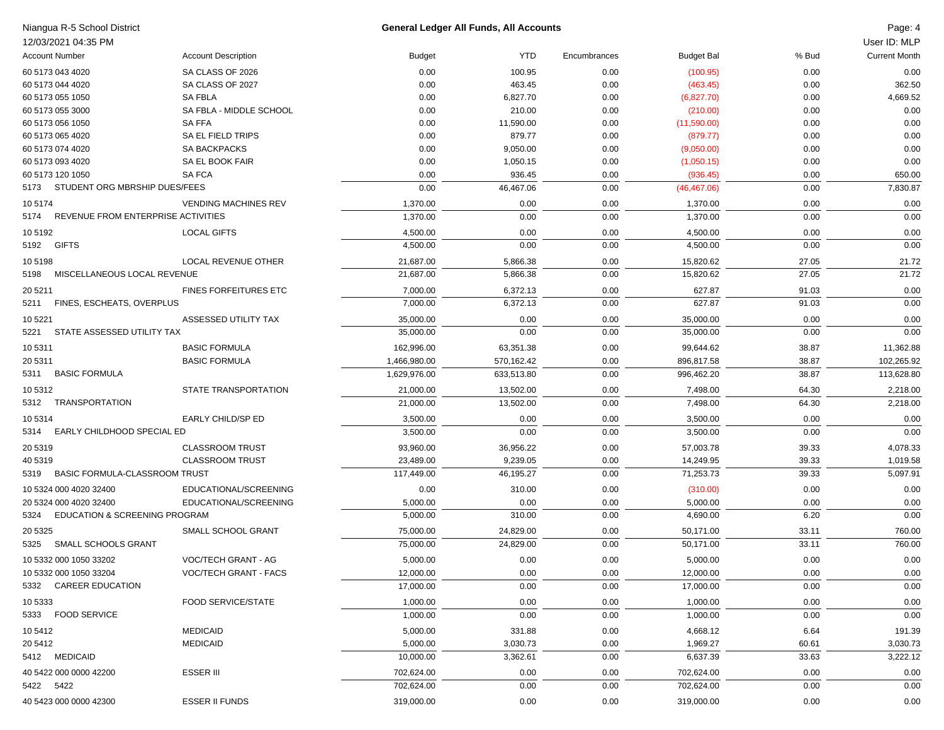| Niangua R-5 School District                     |                              | General Ledger All Funds, All Accounts |                    |              |                        |                | Page: 4              |
|-------------------------------------------------|------------------------------|----------------------------------------|--------------------|--------------|------------------------|----------------|----------------------|
| 12/03/2021 04:35 PM                             |                              |                                        |                    |              |                        |                | User ID: MLP         |
| <b>Account Number</b>                           | <b>Account Description</b>   | <b>Budget</b>                          | <b>YTD</b>         | Encumbrances | <b>Budget Bal</b>      | % Bud          | <b>Current Month</b> |
| 60 5173 043 4020                                | SA CLASS OF 2026             | 0.00                                   | 100.95             | 0.00         | (100.95)               | 0.00           | 0.00                 |
| 60 5173 044 4020                                | SA CLASS OF 2027             | 0.00                                   | 463.45             | 0.00         | (463.45)               | 0.00           | 362.50               |
| 60 5173 055 1050                                | <b>SA FBLA</b>               | 0.00                                   | 6,827.70           | 0.00         | (6,827.70)             | 0.00           | 4,669.52             |
| 60 5173 055 3000                                | SA FBLA - MIDDLE SCHOOL      | 0.00                                   | 210.00             | 0.00         | (210.00)               | 0.00           | 0.00                 |
| 60 5173 056 1050                                | <b>SAFFA</b>                 | 0.00                                   | 11,590.00          | 0.00         | (11,590.00)            | 0.00           | 0.00                 |
| 60 5173 065 4020                                | SA EL FIELD TRIPS            | 0.00                                   | 879.77             | 0.00         | (879.77)               | 0.00           | 0.00                 |
| 60 5173 074 4020                                | <b>SA BACKPACKS</b>          | 0.00                                   | 9,050.00           | 0.00         | (9,050.00)             | 0.00           | 0.00                 |
| 60 5173 093 4020                                | SA EL BOOK FAIR              | 0.00                                   | 1,050.15           | 0.00         | (1,050.15)             | 0.00           | 0.00                 |
| 60 5173 120 1050                                | SA FCA                       | 0.00                                   | 936.45             | 0.00         | (936.45)               | 0.00           | 650.00               |
| 5173 STUDENT ORG MBRSHIP DUES/FEES              |                              | 0.00                                   | 46,467.06          | 0.00         | (46, 467.06)           | 0.00           | 7,830.87             |
| 105174                                          | <b>VENDING MACHINES REV</b>  | 1,370.00                               | 0.00               | 0.00         | 1,370.00               | 0.00           | 0.00                 |
| 5174 REVENUE FROM ENTERPRISE ACTIVITIES         |                              | 1,370.00                               | 0.00               | 0.00         | 1,370.00               | 0.00           | 0.00                 |
| 105192                                          | <b>LOCAL GIFTS</b>           | 4,500.00                               | 0.00               | 0.00         | 4,500.00               | 0.00           | 0.00                 |
| 5192 GIFTS                                      |                              | 4,500.00                               | 0.00               | 0.00         | 4,500.00               | 0.00           | 0.00                 |
| 105198                                          | LOCAL REVENUE OTHER          | 21,687.00                              | 5,866.38           | 0.00         | 15,820.62              | 27.05          | 21.72                |
| 5198 MISCELLANEOUS LOCAL REVENUE                |                              | 21,687.00                              | 5,866.38           | 0.00         | 15,820.62              | 27.05          | 21.72                |
| 20 5211                                         | <b>FINES FORFEITURES ETC</b> | 7,000.00                               | 6,372.13           | 0.00         | 627.87                 | 91.03          | 0.00                 |
| 5211 FINES, ESCHEATS, OVERPLUS                  |                              | 7,000.00                               | 6,372.13           | 0.00         | 627.87                 | 91.03          | 0.00                 |
| 10 5221                                         | ASSESSED UTILITY TAX         | 35,000.00                              | 0.00               | 0.00         | 35,000.00              | 0.00           | 0.00                 |
| 5221 STATE ASSESSED UTILITY TAX                 |                              | 35,000.00                              | 0.00               | 0.00         | 35.000.00              | 0.00           | 0.00                 |
| 10 5311                                         | <b>BASIC FORMULA</b>         | 162,996.00                             | 63,351.38          | 0.00         | 99,644.62              | 38.87          | 11,362.88            |
| 20 5311                                         | <b>BASIC FORMULA</b>         | 1,466,980.00                           | 570,162.42         | 0.00         | 896,817.58             | 38.87          | 102,265.92           |
| 5311 BASIC FORMULA                              |                              | 1,629,976.00                           | 633,513.80         | 0.00         | 996,462.20             | 38.87          | 113,628.80           |
| 10 5312                                         | STATE TRANSPORTATION         | 21,000.00                              | 13,502.00          | 0.00         | 7,498.00               | 64.30          | 2,218.00             |
| 5312 TRANSPORTATION                             |                              | 21,000.00                              | 13,502.00          | 0.00         | 7,498.00               | 64.30          | 2,218.00             |
| 10 5314                                         | EARLY CHILD/SP ED            | 3,500.00                               | 0.00               | 0.00         | 3,500.00               | 0.00           | 0.00                 |
| 5314 EARLY CHILDHOOD SPECIAL ED                 |                              | 3,500.00                               | 0.00               | 0.00         | 3,500.00               | 0.00           | 0.00                 |
| 20 5319                                         | <b>CLASSROOM TRUST</b>       | 93,960.00                              | 36,956.22          | 0.00         | 57,003.78              | 39.33          | 4,078.33             |
| 40 5319                                         | <b>CLASSROOM TRUST</b>       | 23,489.00                              | 9,239.05           | 0.00         | 14,249.95              | 39.33          | 1,019.58             |
| 5319 BASIC FORMULA-CLASSROOM TRUST              |                              | 117,449.00                             | 46,195.27          | 0.00         | 71,253.73              | 39.33          | 5,097.91             |
| 10 5324 000 4020 32400                          | EDUCATIONAL/SCREENING        | 0.00                                   | 310.00             | 0.00         | (310.00)               | 0.00           | 0.00                 |
| 20 5324 000 4020 32400                          | EDUCATIONAL/SCREENING        | 5,000.00                               | 0.00               | 0.00         | 5,000.00               | 0.00           | 0.00                 |
| 5324 EDUCATION & SCREENING PROGRAM              |                              | 5,000.00                               | 310.00             | 0.00         | 4,690.00               | 6.20           | 0.00                 |
| 20 5325                                         | SMALL SCHOOL GRANT           | 75,000.00                              | 24,829.00          | 0.00         | 50,171.00              | 33.11          | 760.00               |
| 5325 SMALL SCHOOLS GRANT                        |                              | 75,000.00                              | 24,829.00          | 0.00         | 50,171.00              | 33.11          | 760.00               |
|                                                 | VOC/TECH GRANT - AG          |                                        |                    |              |                        |                |                      |
| 10 5332 000 1050 33202                          |                              | 5,000.00                               | 0.00               | 0.00         | 5,000.00               | 0.00           | 0.00                 |
| 10 5332 000 1050 33204<br>5332 CAREER EDUCATION | VOC/TECH GRANT - FACS        | 12,000.00<br>17,000.00                 | 0.00<br>0.00       | 0.00<br>0.00 | 12,000.00<br>17,000.00 | 0.00<br>0.00   | 0.00<br>0.00         |
|                                                 |                              |                                        |                    |              |                        |                |                      |
| 10 5333<br>5333 FOOD SERVICE                    | <b>FOOD SERVICE/STATE</b>    | 1,000.00<br>1,000.00                   | 0.00<br>0.00       | 0.00<br>0.00 | 1,000.00<br>1,000.00   | 0.00<br>0.00   | 0.00<br>0.00         |
|                                                 | <b>MEDICAID</b>              |                                        |                    |              |                        |                |                      |
| 10 5412                                         | <b>MEDICAID</b>              | 5,000.00<br>5,000.00                   | 331.88<br>3,030.73 | 0.00         | 4,668.12<br>1,969.27   | 6.64           | 191.39<br>3,030.73   |
| 20 5412<br>5412 MEDICAID                        |                              | 10,000.00                              | 3,362.61           | 0.00<br>0.00 | 6,637.39               | 60.61<br>33.63 | 3,222.12             |
|                                                 |                              |                                        |                    |              | 702,624.00             |                |                      |
| 40 5422 000 0000 42200<br>5422 5422             | <b>ESSER III</b>             | 702,624.00<br>702,624.00               | 0.00<br>0.00       | 0.00<br>0.00 | 702,624.00             | 0.00<br>0.00   | 0.00<br>0.00         |
|                                                 |                              |                                        |                    |              |                        |                |                      |

 $40\,5423\,000\,0000\,42300$  ESSER II FUNDS 319,000.00 0.00 0.00 0.00 319,000.00 0.00 0.00 0.00 0.00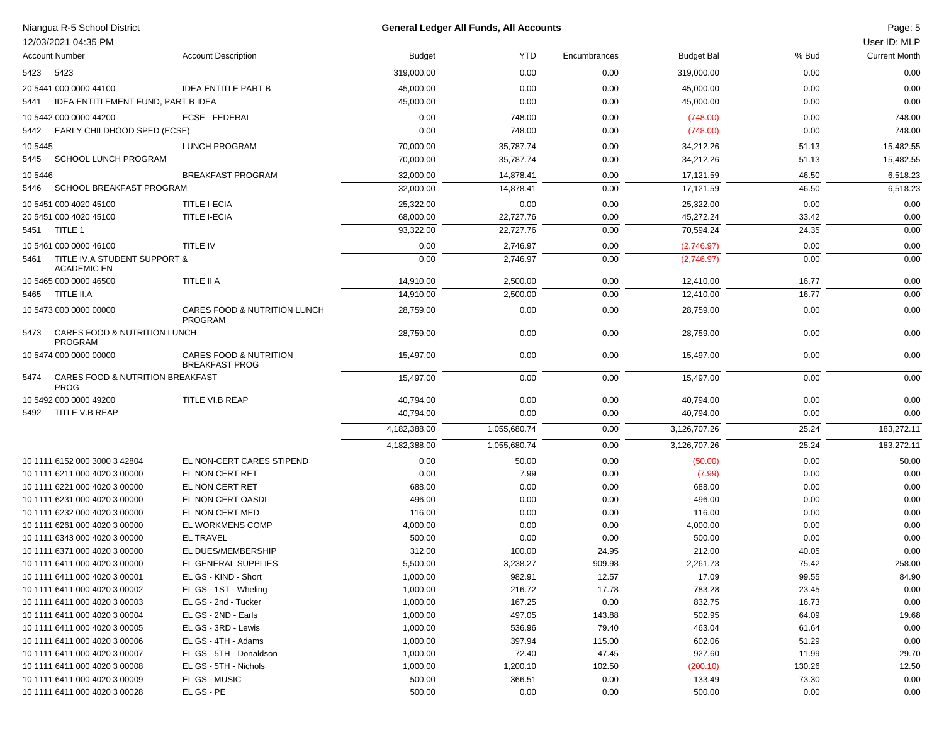|           | Niangua R-5 School District<br>12/03/2021 04:35 PM |                                                            |               | <b>General Ledger All Funds, All Accounts</b> |              |                   |        | Page: 5<br>User ID: MLP |
|-----------|----------------------------------------------------|------------------------------------------------------------|---------------|-----------------------------------------------|--------------|-------------------|--------|-------------------------|
|           | <b>Account Number</b>                              | <b>Account Description</b>                                 | <b>Budget</b> | <b>YTD</b>                                    | Encumbrances | <b>Budget Bal</b> | % Bud  | <b>Current Month</b>    |
| 5423 5423 |                                                    |                                                            | 319,000.00    | 0.00                                          | 0.00         | 319,000.00        | 0.00   | 0.00                    |
|           | 20 5441 000 0000 44100                             | <b>IDEA ENTITLE PART B</b>                                 | 45,000.00     | 0.00                                          | 0.00         | 45,000.00         | 0.00   | 0.00                    |
| 5441      | IDEA ENTITLEMENT FUND, PART B IDEA                 |                                                            | 45,000.00     | 0.00                                          | 0.00         | 45,000.00         | 0.00   | 0.00                    |
|           | 10 5442 000 0000 44200                             | <b>ECSE - FEDERAL</b>                                      | 0.00          | 748.00                                        | 0.00         | (748.00)          | 0.00   | 748.00                  |
|           | 5442 EARLY CHILDHOOD SPED (ECSE)                   |                                                            | 0.00          | 748.00                                        | 0.00         | (748.00)          | 0.00   | 748.00                  |
| 10 5445   |                                                    | LUNCH PROGRAM                                              | 70,000.00     | 35,787.74                                     | 0.00         | 34,212.26         | 51.13  | 15,482.55               |
| 5445      | SCHOOL LUNCH PROGRAM                               |                                                            | 70,000.00     | 35.787.74                                     | 0.00         | 34,212.26         | 51.13  | 15,482.55               |
| 10 5446   |                                                    | <b>BREAKFAST PROGRAM</b>                                   | 32,000.00     | 14,878.41                                     | 0.00         | 17,121.59         | 46.50  | 6,518.23                |
| 5446      | SCHOOL BREAKFAST PROGRAM                           |                                                            | 32,000.00     | 14,878.41                                     | 0.00         | 17,121.59         | 46.50  | 6,518.23                |
|           | 10 5451 000 4020 45100                             | <b>TITLE I-ECIA</b>                                        | 25,322.00     | 0.00                                          | 0.00         | 25,322.00         | 0.00   | 0.00                    |
|           | 20 5451 000 4020 45100                             | <b>TITLE I-ECIA</b>                                        | 68,000.00     | 22,727.76                                     | 0.00         | 45,272.24         | 33.42  | 0.00                    |
|           | 5451 TITLE 1                                       |                                                            | 93,322.00     | 22,727.76                                     | 0.00         | 70,594.24         | 24.35  | 0.00                    |
|           | 10 5461 000 0000 46100                             | <b>TITLE IV</b>                                            | 0.00          | 2,746.97                                      | 0.00         | (2,746.97)        | 0.00   | 0.00                    |
| 5461      | TITLE IV.A STUDENT SUPPORT &                       |                                                            | 0.00          | 2,746.97                                      | 0.00         | (2,746.97)        | 0.00   | 0.00                    |
|           | <b>ACADEMIC EN</b>                                 |                                                            |               |                                               |              |                   |        |                         |
|           | 10 5465 000 0000 46500                             | TITLE II A                                                 | 14,910.00     | 2,500.00                                      | 0.00         | 12.410.00         | 16.77  | 0.00                    |
|           | 5465 TITLE II.A                                    |                                                            | 14,910.00     | 2,500.00                                      | 0.00         | 12,410.00         | 16.77  | 0.00                    |
|           | 10 5473 000 0000 00000                             | CARES FOOD & NUTRITION LUNCH<br><b>PROGRAM</b>             | 28,759.00     | 0.00                                          | 0.00         | 28,759.00         | 0.00   | 0.00                    |
| 5473      | CARES FOOD & NUTRITION LUNCH<br><b>PROGRAM</b>     |                                                            | 28,759.00     | 0.00                                          | 0.00         | 28,759.00         | 0.00   | 0.00                    |
|           | 10 5474 000 0000 00000                             | <b>CARES FOOD &amp; NUTRITION</b><br><b>BREAKFAST PROG</b> | 15,497.00     | 0.00                                          | 0.00         | 15,497.00         | 0.00   | 0.00                    |
| 5474      | CARES FOOD & NUTRITION BREAKFAST<br><b>PROG</b>    |                                                            | 15,497.00     | 0.00                                          | 0.00         | 15,497.00         | 0.00   | 0.00                    |
|           | 10 5492 000 0000 49200                             | TITLE VI.B REAP                                            | 40,794.00     | 0.00                                          | 0.00         | 40,794.00         | 0.00   | 0.00                    |
| 5492      | TITLE V.B REAP                                     |                                                            | 40,794.00     | 0.00                                          | 0.00         | 40,794.00         | 0.00   | 0.00                    |
|           |                                                    |                                                            | 4,182,388.00  | 1,055,680.74                                  | 0.00         | 3,126,707.26      | 25.24  | 183,272.11              |
|           |                                                    |                                                            | 4,182,388.00  | 1,055,680.74                                  | 0.00         | 3,126,707.26      | 25.24  | 183,272.11              |
|           | 10 1111 6152 000 3000 3 42804                      | EL NON-CERT CARES STIPEND                                  | 0.00          | 50.00                                         | 0.00         | (50.00)           | 0.00   | 50.00                   |
|           | 10 1111 6211 000 4020 3 00000                      | EL NON CERT RET                                            | 0.00          | 7.99                                          | 0.00         | (7.99)            | 0.00   | 0.00                    |
|           | 10 1111 6221 000 4020 3 00000                      | EL NON CERT RET                                            | 688.00        | 0.00                                          | 0.00         | 688.00            | 0.00   | 0.00                    |
|           | 10 1111 6231 000 4020 3 00000                      | EL NON CERT OASDI                                          | 496.00        | 0.00                                          | 0.00         | 496.00            | 0.00   | 0.00                    |
|           | 10 1111 6232 000 4020 3 00000                      | EL NON CERT MED                                            | 116.00        | 0.00                                          | 0.00         | 116.00            | 0.00   | 0.00                    |
|           | 10 1111 6261 000 4020 3 00000                      | EL WORKMENS COMP                                           | 4,000.00      | 0.00                                          | 0.00         | 4,000.00          | 0.00   | 0.00                    |
|           | 10 1111 6343 000 4020 3 00000                      | <b>EL TRAVEL</b>                                           | 500.00        | 0.00                                          | 0.00         | 500.00            | 0.00   | 0.00                    |
|           | 10 1111 6371 000 4020 3 00000                      | EL DUES/MEMBERSHIP                                         | 312.00        | 100.00                                        | 24.95        | 212.00            | 40.05  | 0.00                    |
|           | 10 1111 6411 000 4020 3 00000                      | EL GENERAL SUPPLIES                                        | 5,500.00      | 3,238.27                                      | 909.98       | 2,261.73          | 75.42  | 258.00                  |
|           | 10 1111 6411 000 4020 3 00001                      | EL GS - KIND - Short                                       | 1,000.00      | 982.91                                        | 12.57        | 17.09             | 99.55  | 84.90                   |
|           | 10 1111 6411 000 4020 3 00002                      | EL GS - 1ST - Wheling                                      | 1,000.00      | 216.72                                        | 17.78        | 783.28            | 23.45  | 0.00                    |
|           | 10 1111 6411 000 4020 3 00003                      | EL GS - 2nd - Tucker                                       | 1,000.00      | 167.25                                        | 0.00         | 832.75            | 16.73  | 0.00                    |
|           | 10 1111 6411 000 4020 3 00004                      | EL GS - 2ND - Earls                                        | 1,000.00      | 497.05                                        | 143.88       | 502.95            | 64.09  | 19.68                   |
|           | 10 1111 6411 000 4020 3 00005                      | EL GS - 3RD - Lewis                                        | 1,000.00      | 536.96                                        | 79.40        | 463.04            | 61.64  | 0.00                    |
|           | 10 1111 6411 000 4020 3 00006                      | EL GS - 4TH - Adams                                        | 1,000.00      | 397.94                                        | 115.00       | 602.06            | 51.29  | 0.00                    |
|           | 10 1111 6411 000 4020 3 00007                      | EL GS - 5TH - Donaldson                                    | 1,000.00      | 72.40                                         | 47.45        | 927.60            | 11.99  | 29.70                   |
|           | 10 1111 6411 000 4020 3 00008                      | EL GS - 5TH - Nichols                                      | 1,000.00      | 1,200.10                                      | 102.50       | (200.10)          | 130.26 | 12.50                   |
|           | 10 1111 6411 000 4020 3 00009                      | EL GS - MUSIC                                              | 500.00        | 366.51                                        | 0.00         | 133.49            | 73.30  | 0.00                    |
|           | 10 1111 6411 000 4020 3 00028                      | EL GS - PE                                                 | 500.00        | 0.00                                          | 0.00         | 500.00            | 0.00   | 0.00                    |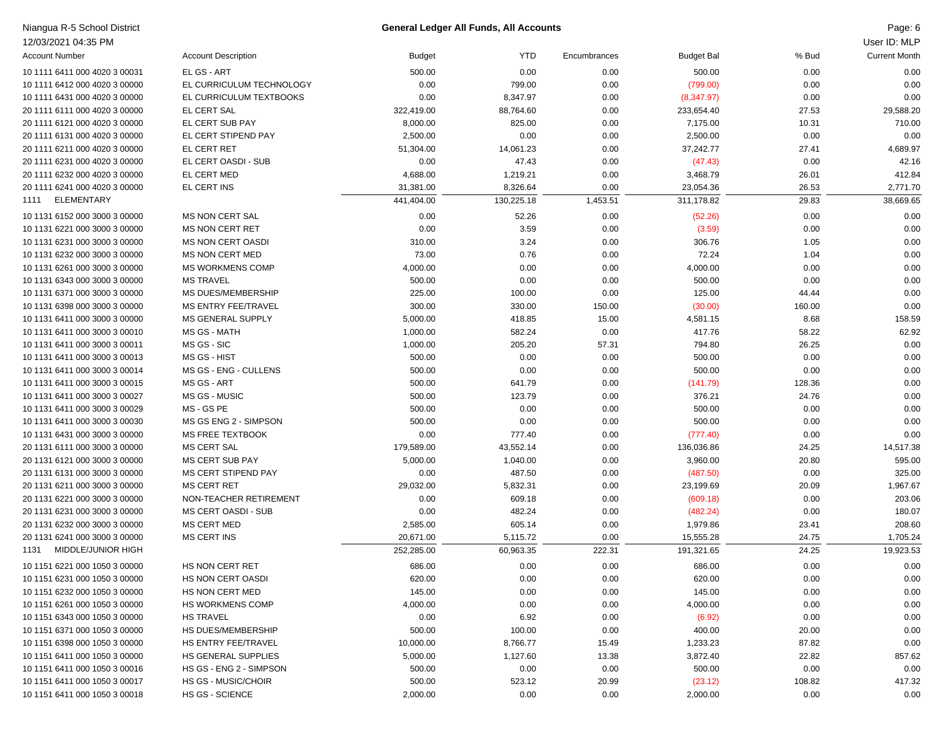| Niangua R-5 School District   |                            |               | <b>General Ledger All Funds, All Accounts</b> |              |                   |        | Page: 6              |
|-------------------------------|----------------------------|---------------|-----------------------------------------------|--------------|-------------------|--------|----------------------|
| 12/03/2021 04:35 PM           |                            |               |                                               |              |                   |        | User ID: MLP         |
| <b>Account Number</b>         | <b>Account Description</b> | <b>Budget</b> | <b>YTD</b>                                    | Encumbrances | <b>Budget Bal</b> | % Bud  | <b>Current Month</b> |
| 10 1111 6411 000 4020 3 00031 | EL GS - ART                | 500.00        | 0.00                                          | 0.00         | 500.00            | 0.00   | 0.00                 |
| 10 1111 6412 000 4020 3 00000 | EL CURRICULUM TECHNOLOGY   | 0.00          | 799.00                                        | 0.00         | (799.00)          | 0.00   | 0.00                 |
| 10 1111 6431 000 4020 3 00000 | EL CURRICULUM TEXTBOOKS    | 0.00          | 8,347.97                                      | 0.00         | (8,347.97)        | 0.00   | 0.00                 |
| 20 1111 6111 000 4020 3 00000 | <b>EL CERT SAL</b>         | 322,419.00    | 88,764.60                                     | 0.00         | 233,654.40        | 27.53  | 29,588.20            |
| 20 1111 6121 000 4020 3 00000 | EL CERT SUB PAY            | 8,000.00      | 825.00                                        | 0.00         | 7,175.00          | 10.31  | 710.00               |
| 20 1111 6131 000 4020 3 00000 | EL CERT STIPEND PAY        | 2,500.00      | 0.00                                          | 0.00         | 2,500.00          | 0.00   | 0.00                 |
| 20 1111 6211 000 4020 3 00000 | EL CERT RET                | 51,304.00     | 14,061.23                                     | 0.00         | 37,242.77         | 27.41  | 4,689.97             |
| 20 1111 6231 000 4020 3 00000 | EL CERT OASDI - SUB        | 0.00          | 47.43                                         | 0.00         | (47.43)           | 0.00   | 42.16                |
| 20 1111 6232 000 4020 3 00000 | EL CERT MED                | 4,688.00      | 1,219.21                                      | 0.00         | 3,468.79          | 26.01  | 412.84               |
| 20 1111 6241 000 4020 3 00000 | EL CERT INS                | 31,381.00     | 8,326.64                                      | 0.00         | 23,054.36         | 26.53  | 2,771.70             |
| ELEMENTARY<br>1111            |                            | 441,404.00    | 130,225.18                                    | 1,453.51     | 311,178.82        | 29.83  | 38,669.65            |
| 10 1131 6152 000 3000 3 00000 | <b>MS NON CERT SAL</b>     | 0.00          | 52.26                                         | 0.00         | (52.26)           | 0.00   | 0.00                 |
| 10 1131 6221 000 3000 3 00000 | <b>MS NON CERT RET</b>     | 0.00          | 3.59                                          | 0.00         | (3.59)            | 0.00   | 0.00                 |
| 10 1131 6231 000 3000 3 00000 | <b>MS NON CERT OASDI</b>   | 310.00        | 3.24                                          | 0.00         | 306.76            | 1.05   | 0.00                 |
| 10 1131 6232 000 3000 3 00000 | <b>MS NON CERT MED</b>     | 73.00         | 0.76                                          | 0.00         | 72.24             | 1.04   | 0.00                 |
| 10 1131 6261 000 3000 3 00000 | <b>MS WORKMENS COMP</b>    | 4,000.00      | 0.00                                          | 0.00         | 4,000.00          | 0.00   | 0.00                 |
| 10 1131 6343 000 3000 3 00000 | <b>MS TRAVEL</b>           | 500.00        | 0.00                                          | 0.00         | 500.00            | 0.00   | 0.00                 |
| 10 1131 6371 000 3000 3 00000 | MS DUES/MEMBERSHIP         | 225.00        | 100.00                                        | 0.00         | 125.00            | 44.44  | 0.00                 |
| 10 1131 6398 000 3000 3 00000 | MS ENTRY FEE/TRAVEL        | 300.00        | 330.00                                        | 150.00       | (30.00)           | 160.00 | 0.00                 |
| 10 1131 6411 000 3000 3 00000 | <b>MS GENERAL SUPPLY</b>   | 5,000.00      | 418.85                                        | 15.00        | 4,581.15          | 8.68   | 158.59               |
| 10 1131 6411 000 3000 3 00010 | MS GS - MATH               | 1,000.00      | 582.24                                        | 0.00         | 417.76            | 58.22  | 62.92                |
| 10 1131 6411 000 3000 3 00011 | MS GS - SIC                | 1,000.00      | 205.20                                        | 57.31        | 794.80            | 26.25  | 0.00                 |
| 10 1131 6411 000 3000 3 00013 | MS GS - HIST               | 500.00        | 0.00                                          | 0.00         | 500.00            | 0.00   | 0.00                 |
| 10 1131 6411 000 3000 3 00014 | MS GS - ENG - CULLENS      | 500.00        | 0.00                                          | 0.00         | 500.00            | 0.00   | 0.00                 |
| 10 1131 6411 000 3000 3 00015 | MS GS - ART                | 500.00        | 641.79                                        | 0.00         | (141.79)          | 128.36 | 0.00                 |
| 10 1131 6411 000 3000 3 00027 | MS GS - MUSIC              | 500.00        | 123.79                                        | 0.00         | 376.21            | 24.76  | 0.00                 |
| 10 1131 6411 000 3000 3 00029 | MS - GS PE                 | 500.00        | 0.00                                          | 0.00         | 500.00            | 0.00   | 0.00                 |
| 10 1131 6411 000 3000 3 00030 | MS GS ENG 2 - SIMPSON      | 500.00        | 0.00                                          | 0.00         | 500.00            | 0.00   | 0.00                 |
| 10 1131 6431 000 3000 3 00000 | <b>MS FREE TEXTBOOK</b>    | 0.00          | 777.40                                        | 0.00         | (777.40)          | 0.00   | 0.00                 |
| 20 1131 6111 000 3000 3 00000 | <b>MS CERT SAL</b>         | 179,589.00    | 43,552.14                                     | 0.00         | 136,036.86        | 24.25  | 14,517.38            |
| 20 1131 6121 000 3000 3 00000 | MS CERT SUB PAY            | 5,000.00      | 1,040.00                                      | 0.00         | 3,960.00          | 20.80  | 595.00               |
| 20 1131 6131 000 3000 3 00000 | MS CERT STIPEND PAY        | 0.00          | 487.50                                        | 0.00         | (487.50)          | 0.00   | 325.00               |
| 20 1131 6211 000 3000 3 00000 | <b>MS CERT RET</b>         | 29,032.00     | 5,832.31                                      | 0.00         | 23,199.69         | 20.09  | 1,967.67             |
| 20 1131 6221 000 3000 3 00000 | NON-TEACHER RETIREMENT     | 0.00          | 609.18                                        | 0.00         | (609.18)          | 0.00   | 203.06               |
| 20 1131 6231 000 3000 3 00000 | MS CERT OASDI - SUB        | 0.00          | 482.24                                        | 0.00         | (482.24)          | 0.00   | 180.07               |
| 20 1131 6232 000 3000 3 00000 | <b>MS CERT MED</b>         | 2,585.00      | 605.14                                        | 0.00         | 1,979.86          | 23.41  | 208.60               |
| 20 1131 6241 000 3000 3 00000 | <b>MS CERT INS</b>         | 20,671.00     | 5,115.72                                      | 0.00         | 15,555.28         | 24.75  | 1,705.24             |
| MIDDLE/JUNIOR HIGH<br>1131    |                            | 252,285.00    | 60,963.35                                     | 222.31       | 191,321.65        | 24.25  | 19,923.53            |
| 10 1151 6221 000 1050 3 00000 | HS NON CERT RET            | 686.00        | 0.00                                          | 0.00         | 686.00            | 0.00   | 0.00                 |
| 10 1151 6231 000 1050 3 00000 | HS NON CERT OASDI          | 620.00        | 0.00                                          | 0.00         | 620.00            | 0.00   | 0.00                 |
| 10 1151 6232 000 1050 3 00000 | HS NON CERT MED            | 145.00        | 0.00                                          | 0.00         | 145.00            | 0.00   | 0.00                 |
| 10 1151 6261 000 1050 3 00000 | HS WORKMENS COMP           | 4,000.00      | 0.00                                          | 0.00         | 4,000.00          | 0.00   | 0.00                 |
| 10 1151 6343 000 1050 3 00000 | <b>HS TRAVEL</b>           | 0.00          | 6.92                                          | 0.00         | (6.92)            | 0.00   | 0.00                 |
| 10 1151 6371 000 1050 3 00000 | HS DUES/MEMBERSHIP         | 500.00        | 100.00                                        | 0.00         | 400.00            | 20.00  | 0.00                 |
| 10 1151 6398 000 1050 3 00000 | HS ENTRY FEE/TRAVEL        | 10,000.00     | 8,766.77                                      | 15.49        | 1,233.23          | 87.82  | 0.00                 |
| 10 1151 6411 000 1050 3 00000 | HS GENERAL SUPPLIES        | 5,000.00      | 1,127.60                                      | 13.38        | 3,872.40          | 22.82  | 857.62               |
| 10 1151 6411 000 1050 3 00016 | HS GS - ENG 2 - SIMPSON    | 500.00        | 0.00                                          | 0.00         | 500.00            | 0.00   | 0.00                 |
| 10 1151 6411 000 1050 3 00017 | HS GS - MUSIC/CHOIR        | 500.00        | 523.12                                        | 20.99        | (23.12)           | 108.82 | 417.32               |
| 10 1151 6411 000 1050 3 00018 | HS GS - SCIENCE            | 2,000.00      | 0.00                                          | 0.00         | 2,000.00          | 0.00   | 0.00                 |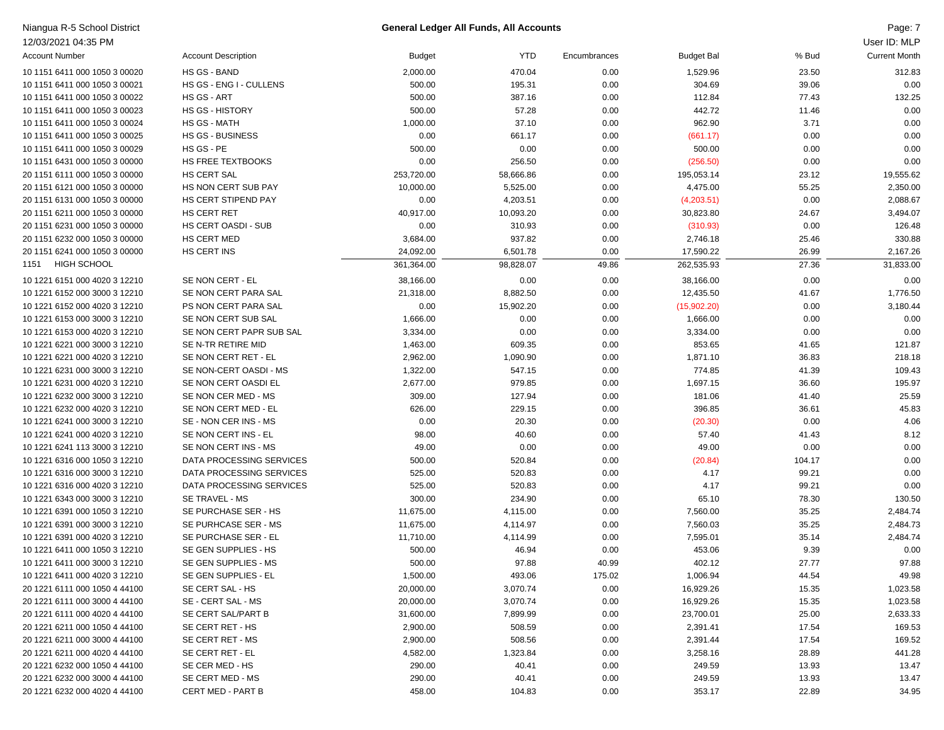| Niangua R-5 School District   |                            | <b>General Ledger All Funds, All Accounts</b> |            |              |                   |        | Page: 7              |
|-------------------------------|----------------------------|-----------------------------------------------|------------|--------------|-------------------|--------|----------------------|
| 12/03/2021 04:35 PM           |                            |                                               |            |              |                   |        | User ID: MLP         |
| <b>Account Number</b>         | <b>Account Description</b> | <b>Budget</b>                                 | <b>YTD</b> | Encumbrances | <b>Budget Bal</b> | % Bud  | <b>Current Month</b> |
| 10 1151 6411 000 1050 3 00020 | <b>HS GS - BAND</b>        | 2,000.00                                      | 470.04     | 0.00         | 1,529.96          | 23.50  | 312.83               |
| 10 1151 6411 000 1050 3 00021 | HS GS - ENG I - CULLENS    | 500.00                                        | 195.31     | 0.00         | 304.69            | 39.06  | 0.00                 |
| 10 1151 6411 000 1050 3 00022 | HS GS - ART                | 500.00                                        | 387.16     | 0.00         | 112.84            | 77.43  | 132.25               |
| 10 1151 6411 000 1050 3 00023 | <b>HS GS - HISTORY</b>     | 500.00                                        | 57.28      | 0.00         | 442.72            | 11.46  | 0.00                 |
| 10 1151 6411 000 1050 3 00024 | <b>HS GS - MATH</b>        | 1,000.00                                      | 37.10      | 0.00         | 962.90            | 3.71   | 0.00                 |
| 10 1151 6411 000 1050 3 00025 | <b>HS GS - BUSINESS</b>    | 0.00                                          | 661.17     | 0.00         | (661.17)          | 0.00   | 0.00                 |
| 10 1151 6411 000 1050 3 00029 | HS GS - PE                 | 500.00                                        | 0.00       | 0.00         | 500.00            | 0.00   | 0.00                 |
| 10 1151 6431 000 1050 3 00000 | <b>HS FREE TEXTBOOKS</b>   | 0.00                                          | 256.50     | 0.00         | (256.50)          | 0.00   | 0.00                 |
| 20 1151 6111 000 1050 3 00000 | <b>HS CERT SAL</b>         | 253,720.00                                    | 58,666.86  | 0.00         | 195,053.14        | 23.12  | 19,555.62            |
| 20 1151 6121 000 1050 3 00000 | HS NON CERT SUB PAY        | 10,000.00                                     | 5,525.00   | 0.00         | 4,475.00          | 55.25  | 2,350.00             |
| 20 1151 6131 000 1050 3 00000 | HS CERT STIPEND PAY        | 0.00                                          | 4,203.51   | 0.00         | (4,203.51)        | 0.00   | 2,088.67             |
| 20 1151 6211 000 1050 3 00000 | HS CERT RET                | 40,917.00                                     | 10,093.20  | 0.00         | 30,823.80         | 24.67  | 3,494.07             |
| 20 1151 6231 000 1050 3 00000 | HS CERT OASDI - SUB        | 0.00                                          | 310.93     | 0.00         | (310.93)          | 0.00   | 126.48               |
| 20 1151 6232 000 1050 3 00000 | <b>HS CERT MED</b>         | 3,684.00                                      | 937.82     | 0.00         | 2,746.18          | 25.46  | 330.88               |
| 20 1151 6241 000 1050 3 00000 | HS CERT INS                | 24,092.00                                     | 6,501.78   | 0.00         | 17,590.22         | 26.99  | 2,167.26             |
| <b>HIGH SCHOOL</b><br>1151    |                            | 361,364.00                                    | 98,828.07  | 49.86        | 262,535.93        | 27.36  | 31,833.00            |
| 10 1221 6151 000 4020 3 12210 | SE NON CERT - EL           | 38,166.00                                     | 0.00       | 0.00         | 38,166.00         | 0.00   | 0.00                 |
| 10 1221 6152 000 3000 3 12210 | SE NON CERT PARA SAL       | 21,318.00                                     | 8,882.50   | 0.00         | 12,435.50         | 41.67  | 1,776.50             |
| 10 1221 6152 000 4020 3 12210 | PS NON CERT PARA SAL       | 0.00                                          | 15,902.20  | 0.00         | (15,902.20)       | 0.00   | 3,180.44             |
| 10 1221 6153 000 3000 3 12210 | SE NON CERT SUB SAL        | 1,666.00                                      | 0.00       | 0.00         | 1,666.00          | 0.00   | 0.00                 |
| 10 1221 6153 000 4020 3 12210 | SE NON CERT PAPR SUB SAL   | 3,334.00                                      | 0.00       | 0.00         | 3,334.00          | 0.00   | 0.00                 |
| 10 1221 6221 000 3000 3 12210 | SE N-TR RETIRE MID         | 1,463.00                                      | 609.35     | 0.00         | 853.65            | 41.65  | 121.87               |
| 10 1221 6221 000 4020 3 12210 | SE NON CERT RET - EL       | 2,962.00                                      | 1,090.90   | 0.00         | 1,871.10          | 36.83  | 218.18               |
| 10 1221 6231 000 3000 3 12210 | SE NON-CERT OASDI - MS     | 1,322.00                                      | 547.15     | 0.00         | 774.85            | 41.39  | 109.43               |
| 10 1221 6231 000 4020 3 12210 | SE NON CERT OASDI EL       | 2,677.00                                      | 979.85     | 0.00         | 1,697.15          | 36.60  | 195.97               |
| 10 1221 6232 000 3000 3 12210 | SE NON CER MED - MS        | 309.00                                        | 127.94     | 0.00         | 181.06            | 41.40  | 25.59                |
| 10 1221 6232 000 4020 3 12210 | SE NON CERT MED - EL       | 626.00                                        | 229.15     | 0.00         | 396.85            | 36.61  | 45.83                |
| 10 1221 6241 000 3000 3 12210 | SE - NON CER INS - MS      | 0.00                                          | 20.30      | 0.00         | (20.30)           | 0.00   | 4.06                 |
| 10 1221 6241 000 4020 3 12210 | SE NON CERT INS - EL       | 98.00                                         | 40.60      | 0.00         | 57.40             | 41.43  | 8.12                 |
| 10 1221 6241 113 3000 3 12210 | SE NON CERT INS - MS       | 49.00                                         | 0.00       | 0.00         | 49.00             | 0.00   | 0.00                 |
| 10 1221 6316 000 1050 3 12210 | DATA PROCESSING SERVICES   | 500.00                                        | 520.84     | 0.00         | (20.84)           | 104.17 | 0.00                 |
| 10 1221 6316 000 3000 3 12210 | DATA PROCESSING SERVICES   | 525.00                                        | 520.83     | 0.00         | 4.17              | 99.21  | 0.00                 |
| 10 1221 6316 000 4020 3 12210 | DATA PROCESSING SERVICES   | 525.00                                        | 520.83     | 0.00         | 4.17              | 99.21  | 0.00                 |
| 10 1221 6343 000 3000 3 12210 | SE TRAVEL - MS             | 300.00                                        | 234.90     | 0.00         | 65.10             | 78.30  | 130.50               |
| 10 1221 6391 000 1050 3 12210 | SE PURCHASE SER - HS       | 11,675.00                                     | 4,115.00   | 0.00         | 7,560.00          | 35.25  | 2,484.74             |
| 10 1221 6391 000 3000 3 12210 | SE PURHCASE SER - MS       | 11,675.00                                     | 4,114.97   | 0.00         | 7,560.03          | 35.25  | 2,484.73             |
| 10 1221 6391 000 4020 3 12210 | SE PURCHASE SER - EL       | 11,710.00                                     | 4,114.99   | 0.00         | 7,595.01          | 35.14  | 2,484.74             |
| 10 1221 6411 000 1050 3 12210 | SE GEN SUPPLIES - HS       | 500.00                                        | 46.94      | 0.00         | 453.06            | 9.39   | 0.00                 |
| 10 1221 6411 000 3000 3 12210 | SE GEN SUPPLIES - MS       | 500.00                                        | 97.88      | 40.99        | 402.12            | 27.77  | 97.88                |
| 10 1221 6411 000 4020 3 12210 | SE GEN SUPPLIES - EL       | 1,500.00                                      | 493.06     | 175.02       | 1,006.94          | 44.54  | 49.98                |
| 20 1221 6111 000 1050 4 44100 | SE CERT SAL - HS           | 20,000.00                                     | 3,070.74   | 0.00         | 16,929.26         | 15.35  | 1,023.58             |
| 20 1221 6111 000 3000 4 44100 | SE - CERT SAL - MS         | 20,000.00                                     | 3,070.74   | 0.00         | 16,929.26         | 15.35  | 1,023.58             |
| 20 1221 6111 000 4020 4 44100 | SE CERT SAL/PART B         | 31,600.00                                     | 7,899.99   | 0.00         | 23,700.01         | 25.00  | 2,633.33             |
| 20 1221 6211 000 1050 4 44100 | SE CERT RET - HS           | 2,900.00                                      | 508.59     | 0.00         | 2,391.41          | 17.54  | 169.53               |
| 20 1221 6211 000 3000 4 44100 | SE CERT RET - MS           | 2,900.00                                      | 508.56     | 0.00         | 2,391.44          | 17.54  | 169.52               |
| 20 1221 6211 000 4020 4 44100 | SE CERT RET - EL           | 4,582.00                                      | 1,323.84   | 0.00         | 3,258.16          | 28.89  | 441.28               |
| 20 1221 6232 000 1050 4 44100 | SE CER MED - HS            | 290.00                                        | 40.41      | 0.00         | 249.59            | 13.93  | 13.47                |
| 20 1221 6232 000 3000 4 44100 | SE CERT MED - MS           | 290.00                                        | 40.41      | 0.00         | 249.59            | 13.93  | 13.47                |

20 1221 6232 000 4020 4 44100 CERT MED - PART B 458.00 104.83 0.00 353.17 22.89 34.95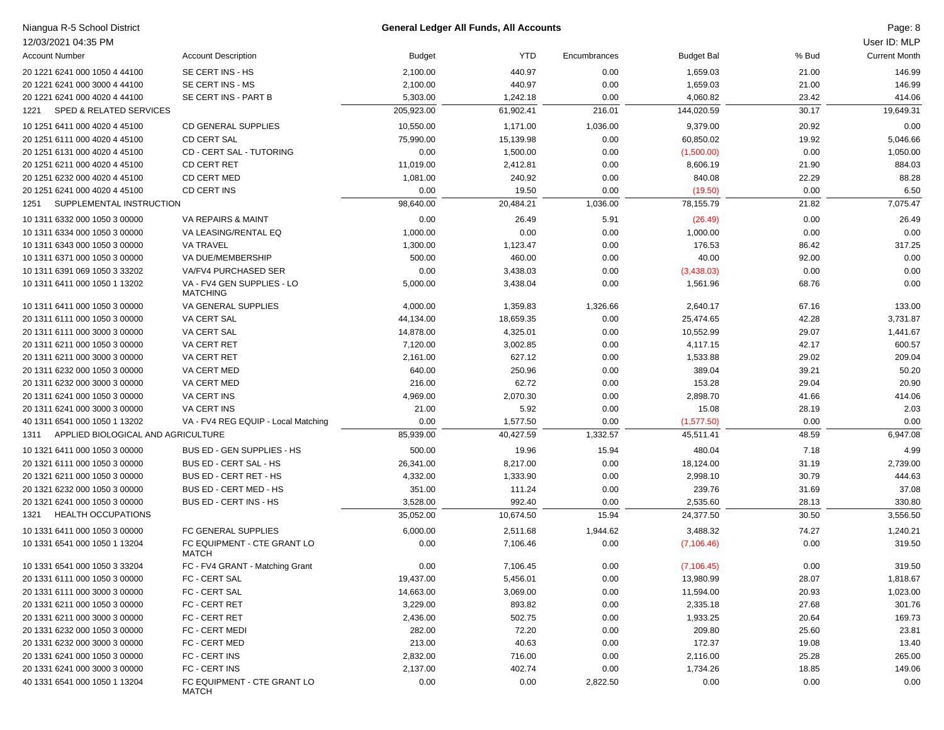| Niangua R-5 School District<br>12/03/2021 04:35 PM |                                               |               | <b>General Ledger All Funds, All Accounts</b> |              |                   |       | Page: 8<br>User ID: MLP |
|----------------------------------------------------|-----------------------------------------------|---------------|-----------------------------------------------|--------------|-------------------|-------|-------------------------|
| <b>Account Number</b>                              | <b>Account Description</b>                    | <b>Budget</b> | YTD                                           | Encumbrances | <b>Budget Bal</b> | % Bud | <b>Current Month</b>    |
| 20 1221 6241 000 1050 4 44100                      | SE CERT INS - HS                              | 2,100.00      | 440.97                                        | 0.00         | 1,659.03          | 21.00 | 146.99                  |
| 20 1221 6241 000 3000 4 44100                      | SE CERT INS - MS                              | 2,100.00      | 440.97                                        | 0.00         | 1,659.03          | 21.00 | 146.99                  |
| 20 1221 6241 000 4020 4 44100                      | SE CERT INS - PART B                          | 5,303.00      | 1,242.18                                      | 0.00         | 4,060.82          | 23.42 | 414.06                  |
| <b>SPED &amp; RELATED SERVICES</b><br>1221         |                                               | 205,923.00    | 61,902.41                                     | 216.01       | 144,020.59        | 30.17 | 19,649.31               |
| 10 1251 6411 000 4020 4 45100                      | <b>CD GENERAL SUPPLIES</b>                    | 10,550.00     | 1,171.00                                      | 1,036.00     | 9,379.00          | 20.92 | 0.00                    |
| 20 1251 6111 000 4020 4 45100                      | <b>CD CERT SAL</b>                            | 75,990.00     | 15,139.98                                     | 0.00         | 60,850.02         | 19.92 | 5,046.66                |
| 20 1251 6131 000 4020 4 45100                      | CD - CERT SAL - TUTORING                      | 0.00          | 1,500.00                                      | 0.00         | (1,500.00)        | 0.00  | 1,050.00                |
| 20 1251 6211 000 4020 4 45100                      | <b>CD CERT RET</b>                            | 11,019.00     | 2,412.81                                      | 0.00         | 8,606.19          | 21.90 | 884.03                  |
| 20 1251 6232 000 4020 4 45100                      | <b>CD CERT MED</b>                            | 1,081.00      | 240.92                                        | 0.00         | 840.08            | 22.29 | 88.28                   |
| 20 1251 6241 000 4020 4 45100                      | CD CERT INS                                   | 0.00          | 19.50                                         | 0.00         | (19.50)           | 0.00  | 6.50                    |
| SUPPLEMENTAL INSTRUCTION<br>1251                   |                                               | 98,640.00     | 20,484.21                                     | 1,036.00     | 78,155.79         | 21.82 | 7,075.47                |
|                                                    |                                               |               |                                               |              |                   |       |                         |
| 10 1311 6332 000 1050 3 00000                      | VA REPAIRS & MAINT                            | 0.00          | 26.49                                         | 5.91         | (26.49)           | 0.00  | 26.49                   |
| 10 1311 6334 000 1050 3 00000                      | VA LEASING/RENTAL EQ                          | 1,000.00      | 0.00                                          | 0.00         | 1,000.00          | 0.00  | 0.00                    |
| 10 1311 6343 000 1050 3 00000                      | <b>VA TRAVEL</b>                              | 1,300.00      | 1,123.47                                      | 0.00         | 176.53            | 86.42 | 317.25                  |
| 10 1311 6371 000 1050 3 00000                      | VA DUE/MEMBERSHIP                             | 500.00        | 460.00                                        | 0.00         | 40.00             | 92.00 | 0.00                    |
| 10 1311 6391 069 1050 3 33202                      | VA/FV4 PURCHASED SER                          | 0.00          | 3,438.03                                      | 0.00         | (3,438.03)        | 0.00  | 0.00                    |
| 10 1311 6411 000 1050 1 13202                      | VA - FV4 GEN SUPPLIES - LO<br><b>MATCHING</b> | 5,000.00      | 3,438.04                                      | 0.00         | 1,561.96          | 68.76 | 0.00                    |
| 10 1311 6411 000 1050 3 00000                      | VA GENERAL SUPPLIES                           | 4,000.00      | 1,359.83                                      | 1,326.66     | 2,640.17          | 67.16 | 133.00                  |
| 20 1311 6111 000 1050 3 00000                      | VA CERT SAL                                   | 44,134.00     | 18,659.35                                     | 0.00         | 25,474.65         | 42.28 | 3,731.87                |
| 20 1311 6111 000 3000 3 00000                      | VA CERT SAL                                   | 14,878.00     | 4,325.01                                      | 0.00         | 10,552.99         | 29.07 | 1,441.67                |
| 20 1311 6211 000 1050 3 00000                      | <b>VA CERT RET</b>                            | 7,120.00      | 3,002.85                                      | 0.00         | 4,117.15          | 42.17 | 600.57                  |
| 20 1311 6211 000 3000 3 00000                      | <b>VA CERT RET</b>                            | 2,161.00      | 627.12                                        | 0.00         | 1,533.88          | 29.02 | 209.04                  |
| 20 1311 6232 000 1050 3 00000                      | VA CERT MED                                   | 640.00        | 250.96                                        | 0.00         | 389.04            | 39.21 | 50.20                   |
| 20 1311 6232 000 3000 3 00000                      | VA CERT MED                                   | 216.00        | 62.72                                         | 0.00         | 153.28            | 29.04 | 20.90                   |
| 20 1311 6241 000 1050 3 00000                      | <b>VA CERT INS</b>                            | 4,969.00      | 2,070.30                                      | 0.00         | 2,898.70          | 41.66 | 414.06                  |
| 20 1311 6241 000 3000 3 00000                      | VA CERT INS                                   | 21.00         | 5.92                                          | 0.00         | 15.08             | 28.19 | 2.03                    |
| 40 1311 6541 000 1050 1 13202                      | VA - FV4 REG EQUIP - Local Matching           | 0.00          | 1,577.50                                      | 0.00         | (1,577.50)        | 0.00  | 0.00                    |
| APPLIED BIOLOGICAL AND AGRICULTURE<br>1311         |                                               | 85,939.00     | 40,427.59                                     | 1,332.57     | 45,511.41         | 48.59 | 6,947.08                |
| 10 1321 6411 000 1050 3 00000                      | BUS ED - GEN SUPPLIES - HS                    | 500.00        | 19.96                                         | 15.94        | 480.04            | 7.18  | 4.99                    |
| 20 1321 6111 000 1050 3 00000                      | BUS ED - CERT SAL - HS                        | 26,341.00     | 8,217.00                                      | 0.00         | 18,124.00         | 31.19 | 2,739.00                |
| 20 1321 6211 000 1050 3 00000                      | BUS ED - CERT RET - HS                        | 4,332.00      | 1,333.90                                      | 0.00         | 2,998.10          | 30.79 | 444.63                  |
| 20 1321 6232 000 1050 3 00000                      | BUS ED - CERT MED - HS                        | 351.00        | 111.24                                        | 0.00         | 239.76            | 31.69 | 37.08                   |
| 20 1321 6241 000 1050 3 00000                      | BUS ED - CERT INS - HS                        | 3,528.00      | 992.40                                        | 0.00         | 2,535.60          | 28.13 | 330.80                  |
| <b>HEALTH OCCUPATIONS</b><br>1321                  |                                               | 35,052.00     | 10,674.50                                     | 15.94        | 24,377.50         | 30.50 | 3,556.50                |
| 10 1331 6411 000 1050 3 00000                      | FC GENERAL SUPPLIES                           | 6,000.00      | 2,511.68                                      | 1,944.62     | 3,488.32          | 74.27 | 1,240.21                |
| 10 1331 6541 000 1050 1 13204                      | FC EQUIPMENT - CTE GRANT LO<br>MATCH          | 0.00          | 7,106.46                                      | 0.00         | (7, 106.46)       | 0.00  | 319.50                  |
| 10 1331 6541 000 1050 3 33204                      | FC - FV4 GRANT - Matching Grant               | 0.00          | 7,106.45                                      | 0.00         | (7, 106.45)       | 0.00  | 319.50                  |
| 20 1331 6111 000 1050 3 00000                      | FC - CERT SAL                                 | 19,437.00     | 5,456.01                                      | 0.00         | 13,980.99         | 28.07 | 1,818.67                |
| 20 1331 6111 000 3000 3 00000                      | FC - CERT SAL                                 | 14,663.00     | 3,069.00                                      | 0.00         | 11,594.00         | 20.93 | 1,023.00                |
| 20 1331 6211 000 1050 3 00000                      | FC - CERT RET                                 | 3,229.00      | 893.82                                        | 0.00         | 2,335.18          | 27.68 | 301.76                  |
| 20 1331 6211 000 3000 3 00000                      | FC - CERT RET                                 | 2,436.00      | 502.75                                        | 0.00         | 1,933.25          | 20.64 | 169.73                  |
| 20 1331 6232 000 1050 3 00000                      | FC - CERT MEDI                                | 282.00        | 72.20                                         | 0.00         | 209.80            | 25.60 | 23.81                   |
| 20 1331 6232 000 3000 3 00000                      | FC - CERT MED                                 | 213.00        | 40.63                                         | 0.00         | 172.37            | 19.08 | 13.40                   |
| 20 1331 6241 000 1050 3 00000                      | FC - CERT INS                                 | 2,832.00      | 716.00                                        | 0.00         | 2,116.00          | 25.28 | 265.00                  |
| 20 1331 6241 000 3000 3 00000                      | FC - CERT INS                                 | 2,137.00      | 402.74                                        | 0.00         | 1,734.26          | 18.85 | 149.06                  |
| 40 1331 6541 000 1050 1 13204                      | FC EQUIPMENT - CTE GRANT LO<br>MATCH          | 0.00          | 0.00                                          | 2,822.50     | 0.00              | 0.00  | 0.00                    |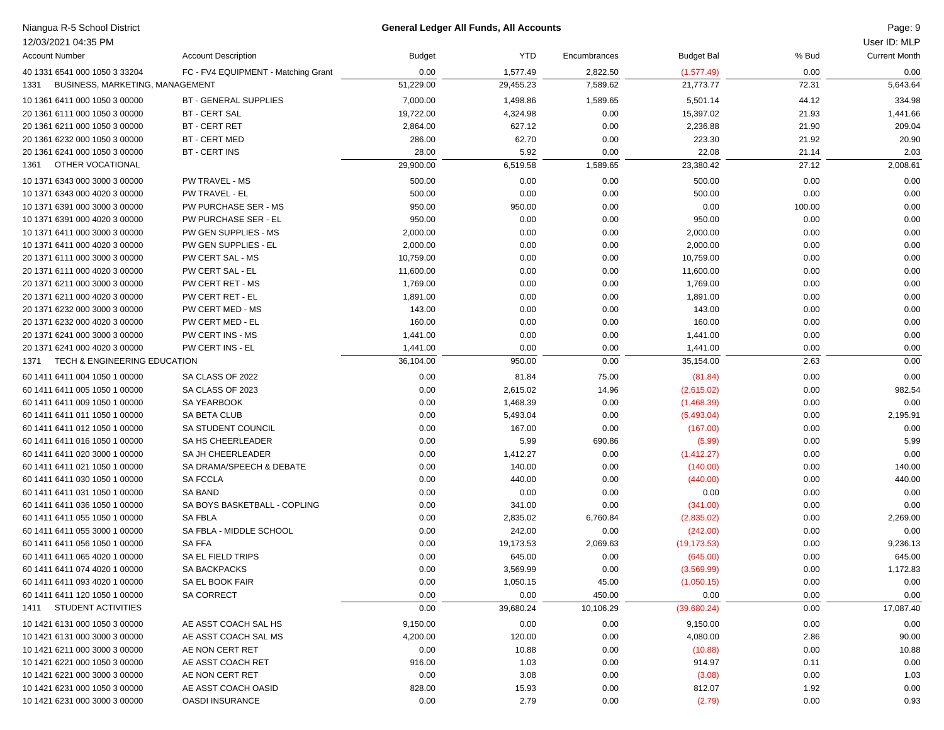| Niangua R-5 School District             |                                     |               | <b>General Ledger All Funds, All Accounts</b> |              |                   |        | Page: 9              |
|-----------------------------------------|-------------------------------------|---------------|-----------------------------------------------|--------------|-------------------|--------|----------------------|
| 12/03/2021 04:35 PM                     |                                     |               |                                               |              |                   |        | User ID: MLP         |
| <b>Account Number</b>                   | <b>Account Description</b>          | <b>Budget</b> | <b>YTD</b>                                    | Encumbrances | <b>Budget Bal</b> | % Bud  | <b>Current Month</b> |
| 40 1331 6541 000 1050 3 33204           | FC - FV4 EQUIPMENT - Matching Grant | 0.00          | 1,577.49                                      | 2,822.50     | (1,577.49)        | 0.00   | 0.00                 |
| BUSINESS, MARKETING, MANAGEMENT<br>1331 |                                     | 51,229.00     | 29,455.23                                     | 7,589.62     | 21,773.77         | 72.31  | 5,643.64             |
| 10 1361 6411 000 1050 3 00000           | <b>BT - GENERAL SUPPLIES</b>        | 7,000.00      | 1,498.86                                      | 1,589.65     | 5,501.14          | 44.12  | 334.98               |
| 20 1361 6111 000 1050 3 00000           | <b>BT - CERT SAL</b>                | 19,722.00     | 4,324.98                                      | 0.00         | 15,397.02         | 21.93  | 1,441.66             |
| 20 1361 6211 000 1050 3 00000           | <b>BT - CERT RET</b>                | 2,864.00      | 627.12                                        | 0.00         | 2,236.88          | 21.90  | 209.04               |
| 20 1361 6232 000 1050 3 00000           | BT - CERT MED                       | 286.00        | 62.70                                         | 0.00         | 223.30            | 21.92  | 20.90                |
| 20 1361 6241 000 1050 3 00000           | <b>BT - CERT INS</b>                | 28.00         | 5.92                                          | 0.00         | 22.08             | 21.14  | 2.03                 |
| OTHER VOCATIONAL<br>1361                |                                     | 29,900.00     | 6,519.58                                      | 1,589.65     | 23,380.42         | 27.12  | 2,008.61             |
| 10 1371 6343 000 3000 3 00000           | PW TRAVEL - MS                      | 500.00        | 0.00                                          | 0.00         | 500.00            | 0.00   | 0.00                 |
| 10 1371 6343 000 4020 3 00000           | PW TRAVEL - EL                      | 500.00        | 0.00                                          | 0.00         | 500.00            | 0.00   | 0.00                 |
| 10 1371 6391 000 3000 3 00000           | PW PURCHASE SER - MS                | 950.00        | 950.00                                        | 0.00         | 0.00              | 100.00 | 0.00                 |
| 10 1371 6391 000 4020 3 00000           | PW PURCHASE SER - EL                | 950.00        | 0.00                                          | 0.00         | 950.00            | 0.00   | 0.00                 |
| 10 1371 6411 000 3000 3 00000           | PW GEN SUPPLIES - MS                | 2,000.00      | 0.00                                          | 0.00         | 2,000.00          | 0.00   | 0.00                 |
| 10 1371 6411 000 4020 3 00000           | PW GEN SUPPLIES - EL                | 2,000.00      | 0.00                                          | 0.00         | 2,000.00          | 0.00   | 0.00                 |
| 20 1371 6111 000 3000 3 00000           | PW CERT SAL - MS                    | 10,759.00     | 0.00                                          | 0.00         | 10,759.00         | 0.00   | 0.00                 |
| 20 1371 6111 000 4020 3 00000           | PW CERT SAL - EL                    | 11,600.00     | 0.00                                          | 0.00         | 11,600.00         | 0.00   | 0.00                 |
| 20 1371 6211 000 3000 3 00000           | PW CERT RET - MS                    | 1,769.00      | 0.00                                          | 0.00         | 1,769.00          | 0.00   | 0.00                 |
| 20 1371 6211 000 4020 3 00000           | PW CERT RET - EL                    | 1,891.00      | 0.00                                          | 0.00         | 1,891.00          | 0.00   | 0.00                 |
| 20 1371 6232 000 3000 3 00000           | PW CERT MED - MS                    | 143.00        | 0.00                                          | 0.00         | 143.00            | 0.00   | 0.00                 |
| 20 1371 6232 000 4020 3 00000           | PW CERT MED - EL                    | 160.00        | 0.00                                          | 0.00         | 160.00            | 0.00   | 0.00                 |
| 20 1371 6241 000 3000 3 00000           | PW CERT INS - MS                    | 1,441.00      | 0.00                                          | 0.00         | 1,441.00          | 0.00   | 0.00                 |
| 20 1371 6241 000 4020 3 00000           | PW CERT INS - EL                    | 1,441.00      | 0.00                                          | 0.00         | 1,441.00          | 0.00   | 0.00                 |
| TECH & ENGINEERING EDUCATION<br>1371    |                                     | 36,104.00     | 950.00                                        | 0.00         | 35,154.00         | 2.63   | 0.00                 |
| 60 1411 6411 004 1050 1 00000           | SA CLASS OF 2022                    | 0.00          | 81.84                                         | 75.00        | (81.84)           | 0.00   | 0.00                 |
| 60 1411 6411 005 1050 1 00000           | SA CLASS OF 2023                    | 0.00          | 2,615.02                                      | 14.96        | (2,615.02)        | 0.00   | 982.54               |
| 60 1411 6411 009 1050 1 00000           | SA YEARBOOK                         | 0.00          | 1,468.39                                      | 0.00         | (1,468.39)        | 0.00   | 0.00                 |
| 60 1411 6411 011 1050 1 00000           | SA BETA CLUB                        | 0.00          | 5,493.04                                      | 0.00         | (5,493.04)        | 0.00   | 2,195.91             |
| 60 1411 6411 012 1050 1 00000           | SA STUDENT COUNCIL                  | 0.00          | 167.00                                        | 0.00         | (167.00)          | 0.00   | 0.00                 |
| 60 1411 6411 016 1050 1 00000           | SA HS CHEERLEADER                   | 0.00          | 5.99                                          | 690.86       | (5.99)            | 0.00   | 5.99                 |
| 60 1411 6411 020 3000 1 00000           | SA JH CHEERLEADER                   | 0.00          | 1,412.27                                      | 0.00         | (1,412.27)        | 0.00   | 0.00                 |
| 60 1411 6411 021 1050 1 00000           | SA DRAMA/SPEECH & DEBATE            | 0.00          | 140.00                                        | 0.00         | (140.00)          | 0.00   | 140.00               |
| 60 1411 6411 030 1050 1 00000           | <b>SA FCCLA</b>                     | 0.00          | 440.00                                        | 0.00         | (440.00)          | 0.00   | 440.00               |
| 60 1411 6411 031 1050 1 00000           | <b>SA BAND</b>                      | 0.00          | 0.00                                          | 0.00         | 0.00              | 0.00   | 0.00                 |
| 60 1411 6411 036 1050 1 00000           | SA BOYS BASKETBALL - COPLING        | 0.00          | 341.00                                        | 0.00         | (341.00)          | 0.00   | 0.00                 |
| 60 1411 6411 055 1050 1 00000           | <b>SA FBLA</b>                      | 0.00          | 2,835.02                                      | 6,760.84     | (2,835.02)        | 0.00   | 2,269.00             |
| 60 1411 6411 055 3000 1 00000           | SA FBLA - MIDDLE SCHOOL             | 0.00          | 242.00                                        | 0.00         | (242.00)          | 0.00   | 0.00                 |
| 60 1411 6411 056 1050 1 00000           | <b>SAFFA</b>                        | 0.00          | 19,173.53                                     | 2,069.63     | (19, 173.53)      | 0.00   | 9,236.13             |
| 60 1411 6411 065 4020 1 00000           | SA EL FIELD TRIPS                   | 0.00          | 645.00                                        | 0.00         | (645.00)          | 0.00   | 645.00               |
| 60 1411 6411 074 4020 1 00000           | SA BACKPACKS                        | 0.00          | 3,569.99                                      | 0.00         | (3,569.99)        | 0.00   | 1,172.83             |
| 60 1411 6411 093 4020 1 00000           | SA EL BOOK FAIR                     | 0.00          | 1,050.15                                      | 45.00        | (1,050.15)        | 0.00   | 0.00                 |
| 60 1411 6411 120 1050 1 00000           | <b>SA CORRECT</b>                   | 0.00          | 0.00                                          | 450.00       | 0.00              | 0.00   | 0.00                 |
| 1411 STUDENT ACTIVITIES                 |                                     | 0.00          | 39,680.24                                     | 10,106.29    | (39,680.24)       | 0.00   | 17,087.40            |
| 10 1421 6131 000 1050 3 00000           | AE ASST COACH SAL HS                | 9,150.00      | 0.00                                          | 0.00         | 9,150.00          | 0.00   | 0.00                 |
| 10 1421 6131 000 3000 3 00000           | AE ASST COACH SAL MS                | 4,200.00      | 120.00                                        | 0.00         | 4,080.00          | 2.86   | 90.00                |
| 10 1421 6211 000 3000 3 00000           | AE NON CERT RET                     | 0.00          | 10.88                                         | 0.00         | (10.88)           | 0.00   | 10.88                |
| 10 1421 6221 000 1050 3 00000           | AE ASST COACH RET                   | 916.00        | 1.03                                          | 0.00         | 914.97            | 0.11   | 0.00                 |
| 10 1421 6221 000 3000 3 00000           | AE NON CERT RET                     | 0.00          | 3.08                                          | 0.00         | (3.08)            | 0.00   | 1.03                 |
| 10 1421 6231 000 1050 3 00000           | AE ASST COACH OASID                 | 828.00        | 15.93                                         | 0.00         | 812.07            | 1.92   | 0.00                 |
| 10 1421 6231 000 3000 3 00000           | <b>OASDI INSURANCE</b>              | 0.00          | 2.79                                          | 0.00         | (2.79)            | 0.00   | 0.93                 |
|                                         |                                     |               |                                               |              |                   |        |                      |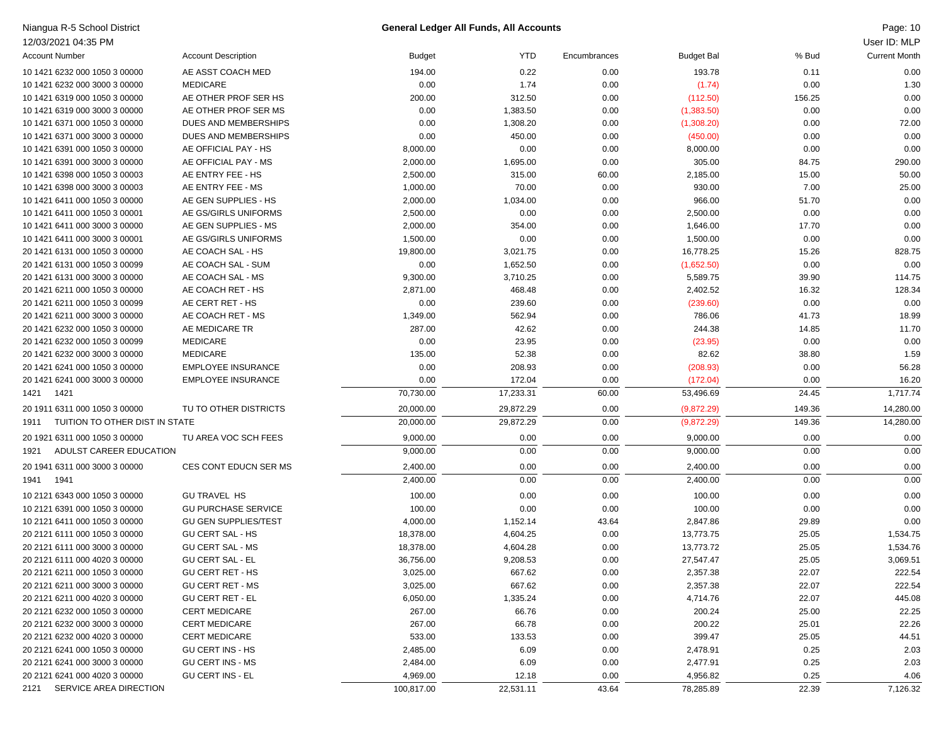| Niangua R-5 School District            |                             |               | <b>General Ledger All Funds, All Accounts</b> |              |                   |        | Page: 10             |
|----------------------------------------|-----------------------------|---------------|-----------------------------------------------|--------------|-------------------|--------|----------------------|
| 12/03/2021 04:35 PM                    |                             |               |                                               |              |                   |        | User ID: MLP         |
| <b>Account Number</b>                  | <b>Account Description</b>  | <b>Budget</b> | <b>YTD</b>                                    | Encumbrances | <b>Budget Bal</b> | % Bud  | <b>Current Month</b> |
| 10 1421 6232 000 1050 3 00000          | AE ASST COACH MED           | 194.00        | 0.22                                          | 0.00         | 193.78            | 0.11   | 0.00                 |
| 10 1421 6232 000 3000 3 00000          | <b>MEDICARE</b>             | 0.00          | 1.74                                          | 0.00         | (1.74)            | 0.00   | 1.30                 |
| 10 1421 6319 000 1050 3 00000          | AE OTHER PROF SER HS        | 200.00        | 312.50                                        | 0.00         | (112.50)          | 156.25 | 0.00                 |
| 10 1421 6319 000 3000 3 00000          | AE OTHER PROF SER MS        | 0.00          | 1,383.50                                      | 0.00         | (1,383.50)        | 0.00   | 0.00                 |
| 10 1421 6371 000 1050 3 00000          | DUES AND MEMBERSHIPS        | 0.00          | 1,308.20                                      | 0.00         | (1,308.20)        | 0.00   | 72.00                |
| 10 1421 6371 000 3000 3 00000          | DUES AND MEMBERSHIPS        | 0.00          | 450.00                                        | 0.00         | (450.00)          | 0.00   | 0.00                 |
| 10 1421 6391 000 1050 3 00000          | AE OFFICIAL PAY - HS        | 8,000.00      | 0.00                                          | 0.00         | 8,000.00          | 0.00   | 0.00                 |
| 10 1421 6391 000 3000 3 00000          | AE OFFICIAL PAY - MS        | 2,000.00      | 1,695.00                                      | 0.00         | 305.00            | 84.75  | 290.00               |
| 10 1421 6398 000 1050 3 00003          | AE ENTRY FEE - HS           | 2,500.00      | 315.00                                        | 60.00        | 2,185.00          | 15.00  | 50.00                |
| 10 1421 6398 000 3000 3 00003          | AE ENTRY FEE - MS           | 1,000.00      | 70.00                                         | 0.00         | 930.00            | 7.00   | 25.00                |
| 10 1421 6411 000 1050 3 00000          | AE GEN SUPPLIES - HS        | 2,000.00      | 1,034.00                                      | 0.00         | 966.00            | 51.70  | 0.00                 |
| 10 1421 6411 000 1050 3 00001          | AE GS/GIRLS UNIFORMS        | 2,500.00      | 0.00                                          | 0.00         | 2,500.00          | 0.00   | 0.00                 |
| 10 1421 6411 000 3000 3 00000          | AE GEN SUPPLIES - MS        | 2,000.00      | 354.00                                        | 0.00         | 1,646.00          | 17.70  | 0.00                 |
| 10 1421 6411 000 3000 3 00001          | AE GS/GIRLS UNIFORMS        | 1,500.00      | 0.00                                          | 0.00         | 1,500.00          | 0.00   | 0.00                 |
| 20 1421 6131 000 1050 3 00000          | AE COACH SAL - HS           | 19,800.00     | 3,021.75                                      | 0.00         | 16,778.25         | 15.26  | 828.75               |
| 20 1421 6131 000 1050 3 00099          | AE COACH SAL - SUM          | 0.00          | 1,652.50                                      | 0.00         | (1,652.50)        | 0.00   | 0.00                 |
| 20 1421 6131 000 3000 3 00000          | AE COACH SAL - MS           | 9,300.00      | 3,710.25                                      | 0.00         | 5,589.75          | 39.90  | 114.75               |
| 20 1421 6211 000 1050 3 00000          | AE COACH RET - HS           | 2,871.00      | 468.48                                        | 0.00         | 2,402.52          | 16.32  | 128.34               |
| 20 1421 6211 000 1050 3 00099          | AE CERT RET - HS            | 0.00          | 239.60                                        | 0.00         | (239.60)          | 0.00   | 0.00                 |
| 20 1421 6211 000 3000 3 00000          | AE COACH RET - MS           | 1,349.00      | 562.94                                        | 0.00         | 786.06            | 41.73  | 18.99                |
| 20 1421 6232 000 1050 3 00000          | AE MEDICARE TR              | 287.00        | 42.62                                         | 0.00         | 244.38            | 14.85  | 11.70                |
| 20 1421 6232 000 1050 3 00099          | <b>MEDICARE</b>             | 0.00          | 23.95                                         | 0.00         | (23.95)           | 0.00   | 0.00                 |
| 20 1421 6232 000 3000 3 00000          | <b>MEDICARE</b>             | 135.00        | 52.38                                         | 0.00         | 82.62             | 38.80  | 1.59                 |
| 20 1421 6241 000 1050 3 00000          | <b>EMPLOYEE INSURANCE</b>   | 0.00          | 208.93                                        | 0.00         | (208.93)          | 0.00   | 56.28                |
| 20 1421 6241 000 3000 3 00000          | <b>EMPLOYEE INSURANCE</b>   | 0.00          | 172.04                                        | 0.00         | (172.04)          | 0.00   | 16.20                |
| 1421<br>1421                           |                             | 70,730.00     | 17,233.31                                     | 60.00        | 53,496.69         | 24.45  | 1,717.74             |
| 20 1911 6311 000 1050 3 00000          | TU TO OTHER DISTRICTS       | 20,000.00     | 29,872.29                                     | 0.00         | (9,872.29)        | 149.36 | 14,280.00            |
| TUITION TO OTHER DIST IN STATE<br>1911 |                             | 20,000.00     | 29,872.29                                     | 0.00         | (9,872.29)        | 149.36 | 14,280.00            |
| 20 1921 6311 000 1050 3 00000          | TU AREA VOC SCH FEES        | 9,000.00      | 0.00                                          | 0.00         | 9,000.00          | 0.00   | 0.00                 |
| ADULST CAREER EDUCATION<br>1921        |                             | 9,000.00      | 0.00                                          | 0.00         | 9,000.00          | 0.00   | 0.00                 |
| 20 1941 6311 000 3000 3 00000          | CES CONT EDUCN SER MS       | 2,400.00      | 0.00                                          | 0.00         | 2,400.00          | 0.00   | 0.00                 |
| 1941<br>1941                           |                             | 2,400.00      | 0.00                                          | 0.00         | 2,400.00          | 0.00   | 0.00                 |
| 10 2121 6343 000 1050 3 00000          | <b>GU TRAVEL HS</b>         | 100.00        | 0.00                                          | 0.00         | 100.00            | 0.00   | 0.00                 |
| 10 2121 6391 000 1050 3 00000          | <b>GU PURCHASE SERVICE</b>  | 100.00        | 0.00                                          | 0.00         | 100.00            | 0.00   | 0.00                 |
| 10 2121 6411 000 1050 3 00000          | <b>GU GEN SUPPLIES/TEST</b> | 4,000.00      | 1,152.14                                      | 43.64        | 2,847.86          | 29.89  | 0.00                 |
| 20 2121 6111 000 1050 3 00000          | <b>GU CERT SAL - HS</b>     | 18,378.00     | 4,604.25                                      | 0.00         | 13,773.75         | 25.05  | 1,534.75             |
| 20 2121 6111 000 3000 3 00000          | <b>GU CERT SAL - MS</b>     | 18,378.00     | 4,604.28                                      | 0.00         | 13,773.72         | 25.05  | 1,534.76             |
| 20 2121 6111 000 4020 3 00000          | <b>GU CERT SAL - EL</b>     | 36,756.00     | 9,208.53                                      | 0.00         | 27,547.47         | 25.05  | 3,069.51             |
| 20 2121 6211 000 1050 3 00000          | <b>GU CERT RET - HS</b>     | 3,025.00      | 667.62                                        | 0.00         | 2,357.38          | 22.07  | 222.54               |
| 20 2121 6211 000 3000 3 00000          | <b>GU CERT RET - MS</b>     | 3,025.00      | 667.62                                        | 0.00         | 2,357.38          | 22.07  | 222.54               |
| 20 2121 6211 000 4020 3 00000          | <b>GU CERT RET - EL</b>     | 6,050.00      | 1,335.24                                      | 0.00         | 4,714.76          | 22.07  | 445.08               |
| 20 2121 6232 000 1050 3 00000          | <b>CERT MEDICARE</b>        | 267.00        | 66.76                                         | 0.00         | 200.24            | 25.00  | 22.25                |
| 20 2121 6232 000 3000 3 00000          | <b>CERT MEDICARE</b>        | 267.00        | 66.78                                         | 0.00         | 200.22            | 25.01  | 22.26                |
| 20 2121 6232 000 4020 3 00000          | <b>CERT MEDICARE</b>        | 533.00        | 133.53                                        | 0.00         | 399.47            | 25.05  | 44.51                |
| 20 2121 6241 000 1050 3 00000          | <b>GU CERT INS - HS</b>     | 2,485.00      | 6.09                                          | 0.00         | 2,478.91          | 0.25   | 2.03                 |
| 20 2121 6241 000 3000 3 00000          | <b>GU CERT INS - MS</b>     | 2,484.00      | 6.09                                          | 0.00         | 2,477.91          | 0.25   | 2.03                 |
| 20 2121 6241 000 4020 3 00000          | <b>GU CERT INS - EL</b>     | 4,969.00      | 12.18                                         | 0.00         | 4,956.82          | 0.25   | 4.06                 |
| 2121<br>SERVICE AREA DIRECTION         |                             | 100,817.00    | 22,531.11                                     | 43.64        | 78,285.89         | 22.39  | 7,126.32             |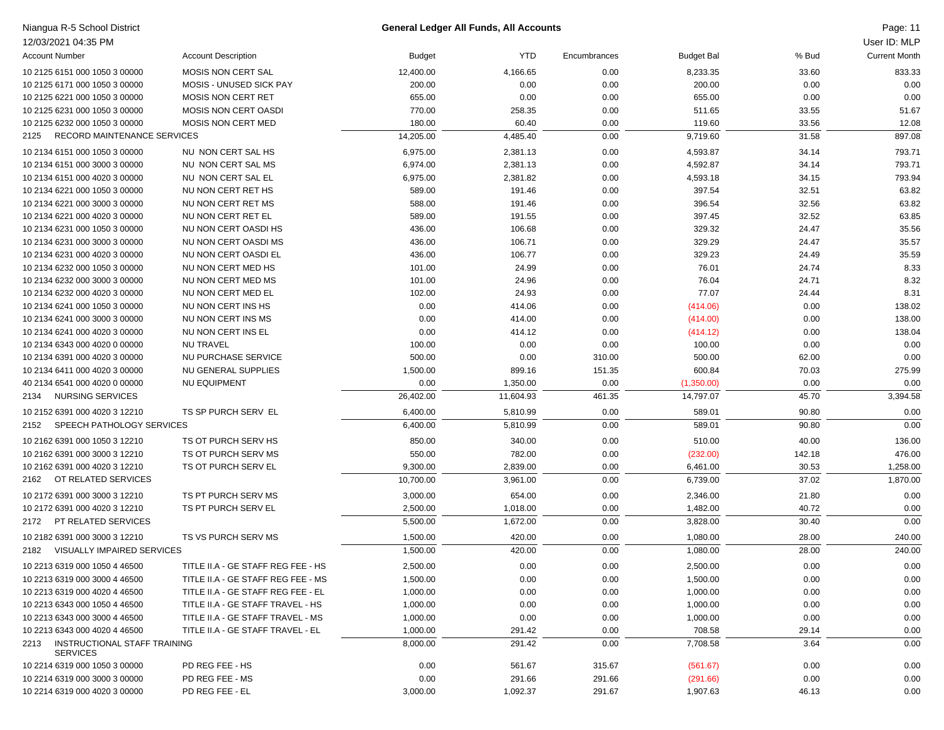| Niangua R-5 School District                             |                                    |           | General Ledger All Funds, All Accounts |              |                   |        | Page: 11             |
|---------------------------------------------------------|------------------------------------|-----------|----------------------------------------|--------------|-------------------|--------|----------------------|
| 12/03/2021 04:35 PM                                     |                                    |           |                                        |              |                   |        | User ID: MLP         |
| <b>Account Number</b>                                   | <b>Account Description</b>         | Budget    | <b>YTD</b>                             | Encumbrances | <b>Budget Bal</b> | % Bud  | <b>Current Month</b> |
| 10 2125 6151 000 1050 3 00000                           | <b>MOSIS NON CERT SAL</b>          | 12,400.00 | 4,166.65                               | 0.00         | 8,233.35          | 33.60  | 833.33               |
| 10 2125 6171 000 1050 3 00000                           | MOSIS - UNUSED SICK PAY            | 200.00    | 0.00                                   | 0.00         | 200.00            | 0.00   | 0.00                 |
| 10 2125 6221 000 1050 3 00000                           | <b>MOSIS NON CERT RET</b>          | 655.00    | 0.00                                   | 0.00         | 655.00            | 0.00   | 0.00                 |
| 10 2125 6231 000 1050 3 00000                           | MOSIS NON CERT OASDI               | 770.00    | 258.35                                 | 0.00         | 511.65            | 33.55  | 51.67                |
| 10 2125 6232 000 1050 3 00000                           | MOSIS NON CERT MED                 | 180.00    | 60.40                                  | 0.00         | 119.60            | 33.56  | 12.08                |
| RECORD MAINTENANCE SERVICES<br>2125                     |                                    | 14,205.00 | 4,485.40                               | 0.00         | 9,719.60          | 31.58  | 897.08               |
| 10 2134 6151 000 1050 3 00000                           | NU NON CERT SAL HS                 | 6,975.00  | 2,381.13                               | 0.00         | 4,593.87          | 34.14  | 793.71               |
| 10 2134 6151 000 3000 3 00000                           | NU NON CERT SAL MS                 | 6,974.00  | 2,381.13                               | 0.00         | 4,592.87          | 34.14  | 793.71               |
| 10 2134 6151 000 4020 3 00000                           | NU NON CERT SAL EL                 | 6,975.00  | 2,381.82                               | 0.00         | 4,593.18          | 34.15  | 793.94               |
| 10 2134 6221 000 1050 3 00000                           | NU NON CERT RET HS                 | 589.00    | 191.46                                 | 0.00         | 397.54            | 32.51  | 63.82                |
| 10 2134 6221 000 3000 3 00000                           | NU NON CERT RET MS                 | 588.00    | 191.46                                 | 0.00         | 396.54            | 32.56  | 63.82                |
| 10 2134 6221 000 4020 3 00000                           | NU NON CERT RET EL                 | 589.00    | 191.55                                 | 0.00         | 397.45            | 32.52  | 63.85                |
| 10 2134 6231 000 1050 3 00000                           | NU NON CERT OASDI HS               | 436.00    | 106.68                                 | 0.00         | 329.32            | 24.47  | 35.56                |
| 10 2134 6231 000 3000 3 00000                           | NU NON CERT OASDI MS               | 436.00    | 106.71                                 | 0.00         | 329.29            | 24.47  | 35.57                |
| 10 2134 6231 000 4020 3 00000                           | NU NON CERT OASDI EL               | 436.00    | 106.77                                 | 0.00         | 329.23            | 24.49  | 35.59                |
| 10 2134 6232 000 1050 3 00000                           | NU NON CERT MED HS                 | 101.00    | 24.99                                  | 0.00         | 76.01             | 24.74  | 8.33                 |
| 10 2134 6232 000 3000 3 00000                           | NU NON CERT MED MS                 | 101.00    | 24.96                                  | 0.00         | 76.04             | 24.71  | 8.32                 |
| 10 2134 6232 000 4020 3 00000                           | NU NON CERT MED EL                 | 102.00    | 24.93                                  | 0.00         | 77.07             | 24.44  | 8.31                 |
| 10 2134 6241 000 1050 3 00000                           | NU NON CERT INS HS                 | 0.00      | 414.06                                 | 0.00         | (414.06)          | 0.00   | 138.02               |
| 10 2134 6241 000 3000 3 00000                           | NU NON CERT INS MS                 | 0.00      | 414.00                                 | 0.00         | (414.00)          | 0.00   | 138.00               |
| 10 2134 6241 000 4020 3 00000                           | NU NON CERT INS EL                 | 0.00      | 414.12                                 | 0.00         | (414.12)          | 0.00   | 138.04               |
| 10 2134 6343 000 4020 0 00000                           | <b>NU TRAVEL</b>                   | 100.00    | 0.00                                   | 0.00         | 100.00            | 0.00   | 0.00                 |
| 10 2134 6391 000 4020 3 00000                           | NU PURCHASE SERVICE                | 500.00    | 0.00                                   | 310.00       | 500.00            | 62.00  | 0.00                 |
| 10 2134 6411 000 4020 3 00000                           | NU GENERAL SUPPLIES                | 1,500.00  | 899.16                                 | 151.35       | 600.84            | 70.03  | 275.99               |
| 40 2134 6541 000 4020 0 00000                           | <b>NU EQUIPMENT</b>                | 0.00      | 1,350.00                               | 0.00         | (1,350.00)        | 0.00   | 0.00                 |
| <b>NURSING SERVICES</b><br>2134                         |                                    | 26,402.00 | 11,604.93                              | 461.35       | 14,797.07         | 45.70  | 3,394.58             |
| 10 2152 6391 000 4020 3 12210                           | TS SP PURCH SERV EL                | 6,400.00  | 5,810.99                               | 0.00         | 589.01            | 90.80  | 0.00                 |
| SPEECH PATHOLOGY SERVICES<br>2152                       |                                    | 6,400.00  | 5,810.99                               | 0.00         | 589.01            | 90.80  | 0.00                 |
| 10 2162 6391 000 1050 3 12210                           | TS OT PURCH SERV HS                | 850.00    | 340.00                                 | 0.00         | 510.00            | 40.00  | 136.00               |
| 10 2162 6391 000 3000 3 12210                           | TS OT PURCH SERV MS                | 550.00    | 782.00                                 | 0.00         | (232.00)          | 142.18 | 476.00               |
| 10 2162 6391 000 4020 3 12210                           | TS OT PURCH SERV EL                | 9,300.00  | 2,839.00                               | 0.00         | 6,461.00          | 30.53  | 1,258.00             |
| OT RELATED SERVICES<br>2162                             |                                    | 10,700.00 | 3,961.00                               | 0.00         | 6,739.00          | 37.02  | 1,870.00             |
| 10 2172 6391 000 3000 3 12210                           | TS PT PURCH SERV MS                | 3,000.00  | 654.00                                 | 0.00         | 2,346.00          | 21.80  | 0.00                 |
| 10 2172 6391 000 4020 3 12210                           | TS PT PURCH SERV EL                | 2,500.00  | 1,018.00                               | 0.00         | 1,482.00          | 40.72  | 0.00                 |
| PT RELATED SERVICES<br>2172                             |                                    | 5,500.00  | 1,672.00                               | 0.00         | 3,828.00          | 30.40  | 0.00                 |
| 10 2182 6391 000 3000 3 12210                           | TS VS PURCH SERV MS                | 1,500.00  | 420.00                                 | 0.00         | 1,080.00          | 28.00  | 240.00               |
| VISUALLY IMPAIRED SERVICES<br>2182                      |                                    | 1,500.00  | 420.00                                 | 0.00         | 1,080.00          | 28.00  | 240.00               |
| 10 2213 6319 000 1050 4 46500                           | TITLE II.A - GE STAFF REG FEE - HS | 2,500.00  | 0.00                                   | 0.00         | 2,500.00          | 0.00   | 0.00                 |
| 10 2213 6319 000 3000 4 46500                           | TITLE II.A - GE STAFF REG FEE - MS | 1,500.00  | 0.00                                   | 0.00         | 1,500.00          | 0.00   | 0.00                 |
| 10 2213 6319 000 4020 4 46500                           | TITLE II.A - GE STAFF REG FEE - EL | 1,000.00  | 0.00                                   | 0.00         | 1,000.00          | 0.00   | 0.00                 |
| 10 2213 6343 000 1050 4 46500                           | TITLE II.A - GE STAFF TRAVEL - HS  | 1,000.00  | 0.00                                   | 0.00         | 1,000.00          | 0.00   | 0.00                 |
| 10 2213 6343 000 3000 4 46500                           | TITLE II.A - GE STAFF TRAVEL - MS  | 1,000.00  | 0.00                                   | 0.00         | 1,000.00          | 0.00   | 0.00                 |
| 10 2213 6343 000 4020 4 46500                           | TITLE II.A - GE STAFF TRAVEL - EL  | 1,000.00  | 291.42                                 | 0.00         | 708.58            | 29.14  | 0.00                 |
| INSTRUCTIONAL STAFF TRAINING<br>2213<br><b>SERVICES</b> |                                    | 8,000.00  | 291.42                                 | 0.00         | 7,708.58          | 3.64   | 0.00                 |
| 10 2214 6319 000 1050 3 00000                           | PD REG FEE - HS                    | 0.00      | 561.67                                 | 315.67       | (561.67)          | 0.00   | 0.00                 |
| 10 2214 6319 000 3000 3 00000                           | PD REG FEE - MS                    | 0.00      | 291.66                                 | 291.66       | (291.66)          | 0.00   | 0.00                 |
| 10 2214 6319 000 4020 3 00000                           | PD REG FEE - EL                    | 3,000.00  | 1,092.37                               | 291.67       | 1,907.63          | 46.13  | 0.00                 |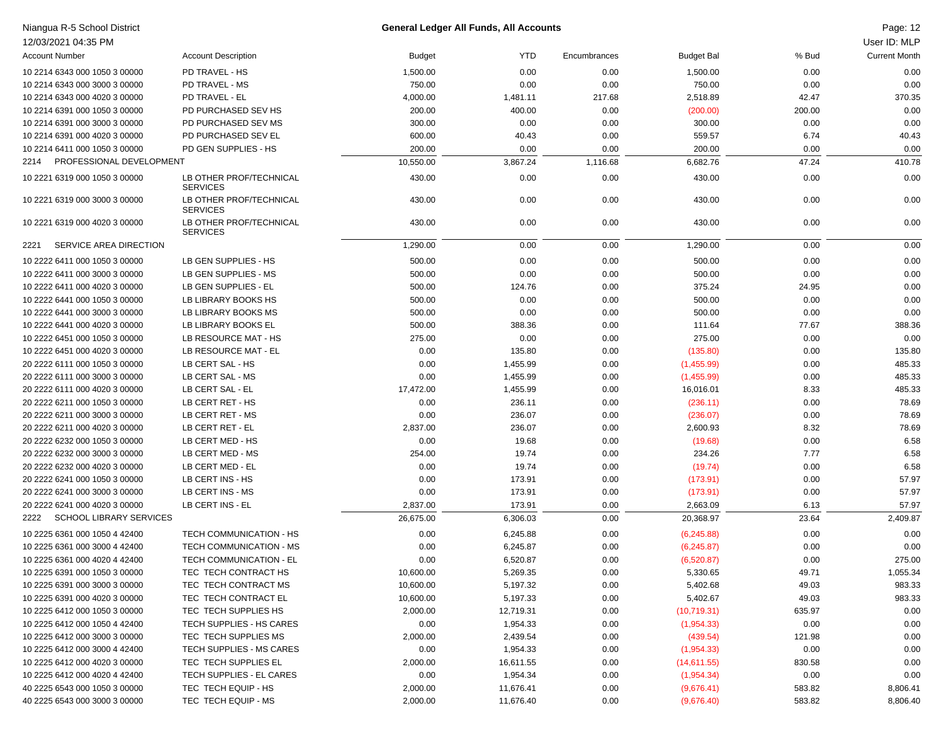| Niangua R-5 School District                                    |                                                 |                        | <b>General Ledger All Funds, All Accounts</b> |              |                   |        | Page: 12             |
|----------------------------------------------------------------|-------------------------------------------------|------------------------|-----------------------------------------------|--------------|-------------------|--------|----------------------|
| 12/03/2021 04:35 PM                                            |                                                 |                        |                                               |              |                   |        | User ID: MLP         |
| <b>Account Number</b>                                          | <b>Account Description</b>                      | <b>Budget</b>          | <b>YTD</b>                                    | Encumbrances | <b>Budget Bal</b> | % Bud  | <b>Current Month</b> |
| 10 2214 6343 000 1050 3 00000                                  | PD TRAVEL - HS                                  | 1,500.00               | 0.00                                          | 0.00         | 1,500.00          | 0.00   | 0.00                 |
| 10 2214 6343 000 3000 3 00000                                  | PD TRAVEL - MS                                  | 750.00                 | 0.00                                          | 0.00         | 750.00            | 0.00   | 0.00                 |
| 10 2214 6343 000 4020 3 00000                                  | PD TRAVEL - EL                                  | 4,000.00               | 1,481.11                                      | 217.68       | 2,518.89          | 42.47  | 370.35               |
| 10 2214 6391 000 1050 3 00000                                  | PD PURCHASED SEV HS                             | 200.00                 | 400.00                                        | 0.00         | (200.00)          | 200.00 | 0.00                 |
| 10 2214 6391 000 3000 3 00000                                  | PD PURCHASED SEV MS                             | 300.00                 | 0.00                                          | 0.00         | 300.00            | 0.00   | 0.00                 |
| 10 2214 6391 000 4020 3 00000                                  | PD PURCHASED SEV EL                             | 600.00                 | 40.43                                         | 0.00         | 559.57            | 6.74   | 40.43                |
| 10 2214 6411 000 1050 3 00000                                  | PD GEN SUPPLIES - HS                            | 200.00                 | 0.00                                          | 0.00         | 200.00            | 0.00   | 0.00                 |
| PROFESSIONAL DEVELOPMENT<br>2214                               |                                                 | 10,550.00              | 3,867.24                                      | 1,116.68     | 6,682.76          | 47.24  | 410.78               |
| 10 2221 6319 000 1050 3 00000                                  | LB OTHER PROF/TECHNICAL<br><b>SERVICES</b>      | 430.00                 | 0.00                                          | 0.00         | 430.00            | 0.00   | 0.00                 |
| 10 2221 6319 000 3000 3 00000                                  | LB OTHER PROF/TECHNICAL<br><b>SERVICES</b>      | 430.00                 | 0.00                                          | 0.00         | 430.00            | 0.00   | 0.00                 |
| 10 2221 6319 000 4020 3 00000                                  | LB OTHER PROF/TECHNICAL<br><b>SERVICES</b>      | 430.00                 | 0.00                                          | 0.00         | 430.00            | 0.00   | 0.00                 |
| SERVICE AREA DIRECTION<br>2221                                 |                                                 | 1,290.00               | 0.00                                          | 0.00         | 1,290.00          | 0.00   | 0.00                 |
| 10 2222 6411 000 1050 3 00000                                  | LB GEN SUPPLIES - HS                            | 500.00                 | 0.00                                          | 0.00         | 500.00            | 0.00   | 0.00                 |
| 10 2222 6411 000 3000 3 00000                                  | LB GEN SUPPLIES - MS                            | 500.00                 | 0.00                                          | 0.00         | 500.00            | 0.00   | 0.00                 |
| 10 2222 6411 000 4020 3 00000                                  | LB GEN SUPPLIES - EL                            | 500.00                 | 124.76                                        | 0.00         | 375.24            | 24.95  | 0.00                 |
| 10 2222 6441 000 1050 3 00000                                  | LB LIBRARY BOOKS HS                             | 500.00                 | 0.00                                          | 0.00         | 500.00            | 0.00   | 0.00                 |
| 10 2222 6441 000 3000 3 00000                                  | LB LIBRARY BOOKS MS                             | 500.00                 | 0.00                                          | 0.00         | 500.00            | 0.00   | 0.00                 |
| 10 2222 6441 000 4020 3 00000                                  | LB LIBRARY BOOKS EL                             | 500.00                 | 388.36                                        | 0.00         | 111.64            | 77.67  | 388.36               |
| 10 2222 6451 000 1050 3 00000                                  | LB RESOURCE MAT - HS                            | 275.00                 | 0.00                                          | 0.00         | 275.00            | 0.00   | 0.00                 |
| 10 2222 6451 000 4020 3 00000                                  | LB RESOURCE MAT - EL                            | 0.00                   | 135.80                                        | 0.00         | (135.80)          | 0.00   | 135.80               |
| 20 2222 6111 000 1050 3 00000                                  | LB CERT SAL - HS                                | 0.00                   | 1,455.99                                      | 0.00         | (1,455.99)        | 0.00   | 485.33               |
| 20 2222 6111 000 3000 3 00000                                  | LB CERT SAL - MS                                | 0.00                   | 1,455.99                                      | 0.00         | (1,455.99)        | 0.00   | 485.33               |
| 20 2222 6111 000 4020 3 00000                                  | LB CERT SAL - EL                                | 17,472.00              | 1,455.99                                      | 0.00         | 16,016.01         | 8.33   | 485.33               |
| 20 2222 6211 000 1050 3 00000                                  | LB CERT RET - HS                                | 0.00                   | 236.11                                        | 0.00         | (236.11)          | 0.00   | 78.69                |
| 20 2222 6211 000 3000 3 00000                                  | LB CERT RET - MS                                | 0.00                   | 236.07                                        | 0.00         | (236.07)          | 0.00   | 78.69                |
| 20 2222 6211 000 4020 3 00000                                  | LB CERT RET - EL                                | 2,837.00               | 236.07                                        | 0.00         | 2,600.93          | 8.32   | 78.69                |
| 20 2222 6232 000 1050 3 00000                                  | LB CERT MED - HS                                | 0.00                   | 19.68                                         | 0.00         | (19.68)           | 0.00   | 6.58                 |
| 20 2222 6232 000 3000 3 00000                                  | LB CERT MED - MS                                | 254.00                 | 19.74                                         | 0.00         | 234.26            | 7.77   | 6.58                 |
| 20 2222 6232 000 4020 3 00000                                  | LB CERT MED - EL                                | 0.00                   | 19.74                                         | 0.00         | (19.74)           | 0.00   | 6.58                 |
| 20 2222 6241 000 1050 3 00000                                  | LB CERT INS - HS                                | 0.00                   | 173.91                                        | 0.00         | (173.91)          | 0.00   | 57.97                |
| 20 2222 6241 000 3000 3 00000                                  | LB CERT INS - MS                                | 0.00                   | 173.91                                        | 0.00         | (173.91)          | 0.00   | 57.97                |
| 20 2222 6241 000 4020 3 00000                                  | LB CERT INS - EL                                | 2,837.00               | 173.91                                        | 0.00         | 2,663.09          | 6.13   | 57.97                |
| <b>SCHOOL LIBRARY SERVICES</b><br>2222                         |                                                 | 26,675.00              | 6,306.03                                      | 0.00         | 20,368.97         | 23.64  | 2,409.87             |
| 10 2225 6361 000 1050 4 42400                                  | TECH COMMUNICATION - HS                         | 0.00                   | 6,245.88                                      | 0.00         | (6,245.88)        | 0.00   | 0.00                 |
| 10 2225 6361 000 3000 4 42400                                  | TECH COMMUNICATION - MS                         | 0.00                   | 6,245.87                                      | 0.00         | (6,245.87)        | 0.00   | 0.00                 |
|                                                                |                                                 |                        |                                               | 0.00         |                   |        | 275.00               |
| 10 2225 6361 000 4020 4 42400<br>10 2225 6391 000 1050 3 00000 | TECH COMMUNICATION - EL<br>TEC TECH CONTRACT HS | 0.00                   | 6,520.87                                      |              | (6,520.87)        | 0.00   |                      |
| 10 2225 6391 000 3000 3 00000                                  | TEC TECH CONTRACT MS                            | 10,600.00<br>10,600.00 | 5,269.35                                      | 0.00         | 5,330.65          | 49.71  | 1,055.34<br>983.33   |
| 10 2225 6391 000 4020 3 00000                                  | TEC TECH CONTRACT EL                            |                        | 5,197.32                                      | 0.00         | 5,402.68          | 49.03  | 983.33               |
| 10 2225 6412 000 1050 3 00000                                  | TEC TECH SUPPLIES HS                            | 10,600.00              | 5,197.33                                      | 0.00         | 5,402.67          | 49.03  |                      |
|                                                                |                                                 | 2,000.00               | 12,719.31                                     | 0.00         | (10,719.31)       | 635.97 | 0.00                 |
| 10 2225 6412 000 1050 4 42400<br>10 2225 6412 000 3000 3 00000 | TECH SUPPLIES - HS CARES                        | 0.00                   | 1,954.33                                      | 0.00         | (1,954.33)        | 0.00   | 0.00                 |
|                                                                | TEC TECH SUPPLIES MS                            | 2,000.00               | 2,439.54                                      | 0.00         | (439.54)          | 121.98 | 0.00                 |
| 10 2225 6412 000 3000 4 42400                                  | TECH SUPPLIES - MS CARES                        | 0.00                   | 1,954.33                                      | 0.00         | (1,954.33)        | 0.00   | 0.00                 |
| 10 2225 6412 000 4020 3 00000                                  | TEC TECH SUPPLIES EL                            | 2,000.00               | 16,611.55                                     | 0.00         | (14,611.55)       | 830.58 | 0.00                 |
| 10 2225 6412 000 4020 4 42400                                  | TECH SUPPLIES - EL CARES                        | 0.00                   | 1,954.34                                      | 0.00         | (1,954.34)        | 0.00   | 0.00                 |
| 40 2225 6543 000 1050 3 00000                                  | TEC TECH EQUIP - HS                             | 2,000.00               | 11,676.41                                     | 0.00         | (9,676.41)        | 583.82 | 8,806.41             |
| 40 2225 6543 000 3000 3 00000                                  | TEC TECH EQUIP - MS                             | 2,000.00               | 11,676.40                                     | 0.00         | (9,676.40)        | 583.82 | 8,806.40             |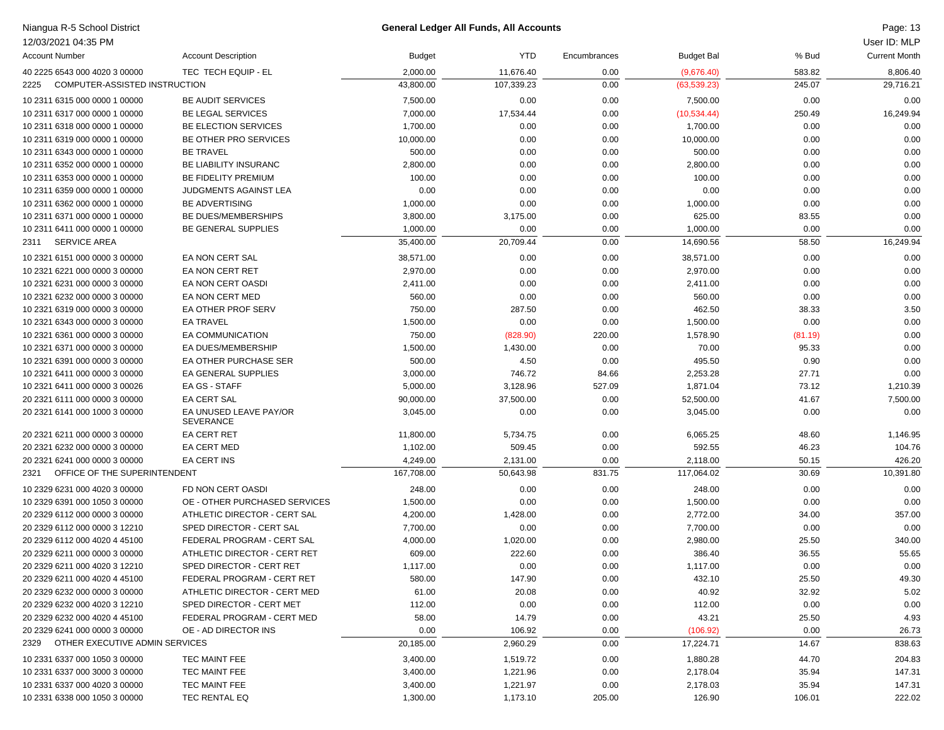| Niangua R-5 School District            |                               | <b>General Ledger All Funds, All Accounts</b> |            |              |                   |         | Page: 13             |
|----------------------------------------|-------------------------------|-----------------------------------------------|------------|--------------|-------------------|---------|----------------------|
| 12/03/2021 04:35 PM                    |                               |                                               |            |              |                   |         | User ID: MLP         |
| <b>Account Number</b>                  | <b>Account Description</b>    | <b>Budget</b>                                 | <b>YTD</b> | Encumbrances | <b>Budget Bal</b> | % Bud   | <b>Current Month</b> |
| 40 2225 6543 000 4020 3 00000          | TEC TECH EQUIP - EL           | 2,000.00                                      | 11,676.40  | 0.00         | (9,676.40)        | 583.82  | 8,806.40             |
| COMPUTER-ASSISTED INSTRUCTION<br>2225  |                               | 43,800.00                                     | 107,339.23 | 0.00         | (63, 539.23)      | 245.07  | 29,716.21            |
| 10 2311 6315 000 0000 1 00000          | <b>BE AUDIT SERVICES</b>      | 7,500.00                                      | 0.00       | 0.00         | 7,500.00          | 0.00    | 0.00                 |
| 10 2311 6317 000 0000 1 00000          | <b>BE LEGAL SERVICES</b>      | 7,000.00                                      | 17,534.44  | 0.00         | (10,534.44)       | 250.49  | 16,249.94            |
| 10 2311 6318 000 0000 1 00000          | BE ELECTION SERVICES          | 1,700.00                                      | 0.00       | 0.00         | 1,700.00          | 0.00    | 0.00                 |
| 10 2311 6319 000 0000 1 00000          | BE OTHER PRO SERVICES         | 10,000.00                                     | 0.00       | 0.00         | 10,000.00         | 0.00    | 0.00                 |
| 10 2311 6343 000 0000 1 00000          | <b>BE TRAVEL</b>              | 500.00                                        | 0.00       | 0.00         | 500.00            | 0.00    | 0.00                 |
| 10 2311 6352 000 0000 1 00000          | BE LIABILITY INSURANC         | 2,800.00                                      | 0.00       | 0.00         | 2,800.00          | 0.00    | 0.00                 |
| 10 2311 6353 000 0000 1 00000          | <b>BE FIDELITY PREMIUM</b>    | 100.00                                        | 0.00       | 0.00         | 100.00            | 0.00    | 0.00                 |
| 10 2311 6359 000 0000 1 00000          | JUDGMENTS AGAINST LEA         | 0.00                                          | 0.00       | 0.00         | 0.00              | 0.00    | 0.00                 |
| 10 2311 6362 000 0000 1 00000          | <b>BE ADVERTISING</b>         | 1,000.00                                      | 0.00       | 0.00         | 1,000.00          | 0.00    | 0.00                 |
| 10 2311 6371 000 0000 1 00000          | BE DUES/MEMBERSHIPS           | 3,800.00                                      | 3,175.00   | 0.00         | 625.00            | 83.55   | 0.00                 |
| 10 2311 6411 000 0000 1 00000          | BE GENERAL SUPPLIES           | 1,000.00                                      | 0.00       | 0.00         | 1,000.00          | 0.00    | 0.00                 |
| <b>SERVICE AREA</b><br>2311            |                               | 35,400.00                                     | 20,709.44  | 0.00         | 14,690.56         | 58.50   | 16,249.94            |
| 10 2321 6151 000 0000 3 00000          | EA NON CERT SAL               | 38,571.00                                     | 0.00       | 0.00         | 38,571.00         | 0.00    | 0.00                 |
| 10 2321 6221 000 0000 3 00000          | EA NON CERT RET               | 2,970.00                                      | 0.00       | 0.00         | 2,970.00          | 0.00    | 0.00                 |
| 10 2321 6231 000 0000 3 00000          | EA NON CERT OASDI             | 2,411.00                                      | 0.00       | 0.00         | 2,411.00          | 0.00    | 0.00                 |
| 10 2321 6232 000 0000 3 00000          | EA NON CERT MED               | 560.00                                        | 0.00       | 0.00         | 560.00            | 0.00    | 0.00                 |
| 10 2321 6319 000 0000 3 00000          | EA OTHER PROF SERV            | 750.00                                        | 287.50     | 0.00         | 462.50            | 38.33   | 3.50                 |
| 10 2321 6343 000 0000 3 00000          | <b>EA TRAVEL</b>              | 1,500.00                                      | 0.00       | 0.00         | 1,500.00          | 0.00    | 0.00                 |
| 10 2321 6361 000 0000 3 00000          | EA COMMUNICATION              | 750.00                                        | (828.90)   | 220.00       | 1,578.90          | (81.19) | 0.00                 |
| 10 2321 6371 000 0000 3 00000          | EA DUES/MEMBERSHIP            | 1,500.00                                      | 1,430.00   | 0.00         | 70.00             | 95.33   | 0.00                 |
| 10 2321 6391 000 0000 3 00000          | EA OTHER PURCHASE SER         | 500.00                                        | 4.50       | 0.00         | 495.50            | 0.90    | 0.00                 |
| 10 2321 6411 000 0000 3 00000          | EA GENERAL SUPPLIES           | 3,000.00                                      | 746.72     | 84.66        | 2,253.28          | 27.71   | 0.00                 |
| 10 2321 6411 000 0000 3 00026          | EA GS - STAFF                 | 5,000.00                                      | 3,128.96   | 527.09       | 1,871.04          | 73.12   | 1,210.39             |
| 20 2321 6111 000 0000 3 00000          | <b>EA CERT SAL</b>            | 90,000.00                                     | 37,500.00  | 0.00         | 52,500.00         | 41.67   | 7,500.00             |
| 20 2321 6141 000 1000 3 00000          | EA UNUSED LEAVE PAY/OR        | 3,045.00                                      | 0.00       | 0.00         | 3,045.00          | 0.00    | 0.00                 |
|                                        | <b>SEVERANCE</b>              |                                               |            |              |                   |         |                      |
| 20 2321 6211 000 0000 3 00000          | <b>EA CERT RET</b>            | 11,800.00                                     | 5,734.75   | 0.00         | 6,065.25          | 48.60   | 1,146.95             |
| 20 2321 6232 000 0000 3 00000          | <b>EA CERT MED</b>            | 1,102.00                                      | 509.45     | 0.00         | 592.55            | 46.23   | 104.76               |
| 20 2321 6241 000 0000 3 00000          | EA CERT INS                   | 4,249.00                                      | 2,131.00   | 0.00         | 2,118.00          | 50.15   | 426.20               |
| 2321 OFFICE OF THE SUPERINTENDENT      |                               | 167,708.00                                    | 50,643.98  | 831.75       | 117,064.02        | 30.69   | 10,391.80            |
| 10 2329 6231 000 4020 3 00000          | FD NON CERT OASDI             | 248.00                                        | 0.00       | 0.00         | 248.00            | 0.00    | 0.00                 |
| 10 2329 6391 000 1050 3 00000          | OE - OTHER PURCHASED SERVICES | 1,500.00                                      | 0.00       | 0.00         | 1,500.00          | 0.00    | 0.00                 |
| 20 2329 6112 000 0000 3 00000          | ATHLETIC DIRECTOR - CERT SAL  | 4,200.00                                      | 1,428.00   | 0.00         | 2,772.00          | 34.00   | 357.00               |
| 20 2329 6112 000 0000 3 12210          | SPED DIRECTOR - CERT SAL      | 7,700.00                                      | 0.00       | 0.00         | 7,700.00          | 0.00    | 0.00                 |
| 20 2329 6112 000 4020 4 45100          | FEDERAL PROGRAM - CERT SAL    | 4,000.00                                      | 1,020.00   | 0.00         | 2,980.00          | 25.50   | 340.00               |
| 20 2329 6211 000 0000 3 00000          | ATHLETIC DIRECTOR - CERT RET  | 609.00                                        | 222.60     | 0.00         | 386.40            | 36.55   | 55.65                |
| 20 2329 6211 000 4020 3 12210          | SPED DIRECTOR - CERT RET      | 1,117.00                                      | 0.00       | 0.00         | 1,117.00          | 0.00    | 0.00                 |
| 20 2329 6211 000 4020 4 45100          | FEDERAL PROGRAM - CERT RET    | 580.00                                        | 147.90     | 0.00         | 432.10            | 25.50   | 49.30                |
| 20 2329 6232 000 0000 3 00000          | ATHLETIC DIRECTOR - CERT MED  | 61.00                                         | 20.08      | 0.00         | 40.92             | 32.92   | 5.02                 |
| 20 2329 6232 000 4020 3 12210          | SPED DIRECTOR - CERT MET      | 112.00                                        | 0.00       | 0.00         | 112.00            | 0.00    | 0.00                 |
| 20 2329 6232 000 4020 4 45100          | FEDERAL PROGRAM - CERT MED    | 58.00                                         | 14.79      | 0.00         | 43.21             | 25.50   | 4.93                 |
| 20 2329 6241 000 0000 3 00000          | OE - AD DIRECTOR INS          | 0.00                                          | 106.92     | 0.00         | (106.92)          | 0.00    | 26.73                |
| OTHER EXECUTIVE ADMIN SERVICES<br>2329 |                               | 20,185.00                                     | 2,960.29   | 0.00         | 17,224.71         | 14.67   | 838.63               |
| 10 2331 6337 000 1050 3 00000          | TEC MAINT FEE                 | 3,400.00                                      | 1,519.72   | 0.00         | 1,880.28          | 44.70   | 204.83               |
| 10 2331 6337 000 3000 3 00000          | TEC MAINT FEE                 | 3,400.00                                      | 1,221.96   | 0.00         | 2,178.04          | 35.94   | 147.31               |
| 10 2331 6337 000 4020 3 00000          | TEC MAINT FEE                 | 3,400.00                                      | 1,221.97   | 0.00         | 2,178.03          | 35.94   | 147.31               |
| 10 2331 6338 000 1050 3 00000          | TEC RENTAL EQ                 | 1,300.00                                      | 1,173.10   | 205.00       | 126.90            | 106.01  | 222.02               |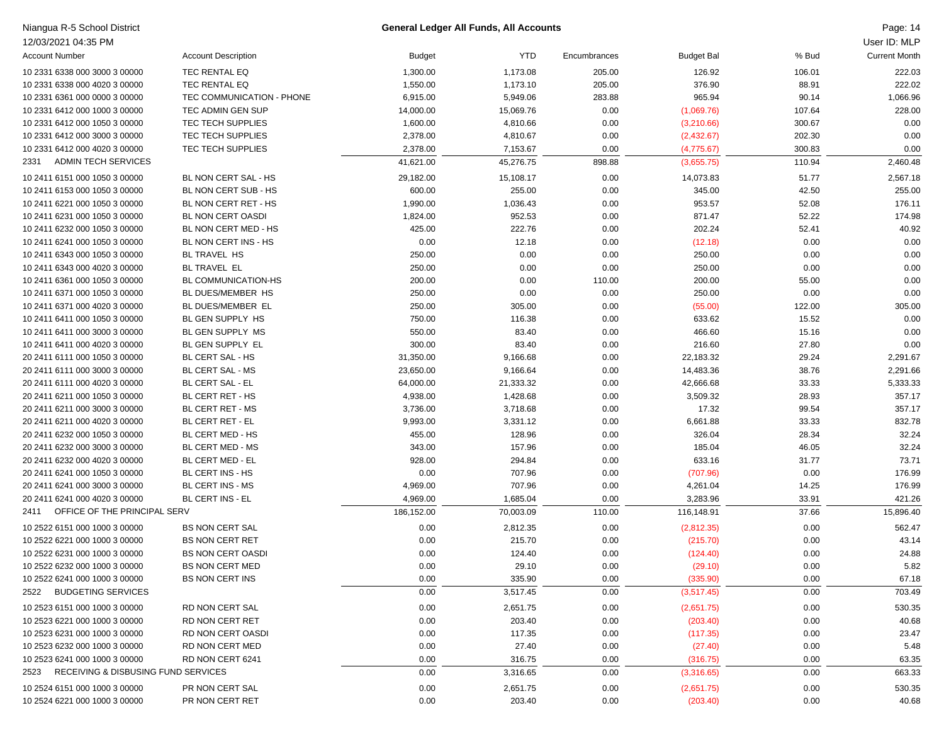| 12/03/2021 04:35 PM<br><b>YTD</b><br>% Bud<br><b>Account Number</b><br><b>Account Description</b><br><b>Budget</b><br><b>Budget Bal</b><br>Encumbrances<br><b>TEC RENTAL EQ</b><br>205.00<br>10 2331 6338 000 3000 3 00000<br>1,300.00<br>1,173.08<br>126.92<br>106.01<br><b>TEC RENTAL EQ</b><br>205.00<br>88.91<br>10 2331 6338 000 4020 3 00000<br>1,550.00<br>1,173.10<br>376.90<br>965.94<br>10 2331 6361 000 0000 3 00000<br>TEC COMMUNICATION - PHONE<br>6,915.00<br>5,949.06<br>283.88<br>90.14<br>0.00<br>107.64<br>10 2331 6412 000 1000 3 00000<br>TEC ADMIN GEN SUP<br>14,000.00<br>15,069.76<br>(1,069.76)<br>4,810.66<br>10 2331 6412 000 1050 3 00000<br>TEC TECH SUPPLIES<br>1,600.00<br>0.00<br>(3,210.66)<br>300.67<br>0.00<br>202.30<br>10 2331 6412 000 3000 3 00000<br>TEC TECH SUPPLIES<br>2,378.00<br>4,810.67<br>(2,432.67)<br>TEC TECH SUPPLIES<br>300.83<br>10 2331 6412 000 4020 3 00000<br>2,378.00<br>7,153.67<br>0.00<br>(4,775.67)<br>41,621.00<br>45,276.75<br>898.88<br>110.94<br>ADMIN TECH SERVICES<br>(3,655.75)<br>2331<br>0.00<br>51.77<br>10 2411 6151 000 1050 3 00000<br>BL NON CERT SAL - HS<br>29,182.00<br>15,108.17<br>14,073.83<br>255.00<br>0.00<br>42.50<br>10 2411 6153 000 1050 3 00000<br>BL NON CERT SUB - HS<br>600.00<br>345.00<br>BL NON CERT RET - HS<br>0.00<br>52.08<br>10 2411 6221 000 1050 3 00000<br>1,990.00<br>1,036.43<br>953.57<br>10 2411 6231 000 1050 3 00000<br>BL NON CERT OASDI<br>1,824.00<br>952.53<br>0.00<br>871.47<br>52.22<br>BL NON CERT MED - HS<br>222.76<br>0.00<br>202.24<br>52.41<br>10 2411 6232 000 1050 3 00000<br>425.00<br>BL NON CERT INS - HS<br>0.00<br>0.00<br>10 2411 6241 000 1050 3 00000<br>12.18<br>0.00<br>(12.18)<br>10 2411 6343 000 1050 3 00000<br>BL TRAVEL HS<br>250.00<br>0.00<br>0.00<br>250.00<br>0.00<br><b>BL TRAVEL EL</b><br>250.00<br>0.00<br>0.00<br>250.00<br>0.00<br>10 2411 6343 000 4020 3 00000<br>10 2411 6361 000 1050 3 00000<br>BL COMMUNICATION-HS<br>200.00<br>0.00<br>110.00<br>200.00<br>55.00<br>BL DUES/MEMBER HS<br>250.00<br>0.00<br>0.00<br>250.00<br>0.00<br>10 2411 6371 000 1050 3 00000<br>BL DUES/MEMBER EL<br>250.00<br>305.00<br>0.00<br>122.00<br>10 2411 6371 000 4020 3 00000<br>(55.00)<br>15.52<br>BL GEN SUPPLY HS<br>750.00<br>116.38<br>0.00<br>633.62<br>10 2411 6411 000 1050 3 00000<br>550.00<br>83.40<br>0.00<br>15.16<br>10 2411 6411 000 3000 3 00000<br>BL GEN SUPPLY MS<br>466.60<br>BL GEN SUPPLY EL<br>300.00<br>83.40<br>0.00<br>27.80<br>10 2411 6411 000 4020 3 00000<br>216.60<br>BL CERT SAL - HS<br>9,166.68<br>0.00<br>22,183.32<br>29.24<br>20 2411 6111 000 1050 3 00000<br>31,350.00<br>BL CERT SAL - MS<br>9,166.64<br>0.00<br>38.76<br>20 2411 6111 000 3000 3 00000<br>23,650.00<br>14,483.36<br>33.33<br>20 2411 6111 000 4020 3 00000<br><b>BL CERT SAL - EL</b><br>64,000.00<br>21,333.32<br>0.00<br>42,666.68<br>1,428.68<br>0.00<br>28.93<br>20 2411 6211 000 1050 3 00000<br>BL CERT RET - HS<br>4,938.00<br>3,509.32<br>3,718.68<br>0.00<br>99.54<br>20 2411 6211 000 3000 3 00000<br>BL CERT RET - MS<br>3,736.00<br>17.32<br>9,993.00<br>3,331.12<br>0.00<br>33.33<br>20 2411 6211 000 4020 3 00000<br>BL CERT RET - EL<br>6,661.88<br>BL CERT MED - HS<br>455.00<br>128.96<br>0.00<br>28.34<br>20 2411 6232 000 1050 3 00000<br>326.04<br>343.00<br>20 2411 6232 000 3000 3 00000<br>BL CERT MED - MS<br>157.96<br>0.00<br>185.04<br>46.05<br>BL CERT MED - EL<br>928.00<br>294.84<br>0.00<br>633.16<br>31.77<br>20 2411 6232 000 4020 3 00000<br>0.00<br>20 2411 6241 000 1050 3 00000<br>BL CERT INS - HS<br>0.00<br>707.96<br>0.00<br>(707.96)<br>BL CERT INS - MS<br>707.96<br>0.00<br>14.25<br>20 2411 6241 000 3000 3 00000<br>4,969.00<br>4,261.04<br>BL CERT INS - EL<br>4,969.00<br>1,685.04<br>0.00<br>3,283.96<br>33.91<br>20 2411 6241 000 4020 3 00000<br>OFFICE OF THE PRINCIPAL SERV<br>186,152.00<br>37.66<br>2411<br>70,003.09<br>110.00<br>116,148.91<br>10 2522 6151 000 1000 3 00000<br><b>BS NON CERT SAL</b><br>0.00<br>2,812.35<br>0.00<br>0.00<br>(2,812.35)<br>0.00<br>215.70<br>0.00<br>10 2522 6221 000 1000 3 00000<br><b>BS NON CERT RET</b><br>(215.70)<br>0.00 | Niangua R-5 School District | <b>General Ledger All Funds, All Accounts</b> |  |  | Page: 14             |
|------------------------------------------------------------------------------------------------------------------------------------------------------------------------------------------------------------------------------------------------------------------------------------------------------------------------------------------------------------------------------------------------------------------------------------------------------------------------------------------------------------------------------------------------------------------------------------------------------------------------------------------------------------------------------------------------------------------------------------------------------------------------------------------------------------------------------------------------------------------------------------------------------------------------------------------------------------------------------------------------------------------------------------------------------------------------------------------------------------------------------------------------------------------------------------------------------------------------------------------------------------------------------------------------------------------------------------------------------------------------------------------------------------------------------------------------------------------------------------------------------------------------------------------------------------------------------------------------------------------------------------------------------------------------------------------------------------------------------------------------------------------------------------------------------------------------------------------------------------------------------------------------------------------------------------------------------------------------------------------------------------------------------------------------------------------------------------------------------------------------------------------------------------------------------------------------------------------------------------------------------------------------------------------------------------------------------------------------------------------------------------------------------------------------------------------------------------------------------------------------------------------------------------------------------------------------------------------------------------------------------------------------------------------------------------------------------------------------------------------------------------------------------------------------------------------------------------------------------------------------------------------------------------------------------------------------------------------------------------------------------------------------------------------------------------------------------------------------------------------------------------------------------------------------------------------------------------------------------------------------------------------------------------------------------------------------------------------------------------------------------------------------------------------------------------------------------------------------------------------------------------------------------------------------------------------------------------------------------------------------------------------------------------------------------------------------------------------------------------------------------------------------------------------------------------------------------------------------------------------------------------------------------------------------------------------------------------------------------------------------------------------------------------------------------------------------------------------------------------------------------------------------------------------------------------|-----------------------------|-----------------------------------------------|--|--|----------------------|
|                                                                                                                                                                                                                                                                                                                                                                                                                                                                                                                                                                                                                                                                                                                                                                                                                                                                                                                                                                                                                                                                                                                                                                                                                                                                                                                                                                                                                                                                                                                                                                                                                                                                                                                                                                                                                                                                                                                                                                                                                                                                                                                                                                                                                                                                                                                                                                                                                                                                                                                                                                                                                                                                                                                                                                                                                                                                                                                                                                                                                                                                                                                                                                                                                                                                                                                                                                                                                                                                                                                                                                                                                                                                                                                                                                                                                                                                                                                                                                                                                                                                                                                                                                                    |                             |                                               |  |  | User ID: MLP         |
|                                                                                                                                                                                                                                                                                                                                                                                                                                                                                                                                                                                                                                                                                                                                                                                                                                                                                                                                                                                                                                                                                                                                                                                                                                                                                                                                                                                                                                                                                                                                                                                                                                                                                                                                                                                                                                                                                                                                                                                                                                                                                                                                                                                                                                                                                                                                                                                                                                                                                                                                                                                                                                                                                                                                                                                                                                                                                                                                                                                                                                                                                                                                                                                                                                                                                                                                                                                                                                                                                                                                                                                                                                                                                                                                                                                                                                                                                                                                                                                                                                                                                                                                                                                    |                             |                                               |  |  | <b>Current Month</b> |
|                                                                                                                                                                                                                                                                                                                                                                                                                                                                                                                                                                                                                                                                                                                                                                                                                                                                                                                                                                                                                                                                                                                                                                                                                                                                                                                                                                                                                                                                                                                                                                                                                                                                                                                                                                                                                                                                                                                                                                                                                                                                                                                                                                                                                                                                                                                                                                                                                                                                                                                                                                                                                                                                                                                                                                                                                                                                                                                                                                                                                                                                                                                                                                                                                                                                                                                                                                                                                                                                                                                                                                                                                                                                                                                                                                                                                                                                                                                                                                                                                                                                                                                                                                                    |                             |                                               |  |  | 222.03               |
|                                                                                                                                                                                                                                                                                                                                                                                                                                                                                                                                                                                                                                                                                                                                                                                                                                                                                                                                                                                                                                                                                                                                                                                                                                                                                                                                                                                                                                                                                                                                                                                                                                                                                                                                                                                                                                                                                                                                                                                                                                                                                                                                                                                                                                                                                                                                                                                                                                                                                                                                                                                                                                                                                                                                                                                                                                                                                                                                                                                                                                                                                                                                                                                                                                                                                                                                                                                                                                                                                                                                                                                                                                                                                                                                                                                                                                                                                                                                                                                                                                                                                                                                                                                    |                             |                                               |  |  | 222.02               |
|                                                                                                                                                                                                                                                                                                                                                                                                                                                                                                                                                                                                                                                                                                                                                                                                                                                                                                                                                                                                                                                                                                                                                                                                                                                                                                                                                                                                                                                                                                                                                                                                                                                                                                                                                                                                                                                                                                                                                                                                                                                                                                                                                                                                                                                                                                                                                                                                                                                                                                                                                                                                                                                                                                                                                                                                                                                                                                                                                                                                                                                                                                                                                                                                                                                                                                                                                                                                                                                                                                                                                                                                                                                                                                                                                                                                                                                                                                                                                                                                                                                                                                                                                                                    |                             |                                               |  |  | 1,066.96             |
|                                                                                                                                                                                                                                                                                                                                                                                                                                                                                                                                                                                                                                                                                                                                                                                                                                                                                                                                                                                                                                                                                                                                                                                                                                                                                                                                                                                                                                                                                                                                                                                                                                                                                                                                                                                                                                                                                                                                                                                                                                                                                                                                                                                                                                                                                                                                                                                                                                                                                                                                                                                                                                                                                                                                                                                                                                                                                                                                                                                                                                                                                                                                                                                                                                                                                                                                                                                                                                                                                                                                                                                                                                                                                                                                                                                                                                                                                                                                                                                                                                                                                                                                                                                    |                             |                                               |  |  | 228.00               |
|                                                                                                                                                                                                                                                                                                                                                                                                                                                                                                                                                                                                                                                                                                                                                                                                                                                                                                                                                                                                                                                                                                                                                                                                                                                                                                                                                                                                                                                                                                                                                                                                                                                                                                                                                                                                                                                                                                                                                                                                                                                                                                                                                                                                                                                                                                                                                                                                                                                                                                                                                                                                                                                                                                                                                                                                                                                                                                                                                                                                                                                                                                                                                                                                                                                                                                                                                                                                                                                                                                                                                                                                                                                                                                                                                                                                                                                                                                                                                                                                                                                                                                                                                                                    |                             |                                               |  |  | 0.00                 |
|                                                                                                                                                                                                                                                                                                                                                                                                                                                                                                                                                                                                                                                                                                                                                                                                                                                                                                                                                                                                                                                                                                                                                                                                                                                                                                                                                                                                                                                                                                                                                                                                                                                                                                                                                                                                                                                                                                                                                                                                                                                                                                                                                                                                                                                                                                                                                                                                                                                                                                                                                                                                                                                                                                                                                                                                                                                                                                                                                                                                                                                                                                                                                                                                                                                                                                                                                                                                                                                                                                                                                                                                                                                                                                                                                                                                                                                                                                                                                                                                                                                                                                                                                                                    |                             |                                               |  |  | 0.00                 |
|                                                                                                                                                                                                                                                                                                                                                                                                                                                                                                                                                                                                                                                                                                                                                                                                                                                                                                                                                                                                                                                                                                                                                                                                                                                                                                                                                                                                                                                                                                                                                                                                                                                                                                                                                                                                                                                                                                                                                                                                                                                                                                                                                                                                                                                                                                                                                                                                                                                                                                                                                                                                                                                                                                                                                                                                                                                                                                                                                                                                                                                                                                                                                                                                                                                                                                                                                                                                                                                                                                                                                                                                                                                                                                                                                                                                                                                                                                                                                                                                                                                                                                                                                                                    |                             |                                               |  |  | 0.00                 |
|                                                                                                                                                                                                                                                                                                                                                                                                                                                                                                                                                                                                                                                                                                                                                                                                                                                                                                                                                                                                                                                                                                                                                                                                                                                                                                                                                                                                                                                                                                                                                                                                                                                                                                                                                                                                                                                                                                                                                                                                                                                                                                                                                                                                                                                                                                                                                                                                                                                                                                                                                                                                                                                                                                                                                                                                                                                                                                                                                                                                                                                                                                                                                                                                                                                                                                                                                                                                                                                                                                                                                                                                                                                                                                                                                                                                                                                                                                                                                                                                                                                                                                                                                                                    |                             |                                               |  |  | 2,460.48             |
|                                                                                                                                                                                                                                                                                                                                                                                                                                                                                                                                                                                                                                                                                                                                                                                                                                                                                                                                                                                                                                                                                                                                                                                                                                                                                                                                                                                                                                                                                                                                                                                                                                                                                                                                                                                                                                                                                                                                                                                                                                                                                                                                                                                                                                                                                                                                                                                                                                                                                                                                                                                                                                                                                                                                                                                                                                                                                                                                                                                                                                                                                                                                                                                                                                                                                                                                                                                                                                                                                                                                                                                                                                                                                                                                                                                                                                                                                                                                                                                                                                                                                                                                                                                    |                             |                                               |  |  | 2,567.18             |
|                                                                                                                                                                                                                                                                                                                                                                                                                                                                                                                                                                                                                                                                                                                                                                                                                                                                                                                                                                                                                                                                                                                                                                                                                                                                                                                                                                                                                                                                                                                                                                                                                                                                                                                                                                                                                                                                                                                                                                                                                                                                                                                                                                                                                                                                                                                                                                                                                                                                                                                                                                                                                                                                                                                                                                                                                                                                                                                                                                                                                                                                                                                                                                                                                                                                                                                                                                                                                                                                                                                                                                                                                                                                                                                                                                                                                                                                                                                                                                                                                                                                                                                                                                                    |                             |                                               |  |  | 255.00               |
|                                                                                                                                                                                                                                                                                                                                                                                                                                                                                                                                                                                                                                                                                                                                                                                                                                                                                                                                                                                                                                                                                                                                                                                                                                                                                                                                                                                                                                                                                                                                                                                                                                                                                                                                                                                                                                                                                                                                                                                                                                                                                                                                                                                                                                                                                                                                                                                                                                                                                                                                                                                                                                                                                                                                                                                                                                                                                                                                                                                                                                                                                                                                                                                                                                                                                                                                                                                                                                                                                                                                                                                                                                                                                                                                                                                                                                                                                                                                                                                                                                                                                                                                                                                    |                             |                                               |  |  | 176.11               |
|                                                                                                                                                                                                                                                                                                                                                                                                                                                                                                                                                                                                                                                                                                                                                                                                                                                                                                                                                                                                                                                                                                                                                                                                                                                                                                                                                                                                                                                                                                                                                                                                                                                                                                                                                                                                                                                                                                                                                                                                                                                                                                                                                                                                                                                                                                                                                                                                                                                                                                                                                                                                                                                                                                                                                                                                                                                                                                                                                                                                                                                                                                                                                                                                                                                                                                                                                                                                                                                                                                                                                                                                                                                                                                                                                                                                                                                                                                                                                                                                                                                                                                                                                                                    |                             |                                               |  |  | 174.98               |
|                                                                                                                                                                                                                                                                                                                                                                                                                                                                                                                                                                                                                                                                                                                                                                                                                                                                                                                                                                                                                                                                                                                                                                                                                                                                                                                                                                                                                                                                                                                                                                                                                                                                                                                                                                                                                                                                                                                                                                                                                                                                                                                                                                                                                                                                                                                                                                                                                                                                                                                                                                                                                                                                                                                                                                                                                                                                                                                                                                                                                                                                                                                                                                                                                                                                                                                                                                                                                                                                                                                                                                                                                                                                                                                                                                                                                                                                                                                                                                                                                                                                                                                                                                                    |                             |                                               |  |  | 40.92                |
|                                                                                                                                                                                                                                                                                                                                                                                                                                                                                                                                                                                                                                                                                                                                                                                                                                                                                                                                                                                                                                                                                                                                                                                                                                                                                                                                                                                                                                                                                                                                                                                                                                                                                                                                                                                                                                                                                                                                                                                                                                                                                                                                                                                                                                                                                                                                                                                                                                                                                                                                                                                                                                                                                                                                                                                                                                                                                                                                                                                                                                                                                                                                                                                                                                                                                                                                                                                                                                                                                                                                                                                                                                                                                                                                                                                                                                                                                                                                                                                                                                                                                                                                                                                    |                             |                                               |  |  | 0.00                 |
|                                                                                                                                                                                                                                                                                                                                                                                                                                                                                                                                                                                                                                                                                                                                                                                                                                                                                                                                                                                                                                                                                                                                                                                                                                                                                                                                                                                                                                                                                                                                                                                                                                                                                                                                                                                                                                                                                                                                                                                                                                                                                                                                                                                                                                                                                                                                                                                                                                                                                                                                                                                                                                                                                                                                                                                                                                                                                                                                                                                                                                                                                                                                                                                                                                                                                                                                                                                                                                                                                                                                                                                                                                                                                                                                                                                                                                                                                                                                                                                                                                                                                                                                                                                    |                             |                                               |  |  | 0.00                 |
|                                                                                                                                                                                                                                                                                                                                                                                                                                                                                                                                                                                                                                                                                                                                                                                                                                                                                                                                                                                                                                                                                                                                                                                                                                                                                                                                                                                                                                                                                                                                                                                                                                                                                                                                                                                                                                                                                                                                                                                                                                                                                                                                                                                                                                                                                                                                                                                                                                                                                                                                                                                                                                                                                                                                                                                                                                                                                                                                                                                                                                                                                                                                                                                                                                                                                                                                                                                                                                                                                                                                                                                                                                                                                                                                                                                                                                                                                                                                                                                                                                                                                                                                                                                    |                             |                                               |  |  | 0.00                 |
|                                                                                                                                                                                                                                                                                                                                                                                                                                                                                                                                                                                                                                                                                                                                                                                                                                                                                                                                                                                                                                                                                                                                                                                                                                                                                                                                                                                                                                                                                                                                                                                                                                                                                                                                                                                                                                                                                                                                                                                                                                                                                                                                                                                                                                                                                                                                                                                                                                                                                                                                                                                                                                                                                                                                                                                                                                                                                                                                                                                                                                                                                                                                                                                                                                                                                                                                                                                                                                                                                                                                                                                                                                                                                                                                                                                                                                                                                                                                                                                                                                                                                                                                                                                    |                             |                                               |  |  | 0.00                 |
|                                                                                                                                                                                                                                                                                                                                                                                                                                                                                                                                                                                                                                                                                                                                                                                                                                                                                                                                                                                                                                                                                                                                                                                                                                                                                                                                                                                                                                                                                                                                                                                                                                                                                                                                                                                                                                                                                                                                                                                                                                                                                                                                                                                                                                                                                                                                                                                                                                                                                                                                                                                                                                                                                                                                                                                                                                                                                                                                                                                                                                                                                                                                                                                                                                                                                                                                                                                                                                                                                                                                                                                                                                                                                                                                                                                                                                                                                                                                                                                                                                                                                                                                                                                    |                             |                                               |  |  | 0.00                 |
|                                                                                                                                                                                                                                                                                                                                                                                                                                                                                                                                                                                                                                                                                                                                                                                                                                                                                                                                                                                                                                                                                                                                                                                                                                                                                                                                                                                                                                                                                                                                                                                                                                                                                                                                                                                                                                                                                                                                                                                                                                                                                                                                                                                                                                                                                                                                                                                                                                                                                                                                                                                                                                                                                                                                                                                                                                                                                                                                                                                                                                                                                                                                                                                                                                                                                                                                                                                                                                                                                                                                                                                                                                                                                                                                                                                                                                                                                                                                                                                                                                                                                                                                                                                    |                             |                                               |  |  | 305.00               |
|                                                                                                                                                                                                                                                                                                                                                                                                                                                                                                                                                                                                                                                                                                                                                                                                                                                                                                                                                                                                                                                                                                                                                                                                                                                                                                                                                                                                                                                                                                                                                                                                                                                                                                                                                                                                                                                                                                                                                                                                                                                                                                                                                                                                                                                                                                                                                                                                                                                                                                                                                                                                                                                                                                                                                                                                                                                                                                                                                                                                                                                                                                                                                                                                                                                                                                                                                                                                                                                                                                                                                                                                                                                                                                                                                                                                                                                                                                                                                                                                                                                                                                                                                                                    |                             |                                               |  |  | 0.00                 |
|                                                                                                                                                                                                                                                                                                                                                                                                                                                                                                                                                                                                                                                                                                                                                                                                                                                                                                                                                                                                                                                                                                                                                                                                                                                                                                                                                                                                                                                                                                                                                                                                                                                                                                                                                                                                                                                                                                                                                                                                                                                                                                                                                                                                                                                                                                                                                                                                                                                                                                                                                                                                                                                                                                                                                                                                                                                                                                                                                                                                                                                                                                                                                                                                                                                                                                                                                                                                                                                                                                                                                                                                                                                                                                                                                                                                                                                                                                                                                                                                                                                                                                                                                                                    |                             |                                               |  |  | 0.00                 |
|                                                                                                                                                                                                                                                                                                                                                                                                                                                                                                                                                                                                                                                                                                                                                                                                                                                                                                                                                                                                                                                                                                                                                                                                                                                                                                                                                                                                                                                                                                                                                                                                                                                                                                                                                                                                                                                                                                                                                                                                                                                                                                                                                                                                                                                                                                                                                                                                                                                                                                                                                                                                                                                                                                                                                                                                                                                                                                                                                                                                                                                                                                                                                                                                                                                                                                                                                                                                                                                                                                                                                                                                                                                                                                                                                                                                                                                                                                                                                                                                                                                                                                                                                                                    |                             |                                               |  |  | 0.00                 |
|                                                                                                                                                                                                                                                                                                                                                                                                                                                                                                                                                                                                                                                                                                                                                                                                                                                                                                                                                                                                                                                                                                                                                                                                                                                                                                                                                                                                                                                                                                                                                                                                                                                                                                                                                                                                                                                                                                                                                                                                                                                                                                                                                                                                                                                                                                                                                                                                                                                                                                                                                                                                                                                                                                                                                                                                                                                                                                                                                                                                                                                                                                                                                                                                                                                                                                                                                                                                                                                                                                                                                                                                                                                                                                                                                                                                                                                                                                                                                                                                                                                                                                                                                                                    |                             |                                               |  |  | 2,291.67             |
|                                                                                                                                                                                                                                                                                                                                                                                                                                                                                                                                                                                                                                                                                                                                                                                                                                                                                                                                                                                                                                                                                                                                                                                                                                                                                                                                                                                                                                                                                                                                                                                                                                                                                                                                                                                                                                                                                                                                                                                                                                                                                                                                                                                                                                                                                                                                                                                                                                                                                                                                                                                                                                                                                                                                                                                                                                                                                                                                                                                                                                                                                                                                                                                                                                                                                                                                                                                                                                                                                                                                                                                                                                                                                                                                                                                                                                                                                                                                                                                                                                                                                                                                                                                    |                             |                                               |  |  | 2,291.66             |
|                                                                                                                                                                                                                                                                                                                                                                                                                                                                                                                                                                                                                                                                                                                                                                                                                                                                                                                                                                                                                                                                                                                                                                                                                                                                                                                                                                                                                                                                                                                                                                                                                                                                                                                                                                                                                                                                                                                                                                                                                                                                                                                                                                                                                                                                                                                                                                                                                                                                                                                                                                                                                                                                                                                                                                                                                                                                                                                                                                                                                                                                                                                                                                                                                                                                                                                                                                                                                                                                                                                                                                                                                                                                                                                                                                                                                                                                                                                                                                                                                                                                                                                                                                                    |                             |                                               |  |  | 5,333.33             |
|                                                                                                                                                                                                                                                                                                                                                                                                                                                                                                                                                                                                                                                                                                                                                                                                                                                                                                                                                                                                                                                                                                                                                                                                                                                                                                                                                                                                                                                                                                                                                                                                                                                                                                                                                                                                                                                                                                                                                                                                                                                                                                                                                                                                                                                                                                                                                                                                                                                                                                                                                                                                                                                                                                                                                                                                                                                                                                                                                                                                                                                                                                                                                                                                                                                                                                                                                                                                                                                                                                                                                                                                                                                                                                                                                                                                                                                                                                                                                                                                                                                                                                                                                                                    |                             |                                               |  |  | 357.17               |
|                                                                                                                                                                                                                                                                                                                                                                                                                                                                                                                                                                                                                                                                                                                                                                                                                                                                                                                                                                                                                                                                                                                                                                                                                                                                                                                                                                                                                                                                                                                                                                                                                                                                                                                                                                                                                                                                                                                                                                                                                                                                                                                                                                                                                                                                                                                                                                                                                                                                                                                                                                                                                                                                                                                                                                                                                                                                                                                                                                                                                                                                                                                                                                                                                                                                                                                                                                                                                                                                                                                                                                                                                                                                                                                                                                                                                                                                                                                                                                                                                                                                                                                                                                                    |                             |                                               |  |  | 357.17               |
|                                                                                                                                                                                                                                                                                                                                                                                                                                                                                                                                                                                                                                                                                                                                                                                                                                                                                                                                                                                                                                                                                                                                                                                                                                                                                                                                                                                                                                                                                                                                                                                                                                                                                                                                                                                                                                                                                                                                                                                                                                                                                                                                                                                                                                                                                                                                                                                                                                                                                                                                                                                                                                                                                                                                                                                                                                                                                                                                                                                                                                                                                                                                                                                                                                                                                                                                                                                                                                                                                                                                                                                                                                                                                                                                                                                                                                                                                                                                                                                                                                                                                                                                                                                    |                             |                                               |  |  | 832.78               |
|                                                                                                                                                                                                                                                                                                                                                                                                                                                                                                                                                                                                                                                                                                                                                                                                                                                                                                                                                                                                                                                                                                                                                                                                                                                                                                                                                                                                                                                                                                                                                                                                                                                                                                                                                                                                                                                                                                                                                                                                                                                                                                                                                                                                                                                                                                                                                                                                                                                                                                                                                                                                                                                                                                                                                                                                                                                                                                                                                                                                                                                                                                                                                                                                                                                                                                                                                                                                                                                                                                                                                                                                                                                                                                                                                                                                                                                                                                                                                                                                                                                                                                                                                                                    |                             |                                               |  |  | 32.24                |
|                                                                                                                                                                                                                                                                                                                                                                                                                                                                                                                                                                                                                                                                                                                                                                                                                                                                                                                                                                                                                                                                                                                                                                                                                                                                                                                                                                                                                                                                                                                                                                                                                                                                                                                                                                                                                                                                                                                                                                                                                                                                                                                                                                                                                                                                                                                                                                                                                                                                                                                                                                                                                                                                                                                                                                                                                                                                                                                                                                                                                                                                                                                                                                                                                                                                                                                                                                                                                                                                                                                                                                                                                                                                                                                                                                                                                                                                                                                                                                                                                                                                                                                                                                                    |                             |                                               |  |  | 32.24                |
|                                                                                                                                                                                                                                                                                                                                                                                                                                                                                                                                                                                                                                                                                                                                                                                                                                                                                                                                                                                                                                                                                                                                                                                                                                                                                                                                                                                                                                                                                                                                                                                                                                                                                                                                                                                                                                                                                                                                                                                                                                                                                                                                                                                                                                                                                                                                                                                                                                                                                                                                                                                                                                                                                                                                                                                                                                                                                                                                                                                                                                                                                                                                                                                                                                                                                                                                                                                                                                                                                                                                                                                                                                                                                                                                                                                                                                                                                                                                                                                                                                                                                                                                                                                    |                             |                                               |  |  | 73.71                |
|                                                                                                                                                                                                                                                                                                                                                                                                                                                                                                                                                                                                                                                                                                                                                                                                                                                                                                                                                                                                                                                                                                                                                                                                                                                                                                                                                                                                                                                                                                                                                                                                                                                                                                                                                                                                                                                                                                                                                                                                                                                                                                                                                                                                                                                                                                                                                                                                                                                                                                                                                                                                                                                                                                                                                                                                                                                                                                                                                                                                                                                                                                                                                                                                                                                                                                                                                                                                                                                                                                                                                                                                                                                                                                                                                                                                                                                                                                                                                                                                                                                                                                                                                                                    |                             |                                               |  |  | 176.99               |
|                                                                                                                                                                                                                                                                                                                                                                                                                                                                                                                                                                                                                                                                                                                                                                                                                                                                                                                                                                                                                                                                                                                                                                                                                                                                                                                                                                                                                                                                                                                                                                                                                                                                                                                                                                                                                                                                                                                                                                                                                                                                                                                                                                                                                                                                                                                                                                                                                                                                                                                                                                                                                                                                                                                                                                                                                                                                                                                                                                                                                                                                                                                                                                                                                                                                                                                                                                                                                                                                                                                                                                                                                                                                                                                                                                                                                                                                                                                                                                                                                                                                                                                                                                                    |                             |                                               |  |  | 176.99               |
|                                                                                                                                                                                                                                                                                                                                                                                                                                                                                                                                                                                                                                                                                                                                                                                                                                                                                                                                                                                                                                                                                                                                                                                                                                                                                                                                                                                                                                                                                                                                                                                                                                                                                                                                                                                                                                                                                                                                                                                                                                                                                                                                                                                                                                                                                                                                                                                                                                                                                                                                                                                                                                                                                                                                                                                                                                                                                                                                                                                                                                                                                                                                                                                                                                                                                                                                                                                                                                                                                                                                                                                                                                                                                                                                                                                                                                                                                                                                                                                                                                                                                                                                                                                    |                             |                                               |  |  | 421.26               |
|                                                                                                                                                                                                                                                                                                                                                                                                                                                                                                                                                                                                                                                                                                                                                                                                                                                                                                                                                                                                                                                                                                                                                                                                                                                                                                                                                                                                                                                                                                                                                                                                                                                                                                                                                                                                                                                                                                                                                                                                                                                                                                                                                                                                                                                                                                                                                                                                                                                                                                                                                                                                                                                                                                                                                                                                                                                                                                                                                                                                                                                                                                                                                                                                                                                                                                                                                                                                                                                                                                                                                                                                                                                                                                                                                                                                                                                                                                                                                                                                                                                                                                                                                                                    |                             |                                               |  |  | 15,896.40            |
|                                                                                                                                                                                                                                                                                                                                                                                                                                                                                                                                                                                                                                                                                                                                                                                                                                                                                                                                                                                                                                                                                                                                                                                                                                                                                                                                                                                                                                                                                                                                                                                                                                                                                                                                                                                                                                                                                                                                                                                                                                                                                                                                                                                                                                                                                                                                                                                                                                                                                                                                                                                                                                                                                                                                                                                                                                                                                                                                                                                                                                                                                                                                                                                                                                                                                                                                                                                                                                                                                                                                                                                                                                                                                                                                                                                                                                                                                                                                                                                                                                                                                                                                                                                    |                             |                                               |  |  | 562.47               |
|                                                                                                                                                                                                                                                                                                                                                                                                                                                                                                                                                                                                                                                                                                                                                                                                                                                                                                                                                                                                                                                                                                                                                                                                                                                                                                                                                                                                                                                                                                                                                                                                                                                                                                                                                                                                                                                                                                                                                                                                                                                                                                                                                                                                                                                                                                                                                                                                                                                                                                                                                                                                                                                                                                                                                                                                                                                                                                                                                                                                                                                                                                                                                                                                                                                                                                                                                                                                                                                                                                                                                                                                                                                                                                                                                                                                                                                                                                                                                                                                                                                                                                                                                                                    |                             |                                               |  |  | 43.14                |
| 0.00<br>0.00<br>0.00<br>10 2522 6231 000 1000 3 00000<br><b>BS NON CERT OASDI</b><br>124.40<br>(124.40)                                                                                                                                                                                                                                                                                                                                                                                                                                                                                                                                                                                                                                                                                                                                                                                                                                                                                                                                                                                                                                                                                                                                                                                                                                                                                                                                                                                                                                                                                                                                                                                                                                                                                                                                                                                                                                                                                                                                                                                                                                                                                                                                                                                                                                                                                                                                                                                                                                                                                                                                                                                                                                                                                                                                                                                                                                                                                                                                                                                                                                                                                                                                                                                                                                                                                                                                                                                                                                                                                                                                                                                                                                                                                                                                                                                                                                                                                                                                                                                                                                                                            |                             |                                               |  |  | 24.88                |
| 10 2522 6232 000 1000 3 00000<br><b>BS NON CERT MED</b><br>0.00<br>29.10<br>0.00<br>(29.10)<br>0.00                                                                                                                                                                                                                                                                                                                                                                                                                                                                                                                                                                                                                                                                                                                                                                                                                                                                                                                                                                                                                                                                                                                                                                                                                                                                                                                                                                                                                                                                                                                                                                                                                                                                                                                                                                                                                                                                                                                                                                                                                                                                                                                                                                                                                                                                                                                                                                                                                                                                                                                                                                                                                                                                                                                                                                                                                                                                                                                                                                                                                                                                                                                                                                                                                                                                                                                                                                                                                                                                                                                                                                                                                                                                                                                                                                                                                                                                                                                                                                                                                                                                                |                             |                                               |  |  | 5.82                 |
| <b>BS NON CERT INS</b><br>0.00<br>335.90<br>0.00<br>(335.90)<br>0.00<br>10 2522 6241 000 1000 3 00000                                                                                                                                                                                                                                                                                                                                                                                                                                                                                                                                                                                                                                                                                                                                                                                                                                                                                                                                                                                                                                                                                                                                                                                                                                                                                                                                                                                                                                                                                                                                                                                                                                                                                                                                                                                                                                                                                                                                                                                                                                                                                                                                                                                                                                                                                                                                                                                                                                                                                                                                                                                                                                                                                                                                                                                                                                                                                                                                                                                                                                                                                                                                                                                                                                                                                                                                                                                                                                                                                                                                                                                                                                                                                                                                                                                                                                                                                                                                                                                                                                                                              |                             |                                               |  |  | 67.18                |
| 2522<br><b>BUDGETING SERVICES</b><br>0.00<br>3,517.45<br>0.00<br>0.00<br>(3,517.45)                                                                                                                                                                                                                                                                                                                                                                                                                                                                                                                                                                                                                                                                                                                                                                                                                                                                                                                                                                                                                                                                                                                                                                                                                                                                                                                                                                                                                                                                                                                                                                                                                                                                                                                                                                                                                                                                                                                                                                                                                                                                                                                                                                                                                                                                                                                                                                                                                                                                                                                                                                                                                                                                                                                                                                                                                                                                                                                                                                                                                                                                                                                                                                                                                                                                                                                                                                                                                                                                                                                                                                                                                                                                                                                                                                                                                                                                                                                                                                                                                                                                                                |                             |                                               |  |  | 703.49               |
| RD NON CERT SAL<br>10 2523 6151 000 1000 3 00000<br>0.00<br>2,651.75<br>0.00<br>0.00<br>(2,651.75)                                                                                                                                                                                                                                                                                                                                                                                                                                                                                                                                                                                                                                                                                                                                                                                                                                                                                                                                                                                                                                                                                                                                                                                                                                                                                                                                                                                                                                                                                                                                                                                                                                                                                                                                                                                                                                                                                                                                                                                                                                                                                                                                                                                                                                                                                                                                                                                                                                                                                                                                                                                                                                                                                                                                                                                                                                                                                                                                                                                                                                                                                                                                                                                                                                                                                                                                                                                                                                                                                                                                                                                                                                                                                                                                                                                                                                                                                                                                                                                                                                                                                 |                             |                                               |  |  | 530.35               |
| RD NON CERT RET<br>10 2523 6221 000 1000 3 00000<br>0.00<br>203.40<br>0.00<br>(203.40)<br>0.00                                                                                                                                                                                                                                                                                                                                                                                                                                                                                                                                                                                                                                                                                                                                                                                                                                                                                                                                                                                                                                                                                                                                                                                                                                                                                                                                                                                                                                                                                                                                                                                                                                                                                                                                                                                                                                                                                                                                                                                                                                                                                                                                                                                                                                                                                                                                                                                                                                                                                                                                                                                                                                                                                                                                                                                                                                                                                                                                                                                                                                                                                                                                                                                                                                                                                                                                                                                                                                                                                                                                                                                                                                                                                                                                                                                                                                                                                                                                                                                                                                                                                     |                             |                                               |  |  | 40.68                |
| RD NON CERT OASDI<br>0.00<br>117.35<br>0.00<br>(117.35)<br>10 2523 6231 000 1000 3 00000<br>0.00                                                                                                                                                                                                                                                                                                                                                                                                                                                                                                                                                                                                                                                                                                                                                                                                                                                                                                                                                                                                                                                                                                                                                                                                                                                                                                                                                                                                                                                                                                                                                                                                                                                                                                                                                                                                                                                                                                                                                                                                                                                                                                                                                                                                                                                                                                                                                                                                                                                                                                                                                                                                                                                                                                                                                                                                                                                                                                                                                                                                                                                                                                                                                                                                                                                                                                                                                                                                                                                                                                                                                                                                                                                                                                                                                                                                                                                                                                                                                                                                                                                                                   |                             |                                               |  |  | 23.47                |
| 10 2523 6232 000 1000 3 00000<br>RD NON CERT MED<br>0.00<br>27.40<br>0.00<br>0.00<br>(27.40)                                                                                                                                                                                                                                                                                                                                                                                                                                                                                                                                                                                                                                                                                                                                                                                                                                                                                                                                                                                                                                                                                                                                                                                                                                                                                                                                                                                                                                                                                                                                                                                                                                                                                                                                                                                                                                                                                                                                                                                                                                                                                                                                                                                                                                                                                                                                                                                                                                                                                                                                                                                                                                                                                                                                                                                                                                                                                                                                                                                                                                                                                                                                                                                                                                                                                                                                                                                                                                                                                                                                                                                                                                                                                                                                                                                                                                                                                                                                                                                                                                                                                       |                             |                                               |  |  | 5.48                 |
| 10 2523 6241 000 1000 3 00000<br>RD NON CERT 6241<br>0.00<br>316.75<br>0.00<br>(316.75)<br>0.00                                                                                                                                                                                                                                                                                                                                                                                                                                                                                                                                                                                                                                                                                                                                                                                                                                                                                                                                                                                                                                                                                                                                                                                                                                                                                                                                                                                                                                                                                                                                                                                                                                                                                                                                                                                                                                                                                                                                                                                                                                                                                                                                                                                                                                                                                                                                                                                                                                                                                                                                                                                                                                                                                                                                                                                                                                                                                                                                                                                                                                                                                                                                                                                                                                                                                                                                                                                                                                                                                                                                                                                                                                                                                                                                                                                                                                                                                                                                                                                                                                                                                    |                             |                                               |  |  | 63.35                |
| RECEIVING & DISBUSING FUND SERVICES<br>0.00<br>3,316.65<br>0.00<br>(3,316.65)<br>0.00<br>2523                                                                                                                                                                                                                                                                                                                                                                                                                                                                                                                                                                                                                                                                                                                                                                                                                                                                                                                                                                                                                                                                                                                                                                                                                                                                                                                                                                                                                                                                                                                                                                                                                                                                                                                                                                                                                                                                                                                                                                                                                                                                                                                                                                                                                                                                                                                                                                                                                                                                                                                                                                                                                                                                                                                                                                                                                                                                                                                                                                                                                                                                                                                                                                                                                                                                                                                                                                                                                                                                                                                                                                                                                                                                                                                                                                                                                                                                                                                                                                                                                                                                                      |                             |                                               |  |  | 663.33               |
| PR NON CERT SAL<br>0.00<br>0.00<br>0.00<br>10 2524 6151 000 1000 3 00000<br>2,651.75<br>(2,651.75)                                                                                                                                                                                                                                                                                                                                                                                                                                                                                                                                                                                                                                                                                                                                                                                                                                                                                                                                                                                                                                                                                                                                                                                                                                                                                                                                                                                                                                                                                                                                                                                                                                                                                                                                                                                                                                                                                                                                                                                                                                                                                                                                                                                                                                                                                                                                                                                                                                                                                                                                                                                                                                                                                                                                                                                                                                                                                                                                                                                                                                                                                                                                                                                                                                                                                                                                                                                                                                                                                                                                                                                                                                                                                                                                                                                                                                                                                                                                                                                                                                                                                 |                             |                                               |  |  | 530.35               |

10 2524 6221 000 1000 3 00000 PR NON CERT RET 0.00 203.40 0.00 (203.40) 0.00 40.68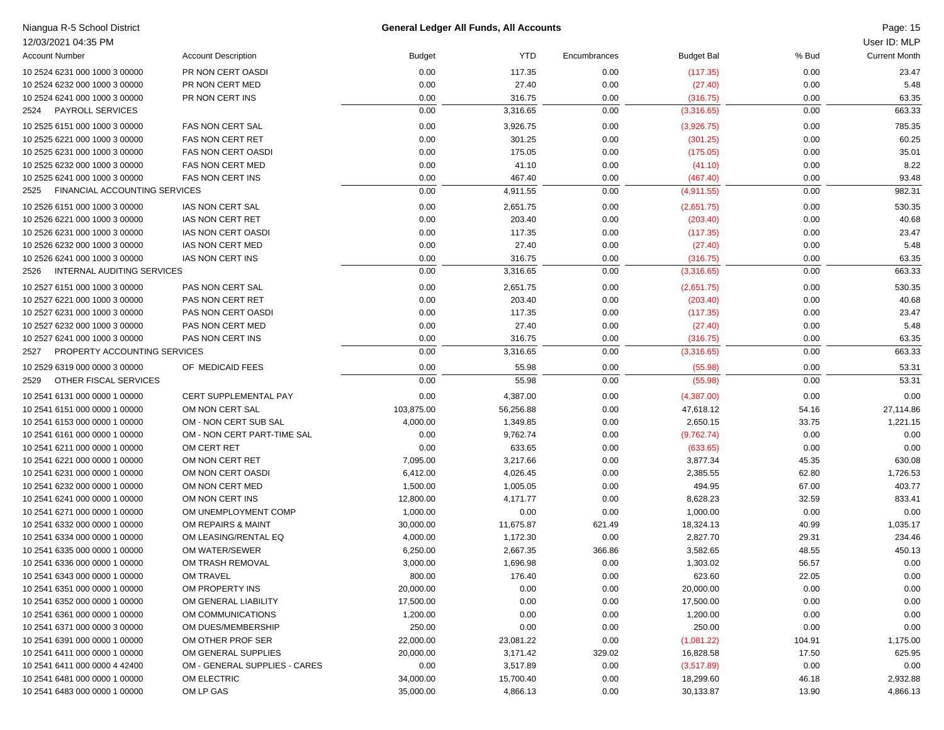| Niangua R-5 School District                                    |                                                      |                   | <b>General Ledger All Funds, All Accounts</b> |                |                         |               | Page: 15             |
|----------------------------------------------------------------|------------------------------------------------------|-------------------|-----------------------------------------------|----------------|-------------------------|---------------|----------------------|
| 12/03/2021 04:35 PM                                            |                                                      |                   |                                               |                |                         |               | User ID: MLP         |
| <b>Account Number</b>                                          | <b>Account Description</b>                           | Budget            | <b>YTD</b>                                    | Encumbrances   | <b>Budget Bal</b>       | % Bud         | <b>Current Month</b> |
| 10 2524 6231 000 1000 3 00000                                  | PR NON CERT OASDI                                    | 0.00              | 117.35                                        | 0.00           | (117.35)                | 0.00          | 23.47                |
| 10 2524 6232 000 1000 3 00000                                  | PR NON CERT MED                                      | 0.00              | 27.40                                         | 0.00           | (27.40)                 | 0.00          | 5.48                 |
| 10 2524 6241 000 1000 3 00000                                  | PR NON CERT INS                                      | 0.00              | 316.75                                        | 0.00           | (316.75)                | 0.00          | 63.35                |
| <b>PAYROLL SERVICES</b><br>2524                                |                                                      | 0.00              | 3,316.65                                      | 0.00           | (3,316.65)              | 0.00          | 663.33               |
| 10 2525 6151 000 1000 3 00000                                  | FAS NON CERT SAL                                     | 0.00              | 3,926.75                                      | 0.00           | (3,926.75)              | 0.00          | 785.35               |
| 10 2525 6221 000 1000 3 00000                                  | <b>FAS NON CERT RET</b>                              | 0.00              | 301.25                                        | 0.00           | (301.25)                | 0.00          | 60.25                |
| 10 2525 6231 000 1000 3 00000                                  | <b>FAS NON CERT OASDI</b>                            | 0.00              | 175.05                                        | 0.00           | (175.05)                | 0.00          | 35.01                |
| 10 2525 6232 000 1000 3 00000                                  | <b>FAS NON CERT MED</b>                              | 0.00              | 41.10                                         | 0.00           | (41.10)                 | 0.00          | 8.22                 |
| 10 2525 6241 000 1000 3 00000                                  | <b>FAS NON CERT INS</b>                              | 0.00              | 467.40                                        | 0.00           | (467.40)                | 0.00          | 93.48                |
| <b>FINANCIAL ACCOUNTING SERVICES</b><br>2525                   |                                                      | 0.00              | 4,911.55                                      | 0.00           | (4,911.55)              | 0.00          | 982.31               |
| 10 2526 6151 000 1000 3 00000                                  | IAS NON CERT SAL                                     | 0.00              | 2,651.75                                      | 0.00           | (2,651.75)              | 0.00          | 530.35               |
| 10 2526 6221 000 1000 3 00000                                  | IAS NON CERT RET                                     | 0.00              | 203.40                                        | 0.00           | (203.40)                | 0.00          | 40.68                |
| 10 2526 6231 000 1000 3 00000                                  | IAS NON CERT OASDI                                   | 0.00              | 117.35                                        | 0.00           | (117.35)                | 0.00          | 23.47                |
| 10 2526 6232 000 1000 3 00000                                  | IAS NON CERT MED                                     | 0.00              | 27.40                                         | 0.00           | (27.40)                 | 0.00          | 5.48                 |
| 10 2526 6241 000 1000 3 00000                                  | IAS NON CERT INS                                     | 0.00              | 316.75                                        | 0.00           | (316.75)                | 0.00          | 63.35                |
| INTERNAL AUDITING SERVICES<br>2526                             |                                                      | 0.00              | 3,316.65                                      | 0.00           | (3,316.65)              | 0.00          | 663.33               |
| 10 2527 6151 000 1000 3 00000                                  | PAS NON CERT SAL                                     | 0.00              | 2,651.75                                      | 0.00           | (2,651.75)              | 0.00          | 530.35               |
| 10 2527 6221 000 1000 3 00000                                  | PAS NON CERT RET                                     | 0.00              | 203.40                                        | 0.00           | (203.40)                | 0.00          | 40.68                |
| 10 2527 6231 000 1000 3 00000                                  | PAS NON CERT OASDI                                   | 0.00              | 117.35                                        | 0.00           | (117.35)                | 0.00          | 23.47                |
| 10 2527 6232 000 1000 3 00000                                  | PAS NON CERT MED                                     | 0.00              | 27.40                                         | 0.00           | (27.40)                 | 0.00          | 5.48                 |
| 10 2527 6241 000 1000 3 00000                                  | PAS NON CERT INS                                     | 0.00              | 316.75                                        | 0.00           | (316.75)                | 0.00          | 63.35                |
| PROPERTY ACCOUNTING SERVICES<br>2527                           |                                                      | 0.00              | 3,316.65                                      | 0.00           | (3,316.65)              | 0.00          | 663.33               |
| 10 2529 6319 000 0000 3 00000                                  | OF MEDICAID FEES                                     | 0.00              | 55.98                                         | 0.00           | (55.98)                 | 0.00          | 53.31                |
| OTHER FISCAL SERVICES<br>2529                                  |                                                      | 0.00              | 55.98                                         | 0.00           | (55.98)                 | 0.00          | 53.31                |
| 10 2541 6131 000 0000 1 00000                                  | CERT SUPPLEMENTAL PAY                                | 0.00              | 4,387.00                                      | 0.00           | (4,387.00)              | 0.00          | 0.00                 |
| 10 2541 6151 000 0000 1 00000                                  | OM NON CERT SAL                                      | 103,875.00        | 56,256.88                                     | 0.00           | 47,618.12               | 54.16         | 27,114.86            |
| 10 2541 6153 000 0000 1 00000                                  | OM - NON CERT SUB SAL                                | 4,000.00          | 1,349.85                                      | 0.00           | 2,650.15                | 33.75         | 1,221.15             |
| 10 2541 6161 000 0000 1 00000                                  | OM - NON CERT PART-TIME SAL                          | 0.00              | 9,762.74                                      | 0.00           | (9,762.74)              | 0.00          | 0.00                 |
| 10 2541 6211 000 0000 1 00000                                  | OM CERT RET                                          | 0.00              | 633.65                                        | 0.00           | (633.65)                | 0.00          | 0.00                 |
| 10 2541 6221 000 0000 1 00000                                  | OM NON CERT RET                                      | 7,095.00          | 3,217.66                                      | 0.00           | 3,877.34                | 45.35         | 630.08               |
| 10 2541 6231 000 0000 1 00000                                  | OM NON CERT OASDI                                    | 6,412.00          | 4,026.45                                      | 0.00           | 2,385.55                | 62.80         | 1,726.53             |
| 10 2541 6232 000 0000 1 00000                                  | OM NON CERT MED                                      | 1,500.00          | 1,005.05                                      | 0.00           | 494.95                  | 67.00         | 403.77               |
| 10 2541 6241 000 0000 1 00000                                  | OM NON CERT INS                                      | 12,800.00         | 4,171.77                                      | 0.00           | 8,628.23                | 32.59         | 833.41               |
| 10 2541 6271 000 0000 1 00000                                  | OM UNEMPLOYMENT COMP                                 | 1,000.00          | 0.00                                          | 0.00           | 1,000.00                | 0.00          | 0.00                 |
| 10 2541 6332 000 0000 1 00000                                  | OM REPAIRS & MAINT                                   | 30,000.00         | 11,675.87                                     | 621.49         | 18,324.13               | 40.99         | 1,035.17             |
| 10 2541 6334 000 0000 1 00000                                  | OM LEASING/RENTAL EQ                                 | 4,000.00          | 1,172.30                                      | 0.00           | 2,827.70                | 29.31         | 234.46               |
| 10 2541 6335 000 0000 1 00000                                  | OM WATER/SEWER                                       | 6,250.00          | 2,667.35                                      | 366.86         | 3,582.65                | 48.55         | 450.13               |
| 10 2541 6336 000 0000 1 00000                                  | OM TRASH REMOVAL                                     | 3,000.00          | 1,696.98                                      | 0.00           | 1,303.02                | 56.57         | 0.00                 |
| 10 2541 6343 000 0000 1 00000                                  | <b>OM TRAVEL</b>                                     | 800.00            | 176.40                                        | 0.00           | 623.60                  | 22.05         | 0.00                 |
| 10 2541 6351 000 0000 1 00000                                  | OM PROPERTY INS                                      | 20,000.00         | 0.00                                          | 0.00           | 20,000.00               | 0.00          | 0.00                 |
| 10 2541 6352 000 0000 1 00000                                  | OM GENERAL LIABILITY                                 | 17,500.00         | 0.00                                          | 0.00           | 17,500.00               | 0.00          | 0.00                 |
| 10 2541 6361 000 0000 1 00000                                  | OM COMMUNICATIONS                                    | 1,200.00          | 0.00                                          | 0.00           | 1,200.00                | 0.00          | 0.00                 |
| 10 2541 6371 000 0000 3 00000                                  | OM DUES/MEMBERSHIP                                   | 250.00            | 0.00                                          | 0.00           | 250.00                  | 0.00          | 0.00                 |
| 10 2541 6391 000 0000 1 00000                                  | OM OTHER PROF SER                                    | 22,000.00         | 23,081.22                                     | 0.00           | (1,081.22)              | 104.91        | 1,175.00             |
| 10 2541 6411 000 0000 1 00000<br>10 2541 6411 000 0000 4 42400 | OM GENERAL SUPPLIES<br>OM - GENERAL SUPPLIES - CARES | 20,000.00         | 3,171.42<br>3,517.89                          | 329.02<br>0.00 | 16,828.58               | 17.50         | 625.95<br>0.00       |
| 10 2541 6481 000 0000 1 00000                                  | OM ELECTRIC                                          | 0.00<br>34,000.00 | 15,700.40                                     | 0.00           | (3,517.89)<br>18,299.60 | 0.00<br>46.18 | 2,932.88             |
| 10 2541 6483 000 0000 1 00000                                  | OM LP GAS                                            | 35,000.00         | 4,866.13                                      | 0.00           | 30,133.87               | 13.90         | 4,866.13             |
|                                                                |                                                      |                   |                                               |                |                         |               |                      |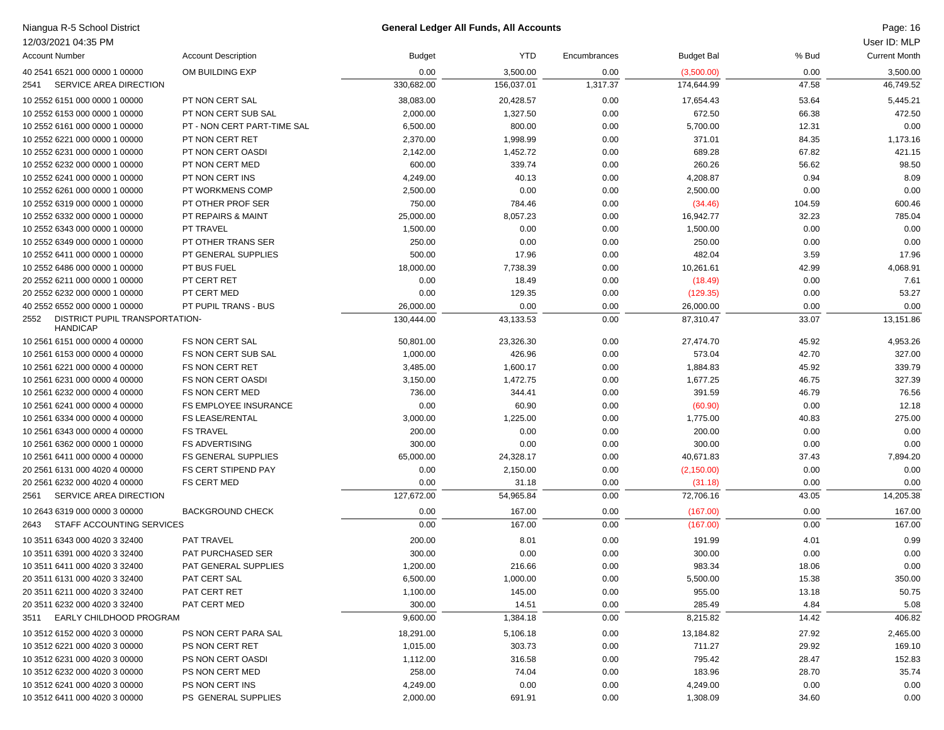| Niangua R-5 School District                               |                             |                    | <b>General Ledger All Funds, All Accounts</b> |              |                   |                | Page: 16             |
|-----------------------------------------------------------|-----------------------------|--------------------|-----------------------------------------------|--------------|-------------------|----------------|----------------------|
| 12/03/2021 04:35 PM                                       |                             |                    |                                               |              |                   |                | User ID: MLP         |
| <b>Account Number</b>                                     | <b>Account Description</b>  | <b>Budget</b>      | <b>YTD</b>                                    | Encumbrances | <b>Budget Bal</b> | % Bud          | <b>Current Month</b> |
| 40 2541 6521 000 0000 1 00000                             | OM BUILDING EXP             | 0.00               | 3,500.00                                      | 0.00         | (3,500.00)        | 0.00           | 3,500.00             |
| SERVICE AREA DIRECTION<br>2541                            |                             | 330,682.00         | 156,037.01                                    | 1,317.37     | 174,644.99        | 47.58          | 46,749.52            |
| 10 2552 6151 000 0000 1 00000                             | PT NON CERT SAL             | 38,083.00          | 20,428.57                                     | 0.00         | 17,654.43         | 53.64          | 5,445.21             |
| 10 2552 6153 000 0000 1 00000                             | PT NON CERT SUB SAL         | 2,000.00           | 1,327.50                                      | 0.00         | 672.50            | 66.38          | 472.50               |
| 10 2552 6161 000 0000 1 00000                             | PT - NON CERT PART-TIME SAL | 6,500.00           | 800.00                                        | 0.00         | 5,700.00          | 12.31          | 0.00                 |
| 10 2552 6221 000 0000 1 00000                             | PT NON CERT RET             | 2,370.00           | 1,998.99                                      | 0.00         | 371.01            | 84.35          | 1,173.16             |
| 10 2552 6231 000 0000 1 00000                             | PT NON CERT OASDI           | 2,142.00           | 1,452.72                                      | 0.00         | 689.28            | 67.82          | 421.15               |
| 10 2552 6232 000 0000 1 00000                             | PT NON CERT MED             | 600.00             | 339.74                                        | 0.00         | 260.26            | 56.62          | 98.50                |
| 10 2552 6241 000 0000 1 00000                             | PT NON CERT INS             | 4,249.00           | 40.13                                         | 0.00         | 4,208.87          | 0.94           | 8.09                 |
| 10 2552 6261 000 0000 1 00000                             | PT WORKMENS COMP            | 2,500.00           | 0.00                                          | 0.00         | 2,500.00          | 0.00           | 0.00                 |
| 10 2552 6319 000 0000 1 00000                             | PT OTHER PROF SER           | 750.00             | 784.46                                        | 0.00         | (34.46)           | 104.59         | 600.46               |
| 10 2552 6332 000 0000 1 00000                             | PT REPAIRS & MAINT          | 25,000.00          | 8,057.23                                      | 0.00         | 16,942.77         | 32.23          | 785.04               |
| 10 2552 6343 000 0000 1 00000                             | <b>PT TRAVEL</b>            | 1,500.00           | 0.00                                          | 0.00         | 1,500.00          | 0.00           | 0.00                 |
| 10 2552 6349 000 0000 1 00000                             | PT OTHER TRANS SER          | 250.00             | 0.00                                          | 0.00         | 250.00            | 0.00           | 0.00                 |
| 10 2552 6411 000 0000 1 00000                             | PT GENERAL SUPPLIES         | 500.00             | 17.96                                         | 0.00         | 482.04            | 3.59           | 17.96                |
| 10 2552 6486 000 0000 1 00000                             | PT BUS FUEL                 | 18,000.00          | 7,738.39                                      | 0.00         | 10,261.61         | 42.99          | 4,068.91             |
| 20 2552 6211 000 0000 1 00000                             | PT CERT RET                 | 0.00               | 18.49                                         | 0.00         | (18.49)           | 0.00           | 7.61                 |
| 20 2552 6232 000 0000 1 00000                             | PT CERT MED                 | 0.00               | 129.35                                        | 0.00         | (129.35)          | 0.00           | 53.27                |
| 40 2552 6552 000 0000 1 00000                             | PT PUPIL TRANS - BUS        | 26,000.00          | 0.00                                          | 0.00         | 26,000.00         | 0.00           | 0.00                 |
| DISTRICT PUPIL TRANSPORTATION-<br>2552<br><b>HANDICAP</b> |                             | 130,444.00         | 43,133.53                                     | 0.00         | 87,310.47         | 33.07          | 13,151.86            |
| 10 2561 6151 000 0000 4 00000                             | FS NON CERT SAL             | 50,801.00          | 23,326.30                                     | 0.00         | 27,474.70         | 45.92          | 4,953.26             |
| 10 2561 6153 000 0000 4 00000                             | FS NON CERT SUB SAL         | 1,000.00           | 426.96                                        | 0.00         | 573.04            | 42.70          | 327.00               |
| 10 2561 6221 000 0000 4 00000                             | <b>FS NON CERT RET</b>      | 3,485.00           | 1,600.17                                      | 0.00         | 1,884.83          | 45.92          | 339.79               |
| 10 2561 6231 000 0000 4 00000                             | <b>FS NON CERT OASDI</b>    | 3,150.00           | 1,472.75                                      | 0.00         | 1,677.25          | 46.75          | 327.39               |
| 10 2561 6232 000 0000 4 00000                             | FS NON CERT MED             | 736.00             | 344.41                                        | 0.00         | 391.59            | 46.79          | 76.56                |
| 10 2561 6241 000 0000 4 00000                             | FS EMPLOYEE INSURANCE       | 0.00               | 60.90                                         | 0.00         | (60.90)           | 0.00           | 12.18                |
| 10 2561 6334 000 0000 4 00000                             | <b>FS LEASE/RENTAL</b>      | 3,000.00           | 1,225.00                                      | 0.00         | 1,775.00          | 40.83          | 275.00               |
| 10 2561 6343 000 0000 4 00000                             | <b>FS TRAVEL</b>            | 200.00             | 0.00                                          | 0.00         | 200.00            | 0.00           | 0.00                 |
| 10 2561 6362 000 0000 1 00000                             | <b>FS ADVERTISING</b>       | 300.00             | 0.00                                          | 0.00         | 300.00            | 0.00           | 0.00                 |
| 10 2561 6411 000 0000 4 00000                             | <b>FS GENERAL SUPPLIES</b>  | 65,000.00          | 24,328.17                                     | 0.00         | 40,671.83         | 37.43          | 7,894.20             |
| 20 2561 6131 000 4020 4 00000                             | FS CERT STIPEND PAY         | 0.00               | 2,150.00                                      | 0.00         | (2, 150.00)       | 0.00           | 0.00                 |
| 20 2561 6232 000 4020 4 00000                             | <b>FS CERT MED</b>          | 0.00               | 31.18                                         | 0.00         | (31.18)           | 0.00           | 0.00                 |
| SERVICE AREA DIRECTION<br>2561                            |                             | 127,672.00         | 54,965.84                                     | 0.00         | 72,706.16         | 43.05          | 14,205.38            |
| 10 2643 6319 000 0000 3 00000                             | <b>BACKGROUND CHECK</b>     | 0.00               | 167.00                                        | 0.00         | (167.00)          | 0.00           | 167.00               |
| STAFF ACCOUNTING SERVICES<br>2643                         |                             | 0.00               | 167.00                                        | 0.00         | (167.00)          | 0.00           | 167.00               |
| 10 3511 6343 000 4020 3 32400                             | <b>PAT TRAVEL</b>           | 200.00             | 8.01                                          | 0.00         | 191.99            | 4.01           | 0.99                 |
| 10 3511 6391 000 4020 3 32400                             | <b>PAT PURCHASED SER</b>    | 300.00             | 0.00                                          | 0.00         | 300.00            | 0.00           | 0.00                 |
| 10 3511 6411 000 4020 3 32400                             | PAT GENERAL SUPPLIES        | 1,200.00           | 216.66                                        | 0.00         | 983.34            | 18.06          | 0.00                 |
| 20 3511 6131 000 4020 3 32400                             | PAT CERT SAL                | 6,500.00           | 1,000.00                                      | 0.00         | 5,500.00          | 15.38          | 350.00               |
| 20 3511 6211 000 4020 3 32400                             | PAT CERT RET                | 1,100.00           | 145.00                                        | 0.00         | 955.00            | 13.18          | 50.75                |
| 20 3511 6232 000 4020 3 32400                             | PAT CERT MED                | 300.00             | 14.51                                         | 0.00         | 285.49            | 4.84           | 5.08                 |
| EARLY CHILDHOOD PROGRAM<br>3511                           |                             | 9,600.00           | 1,384.18                                      | 0.00         | 8,215.82          | 14.42          | 406.82               |
| 10 3512 6152 000 4020 3 00000                             | PS NON CERT PARA SAL        | 18,291.00          | 5,106.18                                      | 0.00         | 13,184.82         | 27.92          | 2,465.00             |
| 10 3512 6221 000 4020 3 00000                             | PS NON CERT RET             | 1,015.00           | 303.73                                        | 0.00         | 711.27            | 29.92          | 169.10               |
| 10 3512 6231 000 4020 3 00000                             | PS NON CERT OASDI           |                    | 316.58                                        |              | 795.42            |                | 152.83               |
| 10 3512 6232 000 4020 3 00000                             | PS NON CERT MED             | 1,112.00<br>258.00 | 74.04                                         | 0.00<br>0.00 | 183.96            | 28.47<br>28.70 | 35.74                |
| 10 3512 6241 000 4020 3 00000                             | PS NON CERT INS             | 4,249.00           | 0.00                                          | 0.00         | 4,249.00          | 0.00           | 0.00                 |
| 10 3512 6411 000 4020 3 00000                             | PS GENERAL SUPPLIES         | 2,000.00           | 691.91                                        | 0.00         | 1,308.09          | 34.60          | 0.00                 |
|                                                           |                             |                    |                                               |              |                   |                |                      |